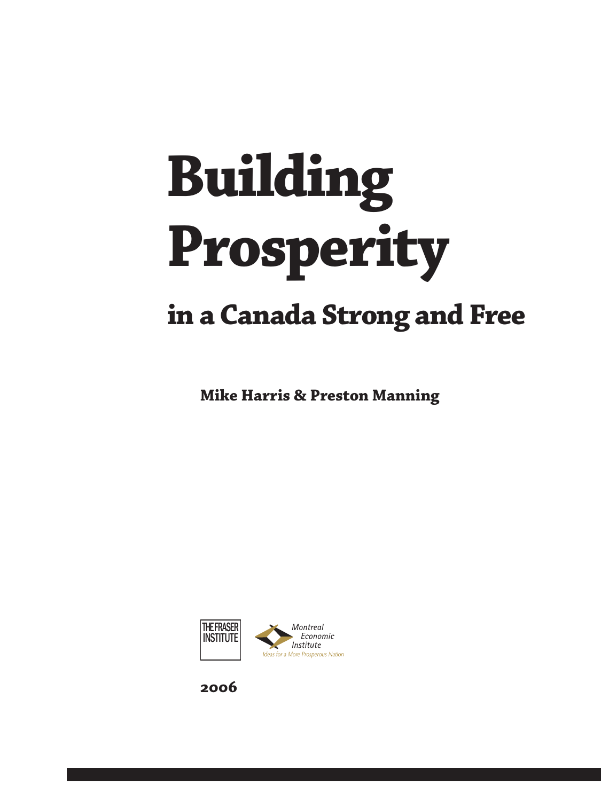# **Building Prosperity**

# **in a Canada Strong and Free**

**Mike Harris & Preston Manning**



**2006**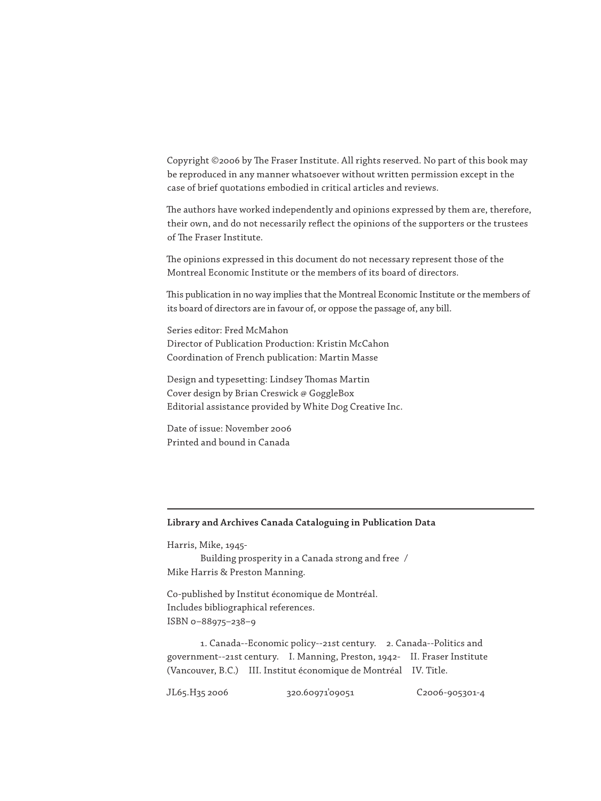Copyright ©2006 by The Fraser Institute. All rights reserved. No part of this book may be reproduced in any manner whatsoever without written permission except in the case of brief quotations embodied in critical articles and reviews.

The authors have worked independently and opinions expressed by them are, therefore, their own, and do not necessarily reflect the opinions of the supporters or the trustees of The Fraser Institute.

The opinions expressed in this document do not necessary represent those of the Montreal Economic Institute or the members of its board of directors.

This publication in no way implies that the Montreal Economic Institute or the members of its board of directors are in favour of, or oppose the passage of, any bill.

Series editor: Fred McMahon Director of Publication Production: Kristin McCahon Coordination of French publication: Martin Masse

Design and typesetting: Lindsey Thomas Martin Cover design by Brian Creswick @ GoggleBox Editorial assistance provided by White Dog Creative Inc.

Date of issue: November 2006 Printed and bound in Canada

#### **Library and Archives Canada Cataloguing in Publication Data**

Harris, Mike, 1945-

Building prosperity in a Canada strong and free / Mike Harris & Preston Manning.

Co-published by Institut économique de Montréal. Includes bibliographical references. ISBN 0–88975–238–9

1. Canada--Economic policy--21st century. 2. Canada--Politics and government--21st century. I. Manning, Preston, 1942- II. Fraser Institute (Vancouver, B.C.) III. Institut économique de Montréal IV. Title.

JL65.H35 2006 320.60971'09051 C2006-905301-4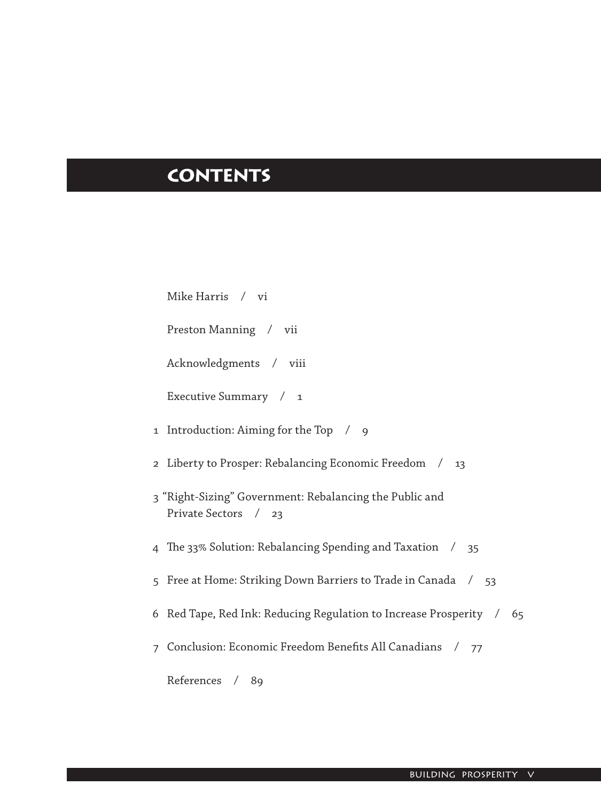## **contents**

Mike Harris / vi

Preston Manning / vii

Acknowledgments / viii

Executive Summary / 1

- 1 Introduction: Aiming for the Top / 9
- 2 Liberty to Prosper: Rebalancing Economic Freedom / 13
- 3 "Right-Sizing" Government: Rebalancing the Public and Private Sectors / 23
- 4 The 33% Solution: Rebalancing Spending and Taxation / 35
- 5 Free at Home: Striking Down Barriers to Trade in Canada / 53
- 6 Red Tape, Red Ink: Reducing Regulation to Increase Prosperity / 65
- 7 Conclusion: Economic Freedom Benefits All Canadians / 77

References / 89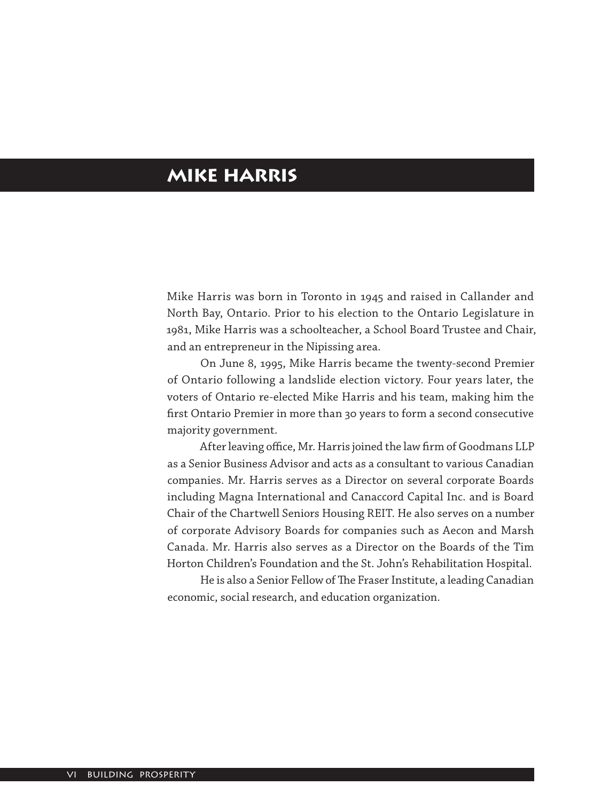## **mike harris**

Mike Harris was born in Toronto in 1945 and raised in Callander and North Bay, Ontario. Prior to his election to the Ontario Legislature in 1981, Mike Harris was a schoolteacher, a School Board Trustee and Chair, and an entrepreneur in the Nipissing area.

On June 8, 1995, Mike Harris became the twenty-second Premier of Ontario following a landslide election victory. Four years later, the voters of Ontario re-elected Mike Harris and his team, making him the first Ontario Premier in more than 30 years to form a second consecutive majority government.

After leaving office, Mr. Harris joined the law firm of Goodmans LLP as a Senior Business Advisor and acts as a consultant to various Canadian companies. Mr. Harris serves as a Director on several corporate Boards including Magna International and Canaccord Capital Inc. and is Board Chair of the Chartwell Seniors Housing REIT. He also serves on a number of corporate Advisory Boards for companies such as Aecon and Marsh Canada. Mr. Harris also serves as a Director on the Boards of the Tim Horton Children's Foundation and the St. John's Rehabilitation Hospital.

He is also a Senior Fellow of The Fraser Institute, a leading Canadian economic, social research, and education organization.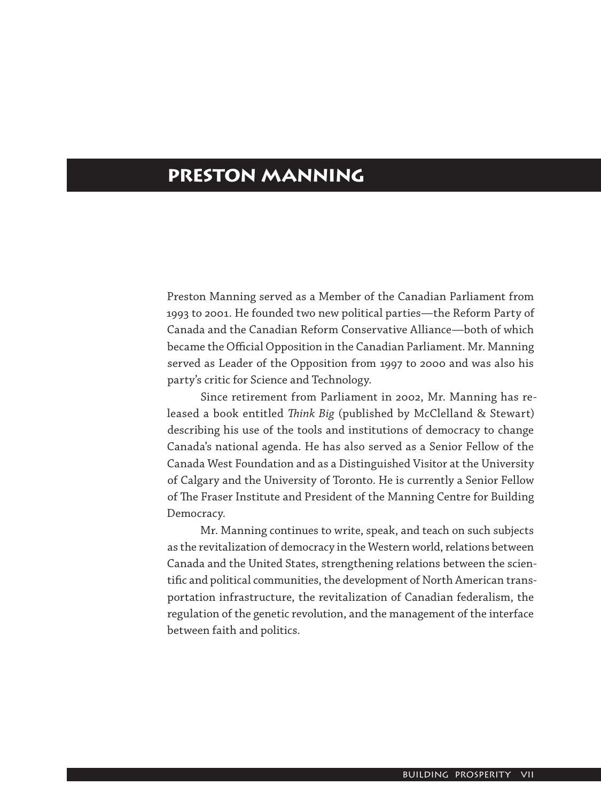## **preston manning**

Preston Manning served as a Member of the Canadian Parliament from 1993 to 2001. He founded two new political parties—the Reform Party of Canada and the Canadian Reform Conservative Alliance—both of which became the Official Opposition in the Canadian Parliament. Mr. Manning served as Leader of the Opposition from 1997 to 2000 and was also his party's critic for Science and Technology.

Since retirement from Parliament in 2002, Mr. Manning has released a book entitled *Think Big* (published by McClelland & Stewart) describing his use of the tools and institutions of democracy to change Canada's national agenda. He has also served as a Senior Fellow of the Canada West Foundation and as a Distinguished Visitor at the University of Calgary and the University of Toronto. He is currently a Senior Fellow of The Fraser Institute and President of the Manning Centre for Building Democracy.

Mr. Manning continues to write, speak, and teach on such subjects as the revitalization of democracy in the Western world, relations between Canada and the United States, strengthening relations between the scientific and political communities, the development of North American transportation infrastructure, the revitalization of Canadian federalism, the regulation of the genetic revolution, and the management of the interface between faith and politics.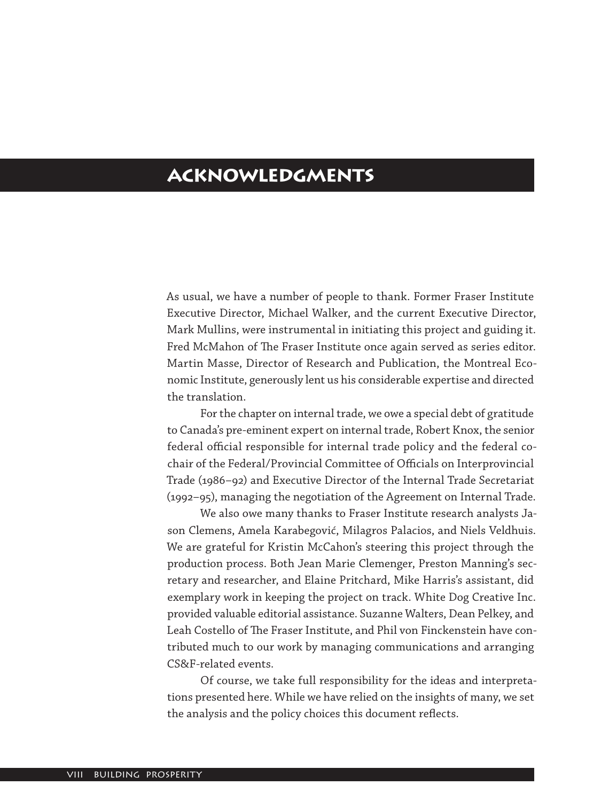# **acknowledgments**

As usual, we have a number of people to thank. Former Fraser Institute Executive Director, Michael Walker, and the current Executive Director, Mark Mullins, were instrumental in initiating this project and guiding it. Fred McMahon of The Fraser Institute once again served as series editor. Martin Masse, Director of Research and Publication, the Montreal Economic Institute, generously lent us his considerable expertise and directed the translation.

For the chapter on internal trade, we owe a special debt of gratitude to Canada's pre-eminent expert on internal trade, Robert Knox, the senior federal official responsible for internal trade policy and the federal cochair of the Federal/Provincial Committee of Officials on Interprovincial Trade (1986–92) and Executive Director of the Internal Trade Secretariat (1992–95), managing the negotiation of the Agreement on Internal Trade.

We also owe many thanks to Fraser Institute research analysts Jason Clemens, Amela Karabegović, Milagros Palacios, and Niels Veldhuis. We are grateful for Kristin McCahon's steering this project through the production process. Both Jean Marie Clemenger, Preston Manning's secretary and researcher, and Elaine Pritchard, Mike Harris's assistant, did exemplary work in keeping the project on track. White Dog Creative Inc. provided valuable editorial assistance. Suzanne Walters, Dean Pelkey, and Leah Costello of The Fraser Institute, and Phil von Finckenstein have contributed much to our work by managing communications and arranging CS&F-related events.

Of course, we take full responsibility for the ideas and interpretations presented here. While we have relied on the insights of many, we set the analysis and the policy choices this document reflects.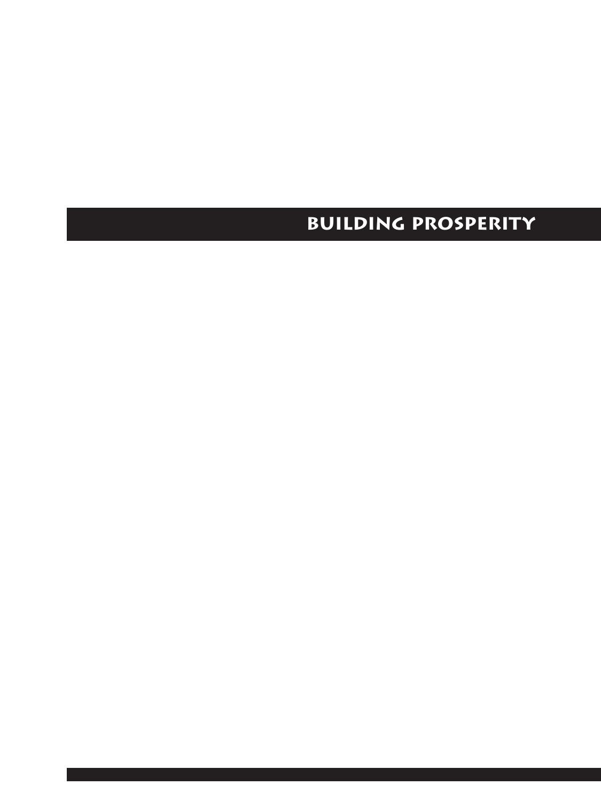# **building prosperity**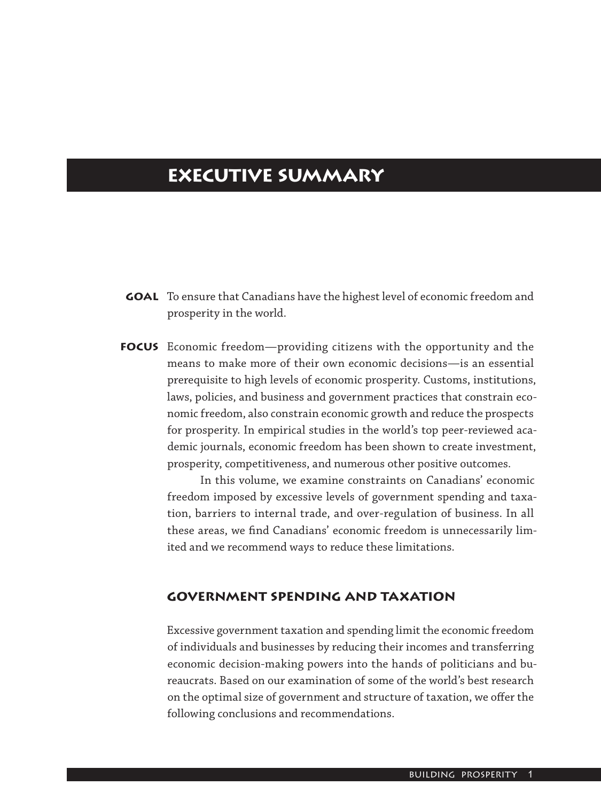## **executive summary**

- **goal** To ensure that Canadians have the highest level of economic freedom and prosperity in the world.
- **focus** Economic freedom—providing citizens with the opportunity and the means to make more of their own economic decisions—is an essential prerequisite to high levels of economic prosperity. Customs, institutions, laws, policies, and business and government practices that constrain economic freedom, also constrain economic growth and reduce the prospects for prosperity. In empirical studies in the world's top peer-reviewed academic journals, economic freedom has been shown to create investment, prosperity, competitiveness, and numerous other positive outcomes.

In this volume, we examine constraints on Canadians' economic freedom imposed by excessive levels of government spending and taxation, barriers to internal trade, and over-regulation of business. In all these areas, we find Canadians' economic freedom is unnecessarily limited and we recommend ways to reduce these limitations.

#### **government spending and taxation**

Excessive government taxation and spending limit the economic freedom of individuals and businesses by reducing their incomes and transferring economic decision-making powers into the hands of politicians and bureaucrats. Based on our examination of some of the world's best research on the optimal size of government and structure of taxation, we offer the following conclusions and recommendations.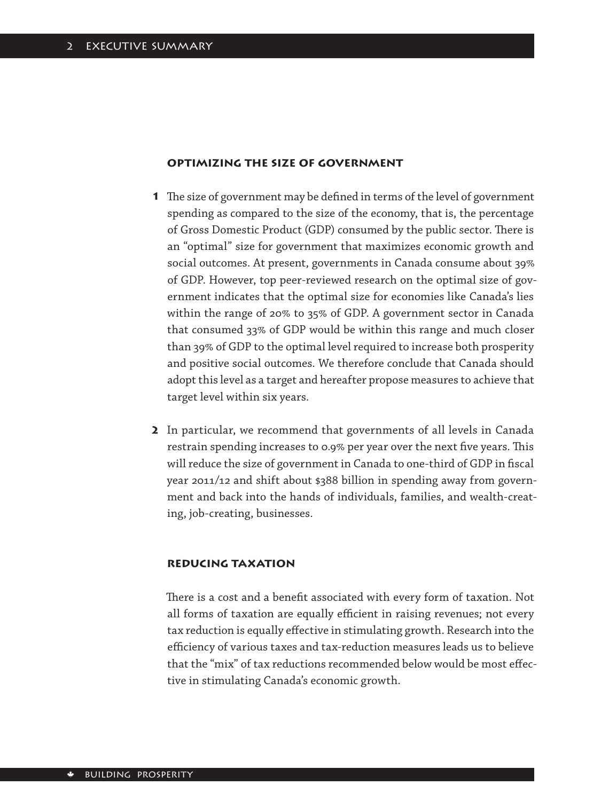#### **optimizing the size of government**

- **1** The size of government may be defined in terms of the level of government spending as compared to the size of the economy, that is, the percentage of Gross Domestic Product (GDP) consumed by the public sector. There is an "optimal" size for government that maximizes economic growth and social outcomes. At present, governments in Canada consume about 39% of GDP. However, top peer-reviewed research on the optimal size of government indicates that the optimal size for economies like Canada's lies within the range of 20% to 35% of GDP. A government sector in Canada that consumed 33% of GDP would be within this range and much closer than 39% of GDP to the optimal level required to increase both prosperity and positive social outcomes. We therefore conclude that Canada should adopt this level as a target and hereafter propose measures to achieve that target level within six years.
- **2** In particular, we recommend that governments of all levels in Canada restrain spending increases to 0.9% per year over the next five years. This will reduce the size of government in Canada to one-third of GDP in fiscal year 2011/12 and shift about \$388 billion in spending away from government and back into the hands of individuals, families, and wealth-creating, job-creating, businesses.

#### **reducing taxation**

There is a cost and a benefit associated with every form of taxation. Not all forms of taxation are equally efficient in raising revenues; not every tax reduction is equally effective in stimulating growth. Research into the efficiency of various taxes and tax-reduction measures leads us to believe that the "mix" of tax reductions recommended below would be most effective in stimulating Canada's economic growth.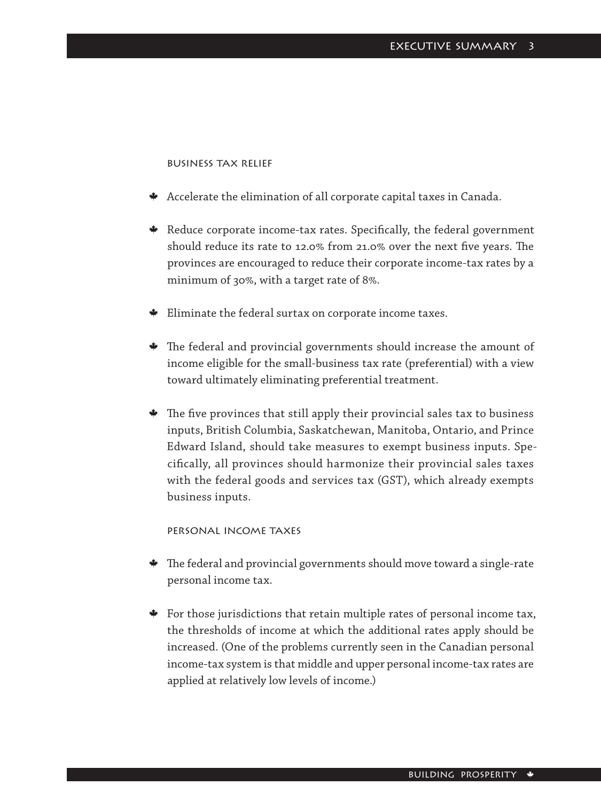#### business tax relief

- Accelerate the elimination of all corporate capital taxes in Canada.
- Reduce corporate income-tax rates. Specifically, the federal government should reduce its rate to 12.0% from 21.0% over the next five years. The provinces are encouraged to reduce their corporate income-tax rates by a minimum of 30%, with a target rate of 8%.
- $\textcolor{blue}{\bullet}$  Eliminate the federal surtax on corporate income taxes.
- The federal and provincial governments should increase the amount of income eligible for the small-business tax rate (preferential) with a view toward ultimately eliminating preferential treatment.
- $\bullet$  The five provinces that still apply their provincial sales tax to business inputs, British Columbia, Saskatchewan, Manitoba, Ontario, and Prince Edward Island, should take measures to exempt business inputs. Specifically, all provinces should harmonize their provincial sales taxes with the federal goods and services tax (GST), which already exempts business inputs.

personal income taxes

- The federal and provincial governments should move toward a single-rate personal income tax.
- $\bullet$  For those jurisdictions that retain multiple rates of personal income tax, the thresholds of income at which the additional rates apply should be increased. (One of the problems currently seen in the Canadian personal income-tax system is that middle and upper personal income-tax rates are applied at relatively low levels of income.)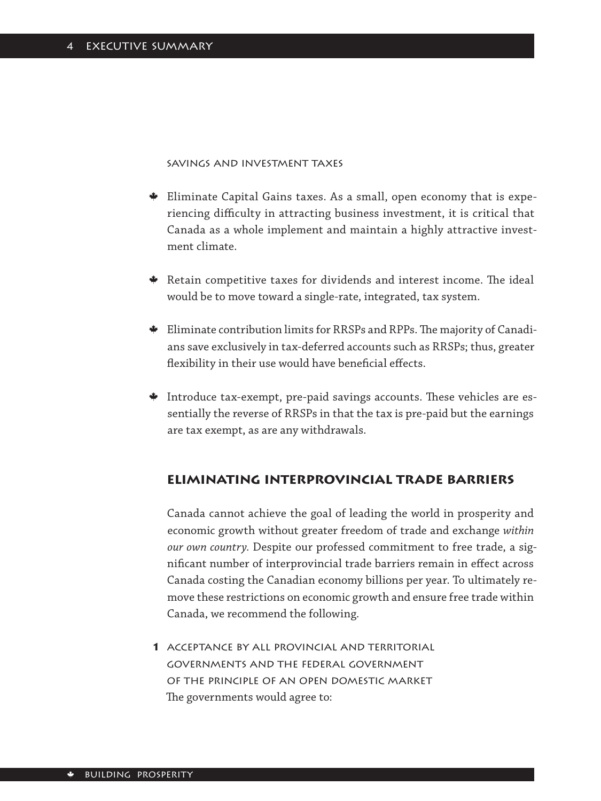#### savings and investment taxes

- Eliminate Capital Gains taxes. As a small, open economy that is experiencing difficulty in attracting business investment, it is critical that Canada as a whole implement and maintain a highly attractive investment climate.
- Retain competitive taxes for dividends and interest income. The ideal would be to move toward a single-rate, integrated, tax system.
- Eliminate contribution limits for RRSPs and RPPs. The majority of Canadians save exclusively in tax-deferred accounts such as RRSPs; thus, greater flexibility in their use would have beneficial effects.
- Introduce tax-exempt, pre-paid savings accounts. These vehicles are essentially the reverse of RRSPs in that the tax is pre-paid but the earnings are tax exempt, as are any withdrawals.

#### **eliminating interprovincial trade barriers**

Canada cannot achieve the goal of leading the world in prosperity and economic growth without greater freedom of trade and exchange *within our own country.* Despite our professed commitment to free trade, a significant number of interprovincial trade barriers remain in effect across Canada costing the Canadian economy billions per year. To ultimately remove these restrictions on economic growth and ensure free trade within Canada, we recommend the following.

**1** acceptance by all provincial and territorial governments and the federal government of the principle of an open domestic market The governments would agree to: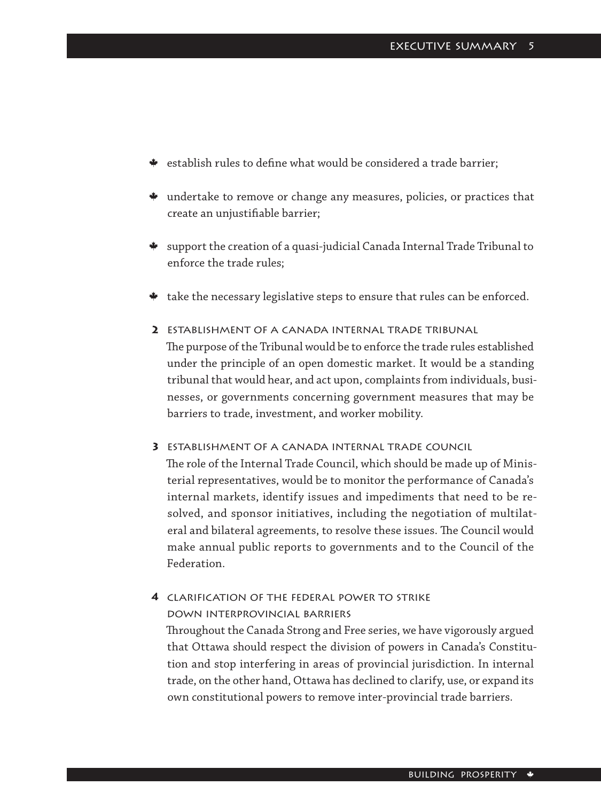- $*$  establish rules to define what would be considered a trade barrier;
- undertake to remove or change any measures, policies, or practices that create an unjustifiable barrier;
- $\bullet\quad$  support the creation of a quasi-judicial Canada Internal Trade Tribunal to enforce the trade rules;
- take the necessary legislative steps to ensure that rules can be enforced.
- **2** establishment of a canada internal trade tribunal The purpose of the Tribunal would be to enforce the trade rules established under the principle of an open domestic market. It would be a standing tribunal that would hear, and act upon, complaints from individuals, businesses, or governments concerning government measures that may be barriers to trade, investment, and worker mobility.

**3** establishment of a canada internal trade council The role of the Internal Trade Council, which should be made up of Ministerial representatives, would be to monitor the performance of Canada's internal markets, identify issues and impediments that need to be resolved, and sponsor initiatives, including the negotiation of multilateral and bilateral agreements, to resolve these issues. The Council would make annual public reports to governments and to the Council of the Federation.

#### **4** clarification of the federal power to strike down interprovincial barriers

Throughout the Canada Strong and Free series, we have vigorously argued that Ottawa should respect the division of powers in Canada's Constitution and stop interfering in areas of provincial jurisdiction. In internal trade, on the other hand, Ottawa has declined to clarify, use, or expand its own constitutional powers to remove inter-provincial trade barriers.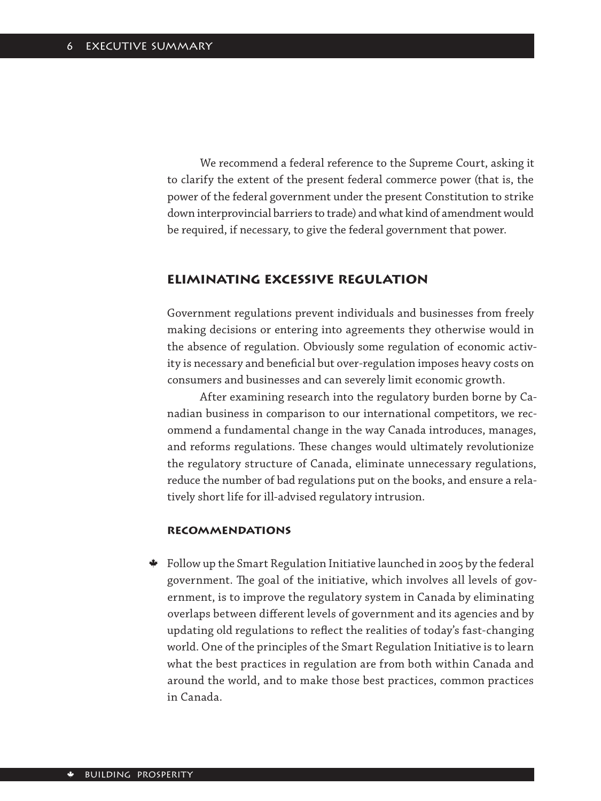We recommend a federal reference to the Supreme Court, asking it to clarify the extent of the present federal commerce power (that is, the power of the federal government under the present Constitution to strike down interprovincial barriers to trade) and what kind of amendment would be required, if necessary, to give the federal government that power.

#### **eliminating excessive regulation**

Government regulations prevent individuals and businesses from freely making decisions or entering into agreements they otherwise would in the absence of regulation. Obviously some regulation of economic activity is necessary and beneficial but over-regulation imposes heavy costs on consumers and businesses and can severely limit economic growth.

After examining research into the regulatory burden borne by Canadian business in comparison to our international competitors, we recommend a fundamental change in the way Canada introduces, manages, and reforms regulations. These changes would ultimately revolutionize the regulatory structure of Canada, eliminate unnecessary regulations, reduce the number of bad regulations put on the books, and ensure a relatively short life for ill-advised regulatory intrusion.

#### **recommendations**

 Follow up the Smart Regulation Initiative launched in 2005 by the federal government. The goal of the initiative, which involves all levels of government, is to improve the regulatory system in Canada by eliminating overlaps between different levels of government and its agencies and by updating old regulations to reflect the realities of today's fast-changing world. One of the principles of the Smart Regulation Initiative is to learn what the best practices in regulation are from both within Canada and around the world, and to make those best practices, common practices in Canada.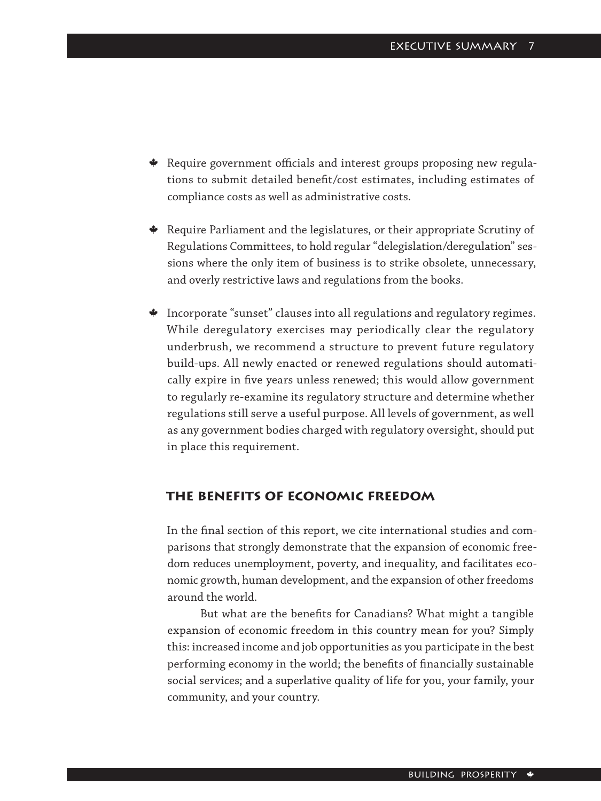- Require government officials and interest groups proposing new regulations to submit detailed benefit/cost estimates, including estimates of compliance costs as well as administrative costs.
- $\bullet\;\;$  Require Parliament and the legislatures, or their appropriate Scrutiny of Regulations Committees, to hold regular "delegislation/deregulation" sessions where the only item of business is to strike obsolete, unnecessary, and overly restrictive laws and regulations from the books.
- $\bullet$  Incorporate "sunset" clauses into all regulations and regulatory regimes. While deregulatory exercises may periodically clear the regulatory underbrush, we recommend a structure to prevent future regulatory build-ups. All newly enacted or renewed regulations should automatically expire in five years unless renewed; this would allow government to regularly re-examine its regulatory structure and determine whether regulations still serve a useful purpose. All levels of government, as well as any government bodies charged with regulatory oversight, should put in place this requirement.

#### **the benefits of economic freedom**

In the final section of this report, we cite international studies and comparisons that strongly demonstrate that the expansion of economic freedom reduces unemployment, poverty, and inequality, and facilitates economic growth, human development, and the expansion of other freedoms around the world.

But what are the benefits for Canadians? What might a tangible expansion of economic freedom in this country mean for you? Simply this: increased income and job opportunities as you participate in the best performing economy in the world; the benefits of financially sustainable social services; and a superlative quality of life for you, your family, your community, and your country.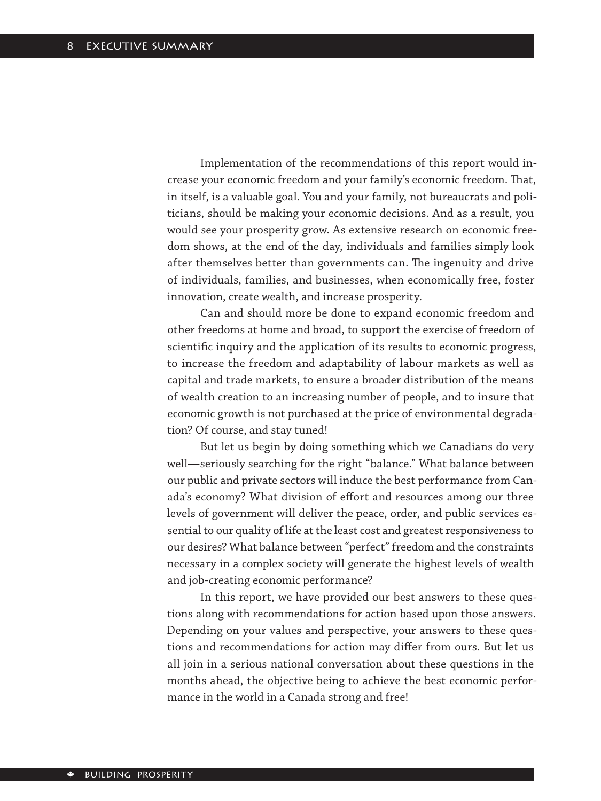Implementation of the recommendations of this report would increase your economic freedom and your family's economic freedom. That, in itself, is a valuable goal. You and your family, not bureaucrats and politicians, should be making your economic decisions. And as a result, you would see your prosperity grow. As extensive research on economic freedom shows, at the end of the day, individuals and families simply look after themselves better than governments can. The ingenuity and drive of individuals, families, and businesses, when economically free, foster innovation, create wealth, and increase prosperity.

Can and should more be done to expand economic freedom and other freedoms at home and broad, to support the exercise of freedom of scientific inquiry and the application of its results to economic progress, to increase the freedom and adaptability of labour markets as well as capital and trade markets, to ensure a broader distribution of the means of wealth creation to an increasing number of people, and to insure that economic growth is not purchased at the price of environmental degradation? Of course, and stay tuned!

But let us begin by doing something which we Canadians do very well—seriously searching for the right "balance." What balance between our public and private sectors will induce the best performance from Canada's economy? What division of effort and resources among our three levels of government will deliver the peace, order, and public services essential to our quality of life at the least cost and greatest responsiveness to our desires? What balance between "perfect" freedom and the constraints necessary in a complex society will generate the highest levels of wealth and job-creating economic performance?

In this report, we have provided our best answers to these questions along with recommendations for action based upon those answers. Depending on your values and perspective, your answers to these questions and recommendations for action may differ from ours. But let us all join in a serious national conversation about these questions in the months ahead, the objective being to achieve the best economic performance in the world in a Canada strong and free!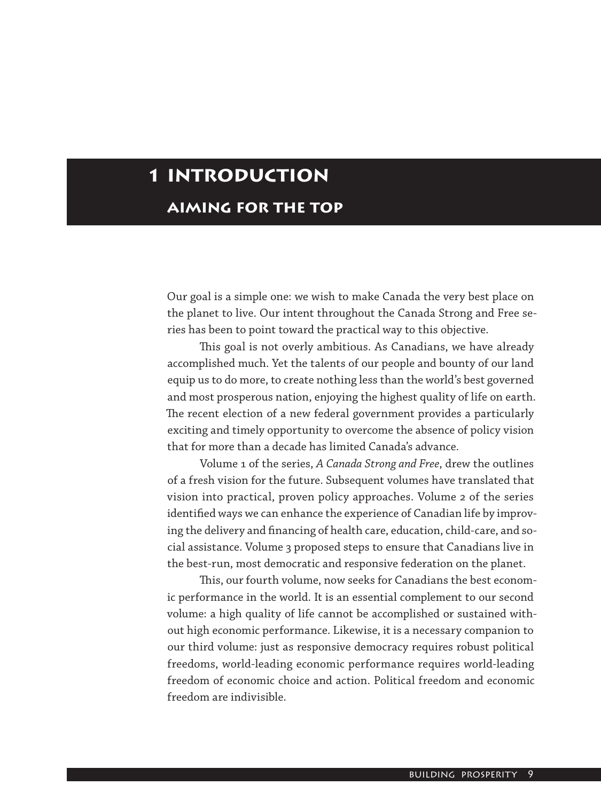# **1 introduction**

#### **aiming for the top**

Our goal is a simple one: we wish to make Canada the very best place on the planet to live. Our intent throughout the Canada Strong and Free series has been to point toward the practical way to this objective.

This goal is not overly ambitious. As Canadians, we have already accomplished much. Yet the talents of our people and bounty of our land equip us to do more, to create nothing less than the world's best governed and most prosperous nation, enjoying the highest quality of life on earth. The recent election of a new federal government provides a particularly exciting and timely opportunity to overcome the absence of policy vision that for more than a decade has limited Canada's advance.

Volume 1 of the series, *A Canada Strong and Free*, drew the outlines of a fresh vision for the future. Subsequent volumes have translated that vision into practical, proven policy approaches. Volume 2 of the series identified ways we can enhance the experience of Canadian life by improving the delivery and financing of health care, education, child-care, and social assistance. Volume 3 proposed steps to ensure that Canadians live in the best-run, most democratic and responsive federation on the planet.

This, our fourth volume, now seeks for Canadians the best economic performance in the world. It is an essential complement to our second volume: a high quality of life cannot be accomplished or sustained without high economic performance. Likewise, it is a necessary companion to our third volume: just as responsive democracy requires robust political freedoms, world-leading economic performance requires world-leading freedom of economic choice and action. Political freedom and economic freedom are indivisible.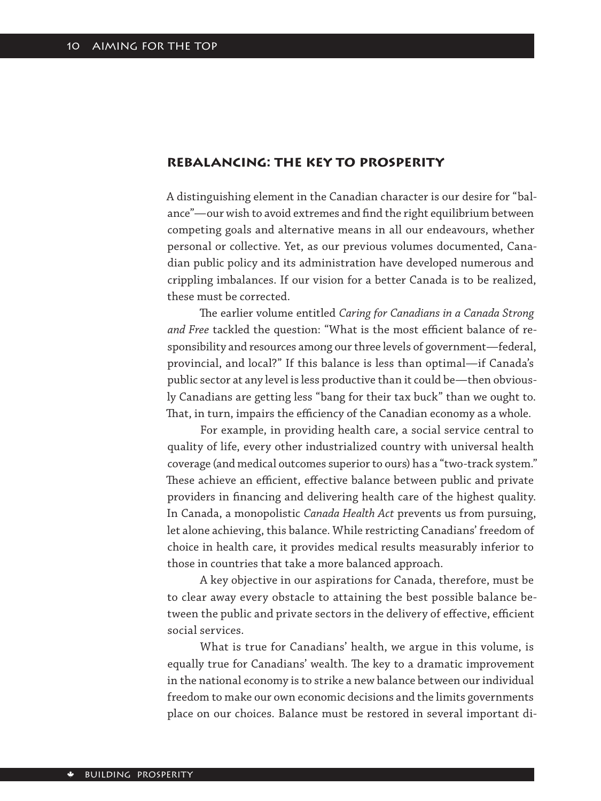#### **rebalancing: the key to prosperity**

A distinguishing element in the Canadian character is our desire for "balance"—our wish to avoid extremes and find the right equilibrium between competing goals and alternative means in all our endeavours, whether personal or collective. Yet, as our previous volumes documented, Canadian public policy and its administration have developed numerous and crippling imbalances. If our vision for a better Canada is to be realized, these must be corrected.

The earlier volume entitled *Caring for Canadians in a Canada Strong and Free* tackled the question: "What is the most efficient balance of responsibility and resources among our three levels of government—federal, provincial, and local?" If this balance is less than optimal—if Canada's public sector at any level is less productive than it could be—then obviously Canadians are getting less "bang for their tax buck" than we ought to. That, in turn, impairs the efficiency of the Canadian economy as a whole.

For example, in providing health care, a social service central to quality of life, every other industrialized country with universal health coverage (and medical outcomes superior to ours) has a "two-track system." These achieve an efficient, effective balance between public and private providers in financing and delivering health care of the highest quality. In Canada, a monopolistic *Canada Health Act* prevents us from pursuing, let alone achieving, this balance. While restricting Canadians' freedom of choice in health care, it provides medical results measurably inferior to those in countries that take a more balanced approach.

A key objective in our aspirations for Canada, therefore, must be to clear away every obstacle to attaining the best possible balance between the public and private sectors in the delivery of effective, efficient social services.

What is true for Canadians' health, we argue in this volume, is equally true for Canadians' wealth. The key to a dramatic improvement in the national economy is to strike a new balance between our individual freedom to make our own economic decisions and the limits governments place on our choices. Balance must be restored in several important di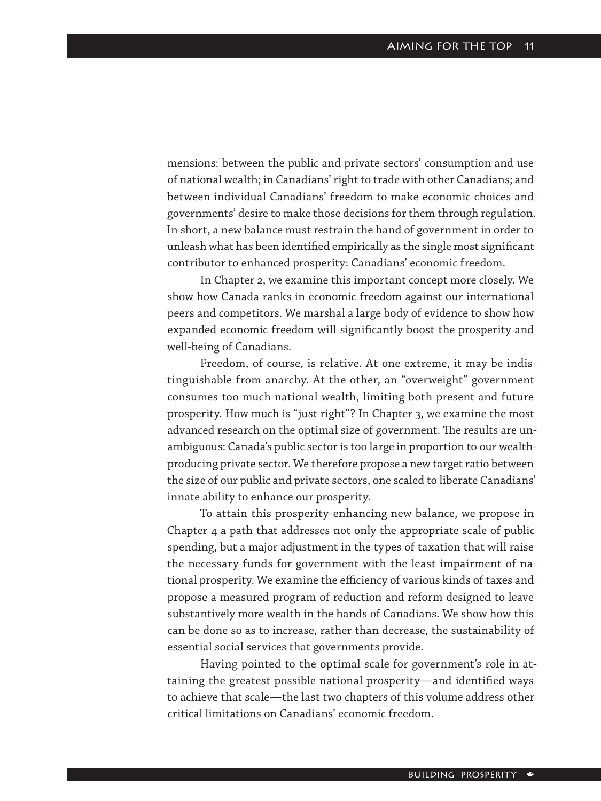mensions: between the public and private sectors' consumption and use of national wealth; in Canadians' right to trade with other Canadians; and between individual Canadians' freedom to make economic choices and governments' desire to make those decisions for them through regulation. In short, a new balance must restrain the hand of government in order to unleash what has been identified empirically as the single most significant contributor to enhanced prosperity: Canadians' economic freedom.

In Chapter 2, we examine this important concept more closely. We show how Canada ranks in economic freedom against our international peers and competitors. We marshal a large body of evidence to show how expanded economic freedom will significantly boost the prosperity and well-being of Canadians.

Freedom, of course, is relative. At one extreme, it may be indistinguishable from anarchy. At the other, an "overweight" government consumes too much national wealth, limiting both present and future prosperity. How much is "just right"? In Chapter 3, we examine the most advanced research on the optimal size of government. The results are unambiguous: Canada's public sector is too large in proportion to our wealthproducing private sector. We therefore propose a new target ratio between the size of our public and private sectors, one scaled to liberate Canadians' innate ability to enhance our prosperity.

To attain this prosperity-enhancing new balance, we propose in Chapter 4 a path that addresses not only the appropriate scale of public spending, but a major adjustment in the types of taxation that will raise the necessary funds for government with the least impairment of national prosperity. We examine the efficiency of various kinds of taxes and propose a measured program of reduction and reform designed to leave substantively more wealth in the hands of Canadians. We show how this can be done so as to increase, rather than decrease, the sustainability of essential social services that governments provide.

Having pointed to the optimal scale for government's role in attaining the greatest possible national prosperity—and identified ways to achieve that scale—the last two chapters of this volume address other critical limitations on Canadians' economic freedom.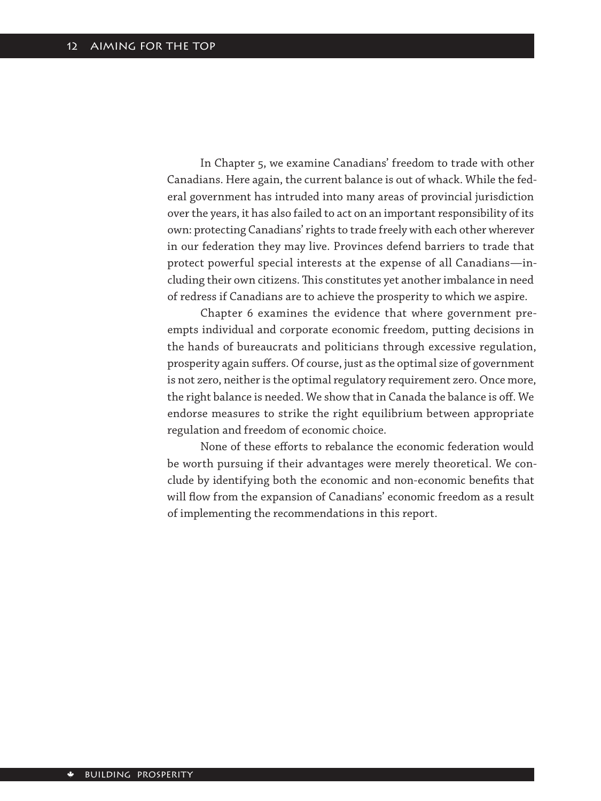In Chapter 5, we examine Canadians' freedom to trade with other Canadians. Here again, the current balance is out of whack. While the federal government has intruded into many areas of provincial jurisdiction over the years, it has also failed to act on an important responsibility of its own: protecting Canadians' rights to trade freely with each other wherever in our federation they may live. Provinces defend barriers to trade that protect powerful special interests at the expense of all Canadians—including their own citizens. This constitutes yet another imbalance in need of redress if Canadians are to achieve the prosperity to which we aspire.

Chapter 6 examines the evidence that where government preempts individual and corporate economic freedom, putting decisions in the hands of bureaucrats and politicians through excessive regulation, prosperity again suffers. Of course, just as the optimal size of government is not zero, neither is the optimal regulatory requirement zero. Once more, the right balance is needed. We show that in Canada the balance is off. We endorse measures to strike the right equilibrium between appropriate regulation and freedom of economic choice.

None of these efforts to rebalance the economic federation would be worth pursuing if their advantages were merely theoretical. We conclude by identifying both the economic and non-economic benefits that will flow from the expansion of Canadians' economic freedom as a result of implementing the recommendations in this report.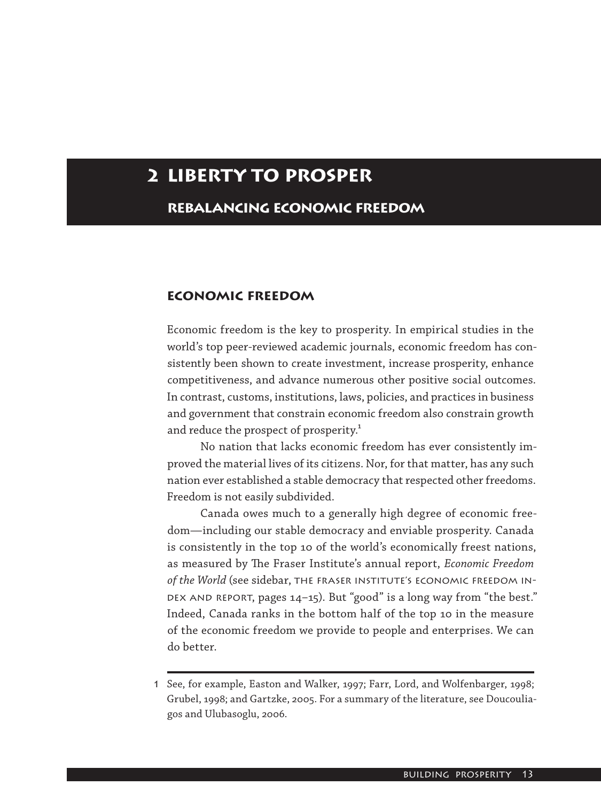## **2 liberty to prosper**

#### **rebalancing economic freedom**

#### **economic freedom**

Economic freedom is the key to prosperity. In empirical studies in the world's top peer-reviewed academic journals, economic freedom has consistently been shown to create investment, increase prosperity, enhance competitiveness, and advance numerous other positive social outcomes. In contrast, customs, institutions, laws, policies, and practices in business and government that constrain economic freedom also constrain growth and reduce the prospect of prosperity.<sup>1</sup>

No nation that lacks economic freedom has ever consistently improved the material lives of its citizens. Nor, for that matter, has any such nation ever established a stable democracy that respected other freedoms. Freedom is not easily subdivided.

Canada owes much to a generally high degree of economic freedom—including our stable democracy and enviable prosperity. Canada is consistently in the top 10 of the world's economically freest nations, as measured by The Fraser Institute's annual report, *Economic Freedom of the World* (see sidebar, the fraser institute's economic freedom index and report, pages 14–15). But "good" is a long way from "the best." Indeed, Canada ranks in the bottom half of the top 10 in the measure of the economic freedom we provide to people and enterprises. We can do better.

 <sup>1</sup> See, for example, Easton and Walker, 1997; Farr, Lord, and Wolfenbarger, 1998; Grubel, 1998; and Gartzke, 2005. For a summary of the literature, see Doucouliagos and Ulubasoglu, 2006.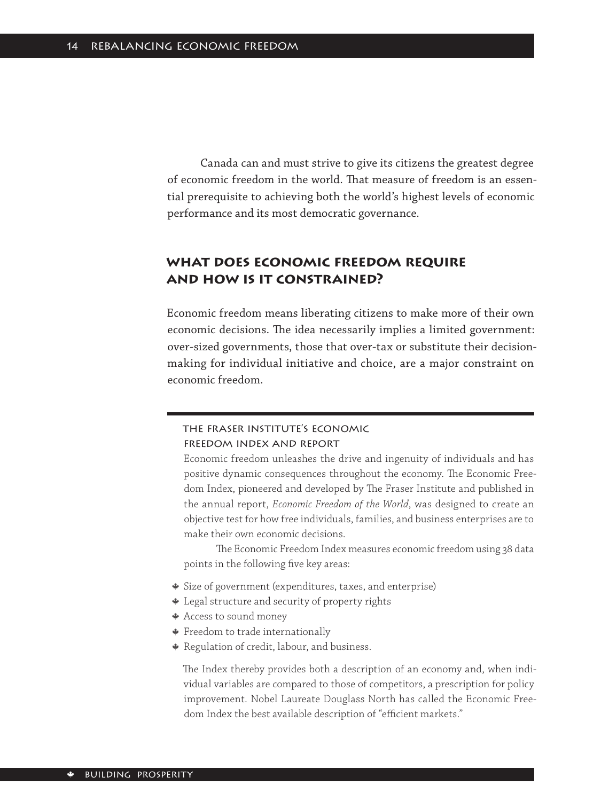Canada can and must strive to give its citizens the greatest degree of economic freedom in the world. That measure of freedom is an essential prerequisite to achieving both the world's highest levels of economic performance and its most democratic governance.

#### **what does economic freedom require and how is it constrained?**

Economic freedom means liberating citizens to make more of their own economic decisions. The idea necessarily implies a limited government: over-sized governments, those that over-tax or substitute their decisionmaking for individual initiative and choice, are a major constraint on economic freedom.

#### the fraser institute's economic freedom index and report

Economic freedom unleashes the drive and ingenuity of individuals and has positive dynamic consequences throughout the economy. The Economic Freedom Index, pioneered and developed by The Fraser Institute and published in the annual report, *Economic Freedom of the World*, was designed to create an objective test for how free individuals, families, and business enterprises are to make their own economic decisions.

The Economic Freedom Index measures economic freedom using 38 data points in the following five key areas:

- Size of government (expenditures, taxes, and enterprise)
- Legal structure and security of property rights
- Access to sound money
- Freedom to trade internationally
- \* Regulation of credit, labour, and business.

The Index thereby provides both a description of an economy and, when individual variables are compared to those of competitors, a prescription for policy improvement. Nobel Laureate Douglass North has called the Economic Freedom Index the best available description of "efficient markets."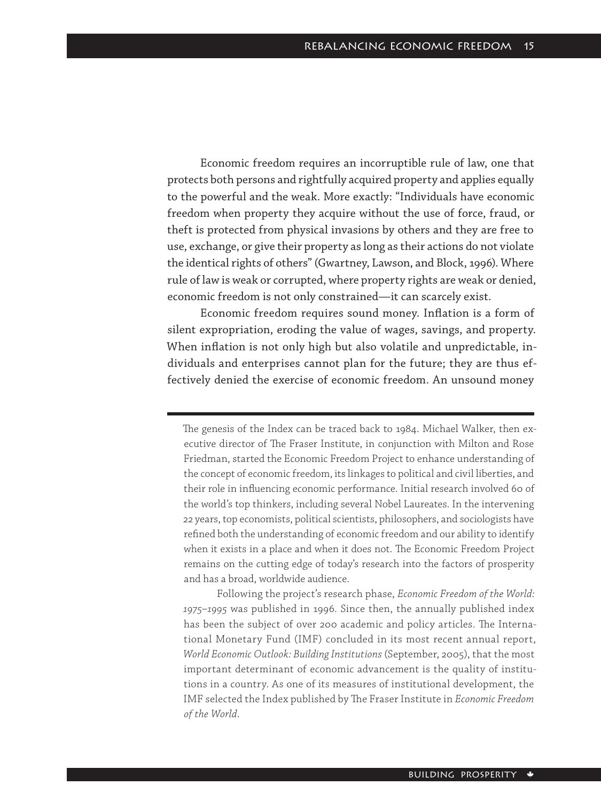Economic freedom requires an incorruptible rule of law, one that protects both persons and rightfully acquired property and applies equally to the powerful and the weak. More exactly: "Individuals have economic freedom when property they acquire without the use of force, fraud, or theft is protected from physical invasions by others and they are free to use, exchange, or give their property as long as their actions do not violate the identical rights of others" (Gwartney, Lawson, and Block, 1996). Where rule of law is weak or corrupted, where property rights are weak or denied, economic freedom is not only constrained—it can scarcely exist.

Economic freedom requires sound money. Inflation is a form of silent expropriation, eroding the value of wages, savings, and property. When inflation is not only high but also volatile and unpredictable, individuals and enterprises cannot plan for the future; they are thus effectively denied the exercise of economic freedom. An unsound money

The genesis of the Index can be traced back to 1984. Michael Walker, then executive director of The Fraser Institute, in conjunction with Milton and Rose Friedman, started the Economic Freedom Project to enhance understanding of the concept of economic freedom, its linkages to political and civil liberties, and their role in influencing economic performance. Initial research involved 60 of the world's top thinkers, including several Nobel Laureates. In the intervening 22 years, top economists, political scientists, philosophers, and sociologists have refined both the understanding of economic freedom and our ability to identify when it exists in a place and when it does not. The Economic Freedom Project remains on the cutting edge of today's research into the factors of prosperity and has a broad, worldwide audience.

Following the project's research phase, *Economic Freedom of the World: 1975–1995* was published in 1996. Since then, the annually published index has been the subject of over 200 academic and policy articles. The International Monetary Fund (IMF) concluded in its most recent annual report, *World Economic Outlook: Building Institutions* (September, 2005), that the most important determinant of economic advancement is the quality of institutions in a country. As one of its measures of institutional development, the IMF selected the Index published by The Fraser Institute in *Economic Freedom of the World*.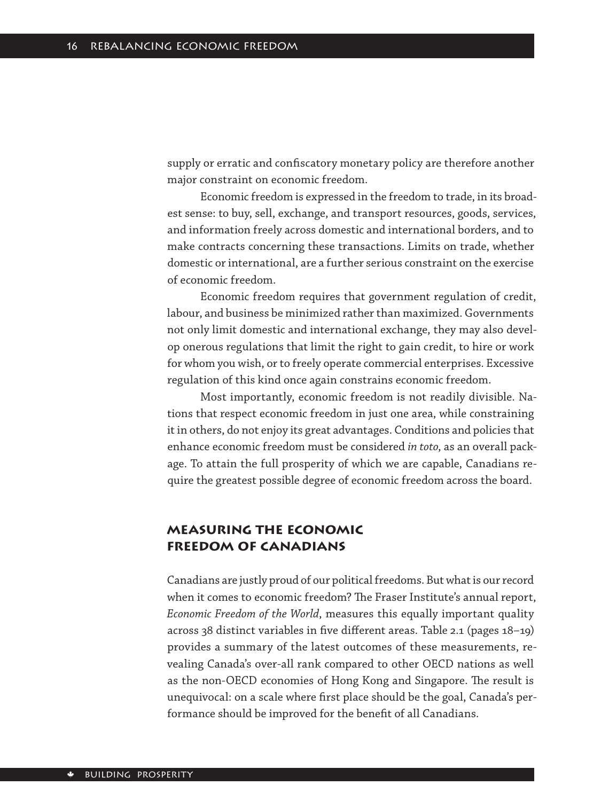supply or erratic and confiscatory monetary policy are therefore another major constraint on economic freedom.

Economic freedom is expressed in the freedom to trade, in its broadest sense: to buy, sell, exchange, and transport resources, goods, services, and information freely across domestic and international borders, and to make contracts concerning these transactions. Limits on trade, whether domestic or international, are a further serious constraint on the exercise of economic freedom.

Economic freedom requires that government regulation of credit, labour, and business be minimized rather than maximized. Governments not only limit domestic and international exchange, they may also develop onerous regulations that limit the right to gain credit, to hire or work for whom you wish, or to freely operate commercial enterprises. Excessive regulation of this kind once again constrains economic freedom.

Most importantly, economic freedom is not readily divisible. Nations that respect economic freedom in just one area, while constraining it in others, do not enjoy its great advantages. Conditions and policies that enhance economic freedom must be considered *in toto*, as an overall package. To attain the full prosperity of which we are capable, Canadians require the greatest possible degree of economic freedom across the board.

#### **measuring the economic freedom of canadians**

Canadians are justly proud of our political freedoms. But what is our record when it comes to economic freedom? The Fraser Institute's annual report, *Economic Freedom of the World*, measures this equally important quality across 38 distinct variables in five different areas. Table 2.1 (pages 18–19) provides a summary of the latest outcomes of these measurements, revealing Canada's over-all rank compared to other OECD nations as well as the non-OECD economies of Hong Kong and Singapore. The result is unequivocal: on a scale where first place should be the goal, Canada's performance should be improved for the benefit of all Canadians.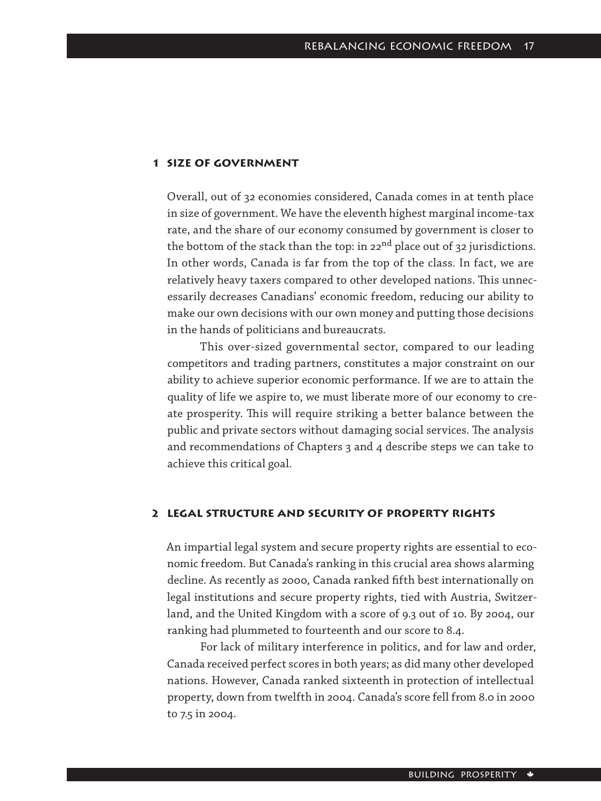#### **1 size of government**

Overall, out of 32 economies considered, Canada comes in at tenth place in size of government. We have the eleventh highest marginal income-tax rate, and the share of our economy consumed by government is closer to the bottom of the stack than the top: in  $22<sup>nd</sup>$  place out of 32 jurisdictions. In other words, Canada is far from the top of the class. In fact, we are relatively heavy taxers compared to other developed nations. This unnecessarily decreases Canadians' economic freedom, reducing our ability to make our own decisions with our own money and putting those decisions in the hands of politicians and bureaucrats.

This over-sized governmental sector, compared to our leading competitors and trading partners, constitutes a major constraint on our ability to achieve superior economic performance. If we are to attain the quality of life we aspire to, we must liberate more of our economy to create prosperity. This will require striking a better balance between the public and private sectors without damaging social services. The analysis and recommendations of Chapters 3 and 4 describe steps we can take to achieve this critical goal.

#### **2 legal structure and security of property rights**

An impartial legal system and secure property rights are essential to economic freedom. But Canada's ranking in this crucial area shows alarming decline. As recently as 2000, Canada ranked fifth best internationally on legal institutions and secure property rights, tied with Austria, Switzerland, and the United Kingdom with a score of 9.3 out of 10. By 2004, our ranking had plummeted to fourteenth and our score to 8.4.

For lack of military interference in politics, and for law and order, Canada received perfect scores in both years; as did many other developed nations. However, Canada ranked sixteenth in protection of intellectual property, down from twelfth in 2004. Canada's score fell from 8.0 in 2000 to 7.5 in 2004.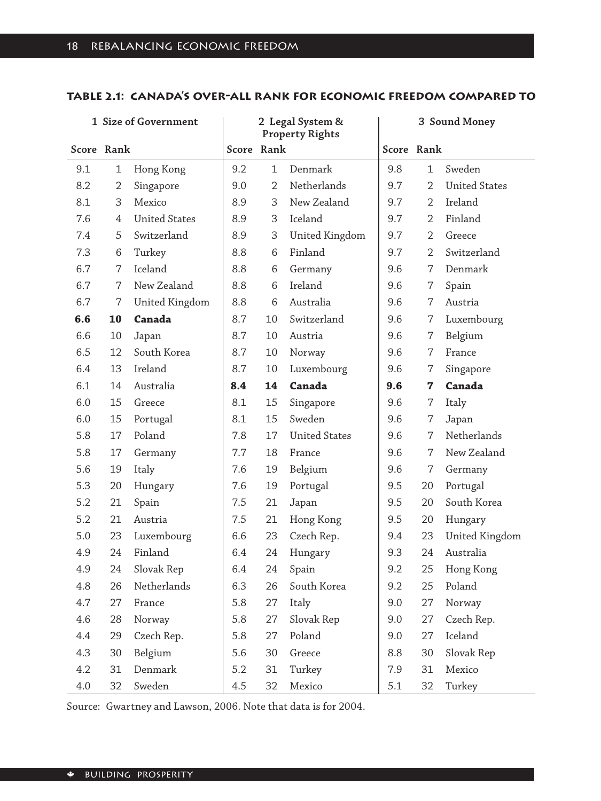#### **table 2.1: canada's over-all rank for economic freedom compared to that of other oecd nations, hong kong, and singapore**

| 1 Size of Government |                |                      | 2 Legal System &<br><b>Property Rights</b> |    |                       | 3 Sound Money |                |                      |
|----------------------|----------------|----------------------|--------------------------------------------|----|-----------------------|---------------|----------------|----------------------|
| Score Rank           |                |                      | Score Rank                                 |    |                       | Score Rank    |                |                      |
| 9.1                  | $\mathbf 1$    | Hong Kong            | 9.2                                        |    | 1 Denmark             | 9.8           | $\mathbf{1}$   | Sweden               |
| 8.2                  | $\overline{2}$ | Singapore            | 9.0                                        |    | 2 Netherlands         | 9.7           | $\overline{2}$ | <b>United States</b> |
| 8.1                  | 3              | Mexico               | 8.9                                        | 3  | New Zealand           | 9.7           | $\overline{2}$ | Ireland              |
| 7.6                  | 4              | <b>United States</b> | 8.9                                        | 3  | Iceland               | 9.7           | $\overline{2}$ | Finland              |
| 7.4                  | 5              | Switzerland          | 8.9                                        | 3  | <b>United Kingdom</b> | 9.7           | $\overline{2}$ | Greece               |
| 7.3                  | 6              | Turkey               | 8.8                                        | 6  | Finland               | 9.7           | 2              | Switzerland          |
| 6.7                  | 7              | Iceland              | 8.8                                        | 6  | Germany               | 9.6           | 7              | Denmark              |
| 6.7                  | 7              | New Zealand          | 8.8                                        | 6  | Ireland               | 9.6           | 7              | Spain                |
| 6.7                  | 7              | United Kingdom       | 8.8                                        | 6  | Australia             | 9.6           | 7              | Austria              |
| 6.6                  | 10             | Canada               | 8.7                                        | 10 | Switzerland           | 9.6           | 7              | Luxembourg           |
| 6.6                  | 10             | Japan                | 8.7                                        | 10 | Austria               | 9.6           | $\overline{7}$ | Belgium              |
| 6.5                  | 12             | South Korea          | 8.7                                        | 10 | Norway                | 9.6           | $\overline{7}$ | France               |
| 6.4                  | 13             | Ireland              | 8.7                                        | 10 | Luxembourg            | 9.6           | 7              | Singapore            |
| 6.1                  | 14             | Australia            | 8.4                                        | 14 | Canada                | 9.6           | $\mathbf 7$    | Canada               |
| 6.0                  | 15             | Greece               | 8.1                                        | 15 | Singapore             | 9.6           | $\overline{7}$ | Italy                |
| 6.0                  | 15             | Portugal             | 8.1                                        | 15 | Sweden                | 9.6           | 7              | Japan                |
| 5.8                  | 17             | Poland               | 7.8                                        | 17 | <b>United States</b>  | 9.6           | 7              | Netherlands          |
| 5.8                  | 17             | Germany              | 7.7                                        | 18 | France                | 9.6           | 7              | New Zealand          |
| 5.6                  | 19             | Italy                | 7.6                                        | 19 | Belgium               | 9.6           | $\overline{7}$ | Germany              |
| 5.3                  | 20             | Hungary              | 7.6                                        | 19 | Portugal              | 9.5           | 20             | Portugal             |
| 5.2                  | 21             | Spain                | 7.5                                        | 21 | Japan                 | 9.5           | 20             | South Korea          |
| 5.2                  | 21             | Austria              | 7.5                                        | 21 | Hong Kong             | 9.5           | 20             | Hungary              |
| 5.0                  | 23             | Luxembourg           | 6.6                                        | 23 | Czech Rep.            | 9.4           | 23             | United Kingdom       |
| 4.9                  | 24             | Finland              | 6.4                                        | 24 | Hungary               | 9.3           | 24             | Australia            |
| 4.9                  | 24             | Slovak Rep           | 6.4                                        | 24 | Spain                 | 9.2           | 25             | Hong Kong            |
| 4.8                  | 26             | Netherlands          | 6.3                                        | 26 | South Korea           | 9.2           | 25             | Poland               |
| 4.7                  | 27             | France               | 5.8                                        | 27 | Italy                 | 9.0           | 27             | Norway               |
| 4.6                  | 28             | Norway               | 5.8                                        | 27 | Slovak Rep            | 9.0           | 27             | Czech Rep.           |
| 4.4                  | 29             | Czech Rep.           | 5.8                                        | 27 | Poland                | 9.0           | 27             | Iceland              |
| 4.3                  | 30             | Belgium              | 5.6                                        |    | 30 Greece             | 8.8           |                | 30 Slovak Rep        |
| 4.2                  | 31             | Denmark              | 5.2                                        |    | 31 Turkey             | 7.9           | 31             | Mexico               |
|                      |                |                      |                                            |    |                       |               |                |                      |
| 4.0                  |                | 32 Sweden            | 4.5                                        |    | 32 Mexico             | 5.1           |                | 32 Turkey            |

Source: Gwartney and Lawson, 2006. Note that data is for 2004.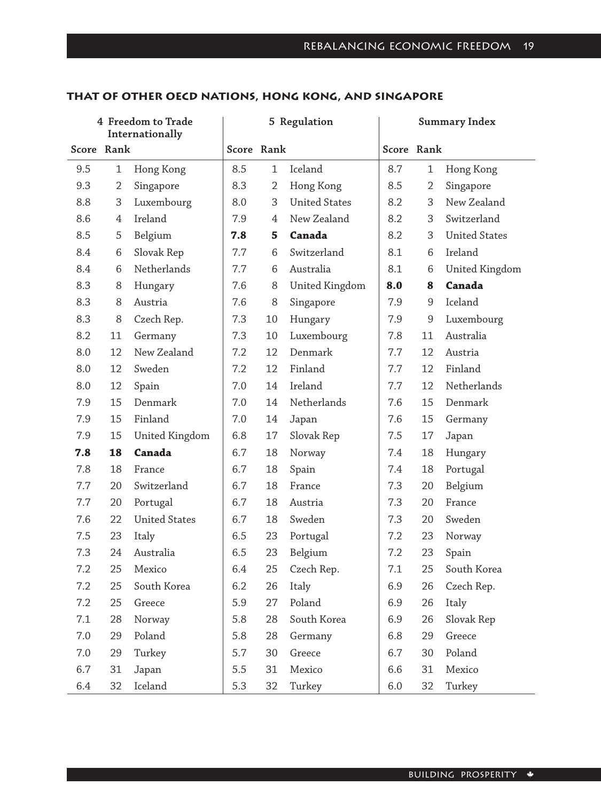| 4 Freedom to Trade<br>Internationally |                |                      |            | 5 Regulation    | <b>Summary Index</b> |            |              |                       |
|---------------------------------------|----------------|----------------------|------------|-----------------|----------------------|------------|--------------|-----------------------|
| Score Rank                            |                |                      | Score Rank |                 |                      | Score Rank |              |                       |
| 9.5                                   | $\mathbf{1}$   | Hong Kong            | 8.5        |                 | 1 Iceland            | 8.7        | $\mathbf{1}$ | Hong Kong             |
| 9.3                                   | 2              | Singapore            | 8.3        | $2^{\circ}$     | Hong Kong            | 8.5        | 2            | Singapore             |
| 8.8                                   | 3              | Luxembourg           | 8.0        | 3               | <b>United States</b> | 8.2        | 3            | New Zealand           |
| 8.6                                   | $\overline{4}$ | Ireland              | 7.9        | 4               | New Zealand          | 8.2        | 3            | Switzerland           |
| 8.5                                   | 5              | Belgium              | 7.8        | 5               | Canada               | 8.2        | 3            | <b>United States</b>  |
| 8.4                                   | 6              | Slovak Rep           | 7.7        | 6               | Switzerland          | 8.1        | 6            | Ireland               |
| 8.4                                   | 6              | Netherlands          | 7.7        | 6               | Australia            | 8.1        | 6            | <b>United Kingdom</b> |
| 8.3                                   | 8              | Hungary              | 7.6        | 8               | United Kingdom       | 8.0        | 8            | Canada                |
| 8.3                                   | 8              | Austria              | 7.6        | 8               | Singapore            | 7.9        | 9            | Iceland               |
| 8.3                                   | 8              | Czech Rep.           | 7.3        | 10 <sup>°</sup> | Hungary              | 7.9        | 9            | Luxembourg            |
| 8.2                                   | 11             | Germany              | 7.3        | 10              | Luxembourg           | 7.8        | 11           | Australia             |
| 8.0                                   | 12             | New Zealand          | 7.2        | 12              | Denmark              | 7.7        | 12           | Austria               |
| 8.0                                   | 12             | Sweden               | 7.2        | 12              | Finland              | 7.7        | 12           | Finland               |
| 8.0                                   | 12             | Spain                | 7.0        | 14              | Ireland              | 7.7        | 12           | Netherlands           |
| 7.9                                   | 15             | Denmark              | 7.0        | 14              | Netherlands          | 7.6        | 15           | Denmark               |
| 7.9                                   | 15             | Finland              | 7.0        | 14              | Japan                | 7.6        | 15           | Germany               |
| 7.9                                   | 15             | United Kingdom       | 6.8        | 17              | Slovak Rep           | 7.5        | 17           | Japan                 |
| 7.8                                   | 18             | Canada               | 6.7        | 18              | Norway               | 7.4        | 18           | Hungary               |
| 7.8                                   | 18             | France               | 6.7        | 18              | Spain                | 7.4        | 18           | Portugal              |
| 7.7                                   | 20             | Switzerland          | 6.7        | 18              | France               | 7.3        | 20           | Belgium               |
| 7.7                                   | 20             | Portugal             | 6.7        | 18              | Austria              | 7.3        | 20           | France                |
| 7.6                                   | 22             | <b>United States</b> | 6.7        | 18              | Sweden               | 7.3        | 20           | Sweden                |
| 7.5                                   | 23             | Italy                | 6.5        | 23              | Portugal             | 7.2        | 23           | Norway                |
| 7.3                                   | 24             | Australia            | 6.5        | 23              | Belgium              | 7.2        | 23           | Spain                 |
| 7.2                                   | 25             | Mexico               | 6.4        | 25              | Czech Rep.           | 7.1        | 25           | South Korea           |
| 7.2                                   | 25             | South Korea          | 6.2        | 26              | Italy                | 6.9        | 26           | Czech Rep.            |
| 7.2                                   | 25             | Greece               | 5.9        | 27              | Poland               | 6.9        | 26           | Italy                 |
|                                       |                |                      |            |                 |                      |            |              |                       |
| 7.1                                   | 28             | Norway               | 5.8        | 28              | South Korea          | 6.9        | 26           | Slovak Rep            |

4.3 30 Belgium 5.6 30 Greece 8.8 30 Slovak Rep 7.0 29 Turkey 5.7 30 Greece 6.7 30 Poland 4.2 31 Denmark 5.2 31 Turkey 7.9 31 Mexico 6.7 31 Japan 5.5 31 Mexico 6.6 31 Mexico 4.0 32 Sweden 4.5 32 Mexico 5.1 32 Turkey 6.4 32 Iceland 5.3 32 Turkey 6.0 32 Turkey

#### **THAT OF OTHER OECD NATIONS, HONG KONG, AND SINGAPORE**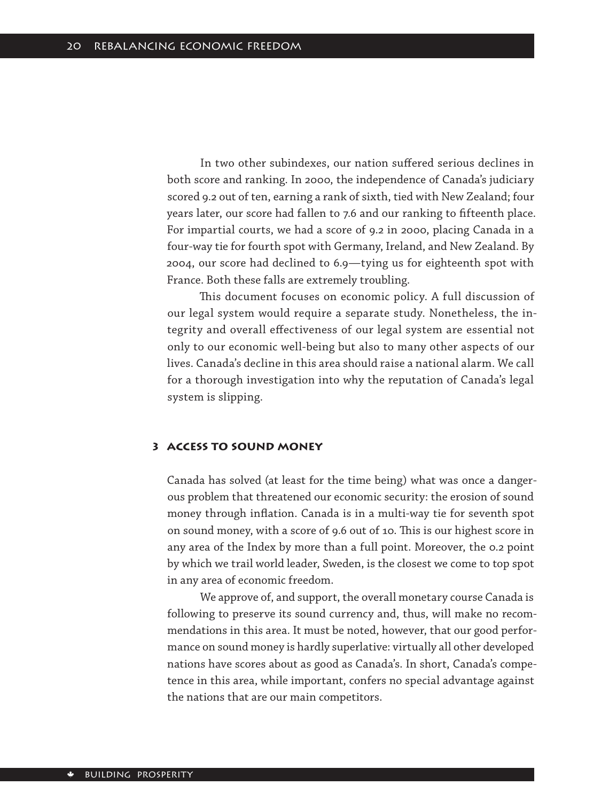In two other subindexes, our nation suffered serious declines in both score and ranking. In 2000, the independence of Canada's judiciary scored 9.2 out of ten, earning a rank of sixth, tied with New Zealand; four years later, our score had fallen to 7.6 and our ranking to fifteenth place. For impartial courts, we had a score of 9.2 in 2000, placing Canada in a four-way tie for fourth spot with Germany, Ireland, and New Zealand. By 2004, our score had declined to 6.9—tying us for eighteenth spot with France. Both these falls are extremely troubling.

This document focuses on economic policy. A full discussion of our legal system would require a separate study. Nonetheless, the integrity and overall effectiveness of our legal system are essential not only to our economic well-being but also to many other aspects of our lives. Canada's decline in this area should raise a national alarm. We call for a thorough investigation into why the reputation of Canada's legal system is slipping.

#### **3 access to sound money**

Canada has solved (at least for the time being) what was once a dangerous problem that threatened our economic security: the erosion of sound money through inflation. Canada is in a multi-way tie for seventh spot on sound money, with a score of 9.6 out of 10. This is our highest score in any area of the Index by more than a full point. Moreover, the 0.2 point by which we trail world leader, Sweden, is the closest we come to top spot in any area of economic freedom.

We approve of, and support, the overall monetary course Canada is following to preserve its sound currency and, thus, will make no recommendations in this area. It must be noted, however, that our good performance on sound money is hardly superlative: virtually all other developed nations have scores about as good as Canada's. In short, Canada's competence in this area, while important, confers no special advantage against the nations that are our main competitors.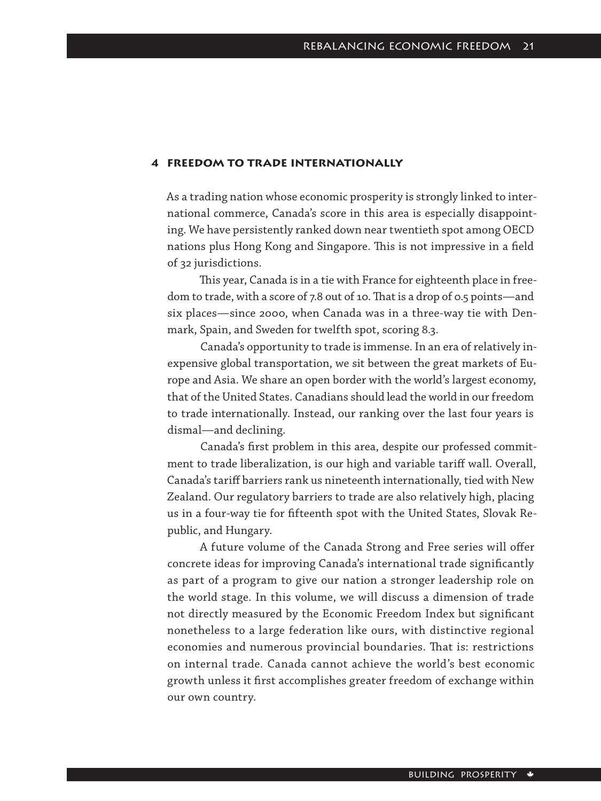#### **4 freedom to trade internationally**

As a trading nation whose economic prosperity is strongly linked to international commerce, Canada's score in this area is especially disappointing. We have persistently ranked down near twentieth spot among OECD nations plus Hong Kong and Singapore. This is not impressive in a field of 32 jurisdictions.

This year, Canada is in a tie with France for eighteenth place in freedom to trade, with a score of 7.8 out of 10. That is a drop of 0.5 points—and six places—since 2000, when Canada was in a three-way tie with Denmark, Spain, and Sweden for twelfth spot, scoring 8.3.

Canada's opportunity to trade is immense. In an era of relatively inexpensive global transportation, we sit between the great markets of Europe and Asia. We share an open border with the world's largest economy, that of the United States. Canadians should lead the world in our freedom to trade internationally. Instead, our ranking over the last four years is dismal—and declining.

Canada's first problem in this area, despite our professed commitment to trade liberalization, is our high and variable tariff wall. Overall, Canada's tariff barriers rank us nineteenth internationally, tied with New Zealand. Our regulatory barriers to trade are also relatively high, placing us in a four-way tie for fifteenth spot with the United States, Slovak Republic, and Hungary.

A future volume of the Canada Strong and Free series will offer concrete ideas for improving Canada's international trade significantly as part of a program to give our nation a stronger leadership role on the world stage. In this volume, we will discuss a dimension of trade not directly measured by the Economic Freedom Index but significant nonetheless to a large federation like ours, with distinctive regional economies and numerous provincial boundaries. That is: restrictions on internal trade. Canada cannot achieve the world's best economic growth unless it first accomplishes greater freedom of exchange within our own country.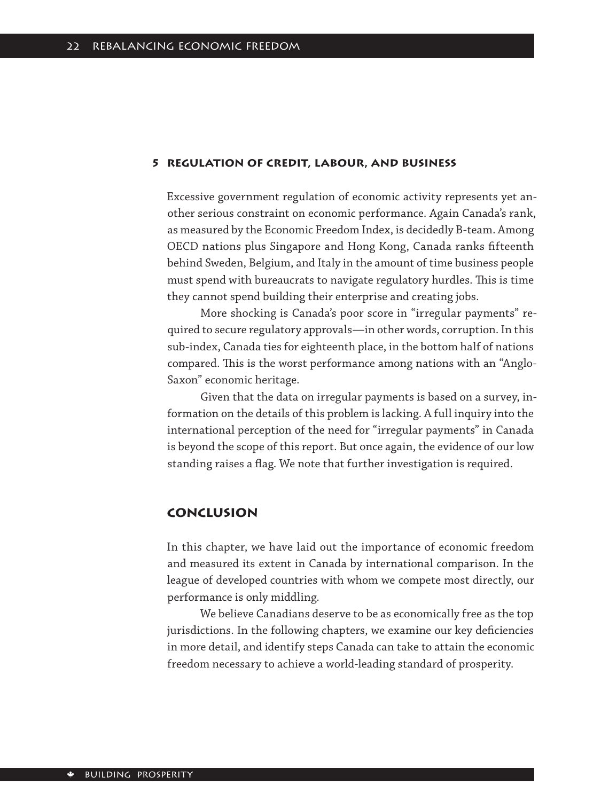#### **5 regulation of credit, labour, and business**

Excessive government regulation of economic activity represents yet another serious constraint on economic performance. Again Canada's rank, as measured by the Economic Freedom Index, is decidedly B-team. Among OECD nations plus Singapore and Hong Kong, Canada ranks fifteenth behind Sweden, Belgium, and Italy in the amount of time business people must spend with bureaucrats to navigate regulatory hurdles. This is time they cannot spend building their enterprise and creating jobs.

More shocking is Canada's poor score in "irregular payments" required to secure regulatory approvals—in other words, corruption. In this sub-index, Canada ties for eighteenth place, in the bottom half of nations compared. This is the worst performance among nations with an "Anglo-Saxon" economic heritage.

Given that the data on irregular payments is based on a survey, information on the details of this problem is lacking. A full inquiry into the international perception of the need for "irregular payments" in Canada is beyond the scope of this report. But once again, the evidence of our low standing raises a flag. We note that further investigation is required.

#### **conclusion**

In this chapter, we have laid out the importance of economic freedom and measured its extent in Canada by international comparison. In the league of developed countries with whom we compete most directly, our performance is only middling.

We believe Canadians deserve to be as economically free as the top jurisdictions. In the following chapters, we examine our key deficiencies in more detail, and identify steps Canada can take to attain the economic freedom necessary to achieve a world-leading standard of prosperity.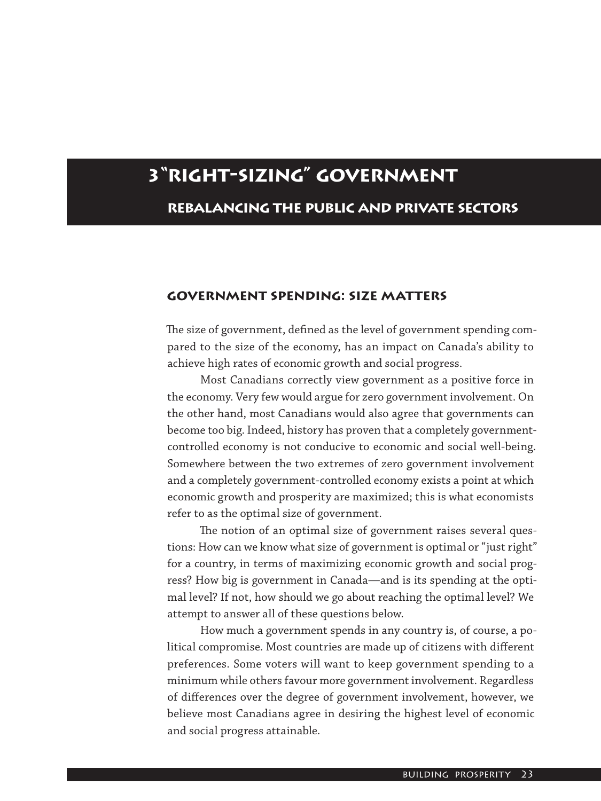# **3"right-sizing" government**

**rebalancing the public and private sectors** 

#### **government spending: size matters**

The size of government, defined as the level of government spending compared to the size of the economy, has an impact on Canada's ability to achieve high rates of economic growth and social progress.

Most Canadians correctly view government as a positive force in the economy. Very few would argue for zero government involvement. On the other hand, most Canadians would also agree that governments can become too big. Indeed, history has proven that a completely governmentcontrolled economy is not conducive to economic and social well-being. Somewhere between the two extremes of zero government involvement and a completely government-controlled economy exists a point at which economic growth and prosperity are maximized; this is what economists refer to as the optimal size of government.

The notion of an optimal size of government raises several questions: How can we know what size of government is optimal or "just right" for a country, in terms of maximizing economic growth and social progress? How big is government in Canada—and is its spending at the optimal level? If not, how should we go about reaching the optimal level? We attempt to answer all of these questions below.

How much a government spends in any country is, of course, a political compromise. Most countries are made up of citizens with different preferences. Some voters will want to keep government spending to a minimum while others favour more government involvement. Regardless of differences over the degree of government involvement, however, we believe most Canadians agree in desiring the highest level of economic and social progress attainable.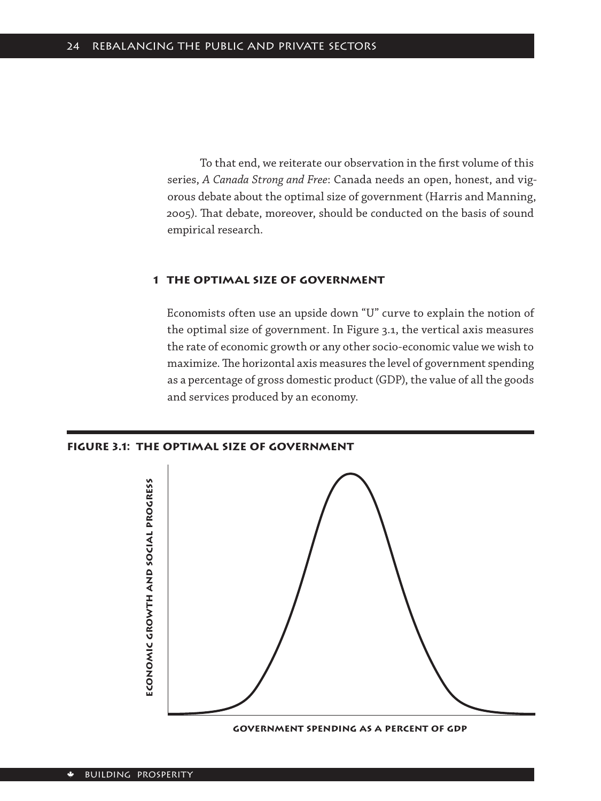To that end, we reiterate our observation in the first volume of this series, *A Canada Strong and Free*: Canada needs an open, honest, and vigorous debate about the optimal size of government (Harris and Manning, 2005). That debate, moreover, should be conducted on the basis of sound empirical research.

#### **1 the optimal size of government**

Economists often use an upside down "U" curve to explain the notion of the optimal size of government. In Figure 3.1, the vertical axis measures the rate of economic growth or any other socio-economic value we wish to maximize. The horizontal axis measures the level of government spending as a percentage of gross domestic product (GDP), the value of all the goods and services produced by an economy.

#### **figure 3.1: the optimal size of government**



**GOVERNMENT SPENDING AS A PERCENT OF GDP**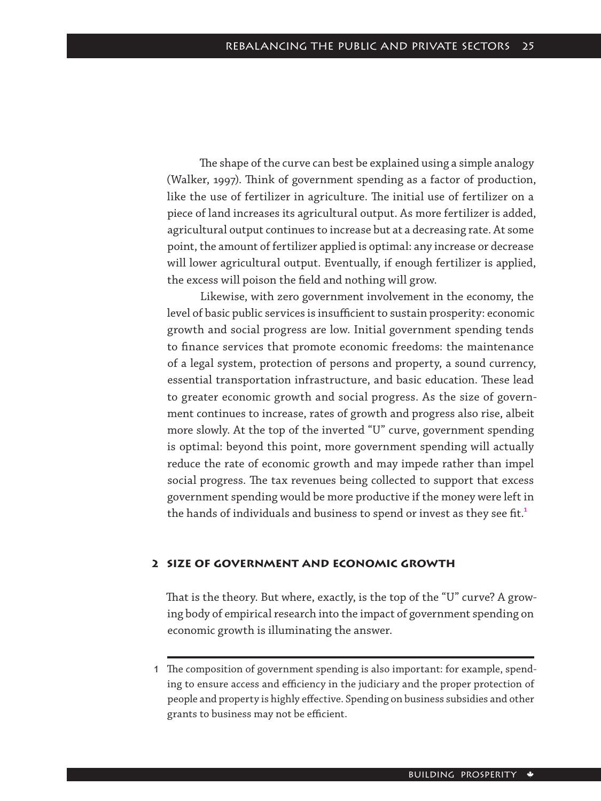The shape of the curve can best be explained using a simple analogy (Walker, 1997). Think of government spending as a factor of production, like the use of fertilizer in agriculture. The initial use of fertilizer on a piece of land increases its agricultural output. As more fertilizer is added, agricultural output continues to increase but at a decreasing rate. At some point, the amount of fertilizer applied is optimal: any increase or decrease will lower agricultural output. Eventually, if enough fertilizer is applied, the excess will poison the field and nothing will grow.

Likewise, with zero government involvement in the economy, the level of basic public services is insufficient to sustain prosperity: economic growth and social progress are low. Initial government spending tends to finance services that promote economic freedoms: the maintenance of a legal system, protection of persons and property, a sound currency, essential transportation infrastructure, and basic education. These lead to greater economic growth and social progress. As the size of government continues to increase, rates of growth and progress also rise, albeit more slowly. At the top of the inverted "U" curve, government spending is optimal: beyond this point, more government spending will actually reduce the rate of economic growth and may impede rather than impel social progress. The tax revenues being collected to support that excess government spending would be more productive if the money were left in the hands of individuals and business to spend or invest as they see fit.<sup>1</sup>

#### **2 size of government and economic growth**

That is the theory. But where, exactly, is the top of the "U" curve? A growing body of empirical research into the impact of government spending on economic growth is illuminating the answer.

 <sup>1</sup> The composition of government spending is also important: for example, spending to ensure access and efficiency in the judiciary and the proper protection of people and property is highly effective. Spending on business subsidies and other grants to business may not be efficient.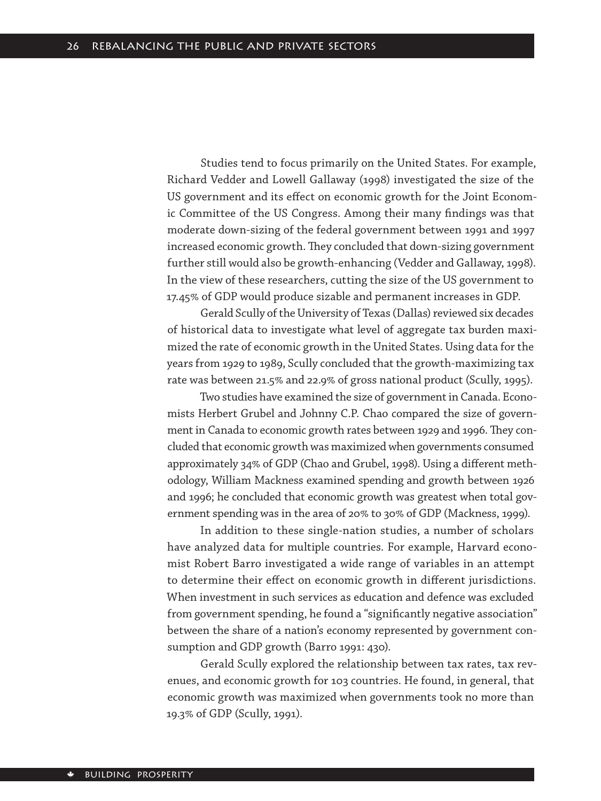Studies tend to focus primarily on the United States. For example, Richard Vedder and Lowell Gallaway (1998) investigated the size of the US government and its effect on economic growth for the Joint Economic Committee of the US Congress. Among their many findings was that moderate down-sizing of the federal government between 1991 and 1997 increased economic growth. They concluded that down-sizing government further still would also be growth-enhancing (Vedder and Gallaway, 1998). In the view of these researchers, cutting the size of the US government to 17.45% of GDP would produce sizable and permanent increases in GDP.

Gerald Scully of the University of Texas (Dallas) reviewed six decades of historical data to investigate what level of aggregate tax burden maximized the rate of economic growth in the United States. Using data for the years from 1929 to 1989, Scully concluded that the growth-maximizing tax rate was between 21.5% and 22.9% of gross national product (Scully, 1995).

Two studies have examined the size of government in Canada. Economists Herbert Grubel and Johnny C.P. Chao compared the size of government in Canada to economic growth rates between 1929 and 1996. They concluded that economic growth was maximized when governments consumed approximately 34% of GDP (Chao and Grubel, 1998). Using a different methodology, William Mackness examined spending and growth between 1926 and 1996; he concluded that economic growth was greatest when total government spending was in the area of 20% to 30% of GDP (Mackness, 1999).

In addition to these single-nation studies, a number of scholars have analyzed data for multiple countries. For example, Harvard economist Robert Barro investigated a wide range of variables in an attempt to determine their effect on economic growth in different jurisdictions. When investment in such services as education and defence was excluded from government spending, he found a "significantly negative association" between the share of a nation's economy represented by government consumption and GDP growth (Barro 1991: 430).

Gerald Scully explored the relationship between tax rates, tax revenues, and economic growth for 103 countries. He found, in general, that economic growth was maximized when governments took no more than 19.3% of GDP (Scully, 1991).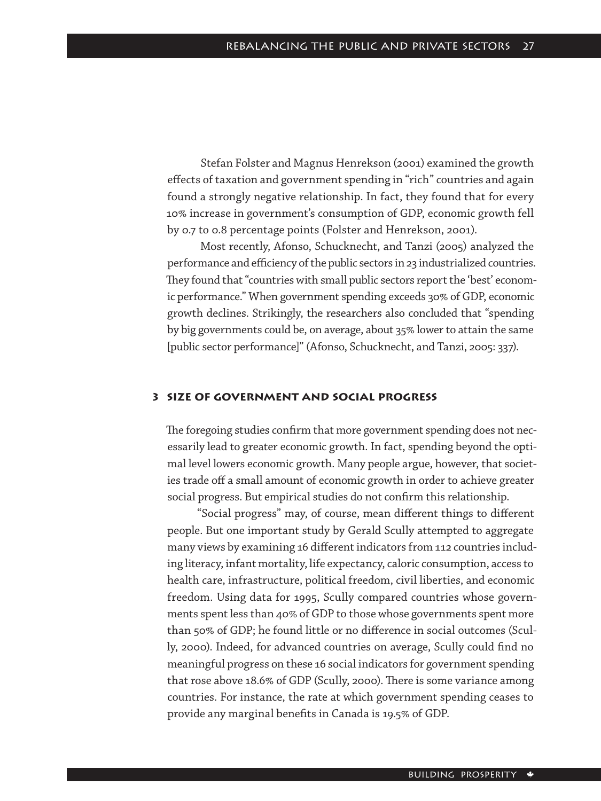Stefan Folster and Magnus Henrekson (2001) examined the growth effects of taxation and government spending in "rich" countries and again found a strongly negative relationship. In fact, they found that for every 10% increase in government's consumption of GDP, economic growth fell by 0.7 to 0.8 percentage points (Folster and Henrekson, 2001).

Most recently, Afonso, Schucknecht, and Tanzi (2005) analyzed the performance and efficiency of the public sectors in 23 industrialized countries. They found that "countries with small public sectors report the 'best' economic performance." When government spending exceeds 30% of GDP, economic growth declines. Strikingly, the researchers also concluded that "spending by big governments could be, on average, about 35% lower to attain the same [public sector performance]" (Afonso, Schucknecht, and Tanzi, 2005: 337).

#### **3 size of government and social progress**

The foregoing studies confirm that more government spending does not necessarily lead to greater economic growth. In fact, spending beyond the optimal level lowers economic growth. Many people argue, however, that societies trade off a small amount of economic growth in order to achieve greater social progress. But empirical studies do not confirm this relationship.

"Social progress" may, of course, mean different things to different people. But one important study by Gerald Scully attempted to aggregate many views by examining 16 different indicators from 112 countries including literacy, infant mortality, life expectancy, caloric consumption, access to health care, infrastructure, political freedom, civil liberties, and economic freedom. Using data for 1995, Scully compared countries whose governments spent less than 40% of GDP to those whose governments spent more than 50% of GDP; he found little or no difference in social outcomes (Scully, 2000). Indeed, for advanced countries on average, Scully could find no meaningful progress on these 16 social indicators for government spending that rose above 18.6% of GDP (Scully, 2000). There is some variance among countries. For instance, the rate at which government spending ceases to provide any marginal benefits in Canada is 19.5% of GDP.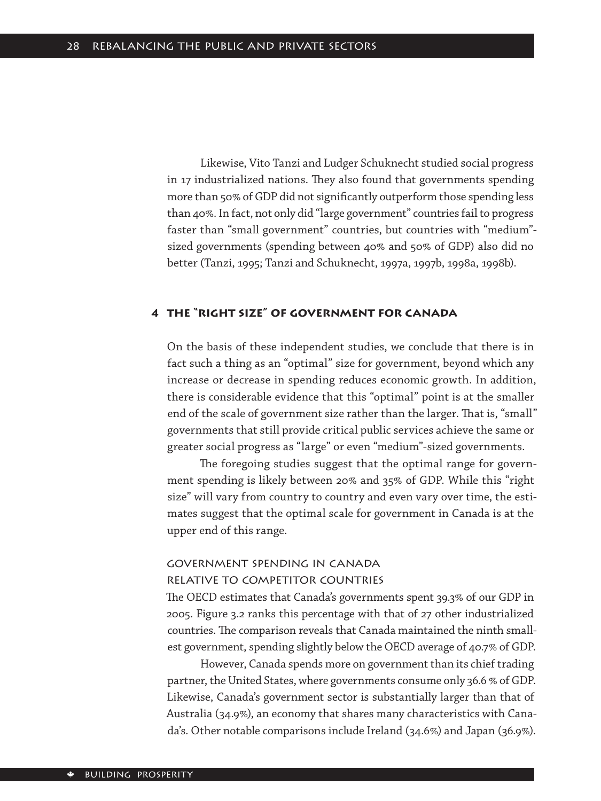Likewise, Vito Tanzi and Ludger Schuknecht studied social progress in 17 industrialized nations. They also found that governments spending more than 50% of GDP did not significantly outperform those spending less than 40%. In fact, not only did "large government" countries fail to progress faster than "small government" countries, but countries with "medium" sized governments (spending between 40% and 50% of GDP) also did no better (Tanzi, 1995; Tanzi and Schuknecht, 1997a, 1997b, 1998a, 1998b).

#### **4 the "right size" of government for canada**

On the basis of these independent studies, we conclude that there is in fact such a thing as an "optimal" size for government, beyond which any increase or decrease in spending reduces economic growth. In addition, there is considerable evidence that this "optimal" point is at the smaller end of the scale of government size rather than the larger. That is, "small" governments that still provide critical public services achieve the same or greater social progress as "large" or even "medium"-sized governments.

The foregoing studies suggest that the optimal range for government spending is likely between 20% and 35% of GDP. While this "right size" will vary from country to country and even vary over time, the estimates suggest that the optimal scale for government in Canada is at the upper end of this range.

#### government spending in canada relative to competitor countries

The OECD estimates that Canada's governments spent 39.3% of our GDP in 2005. Figure 3.2 ranks this percentage with that of 27 other industrialized countries. The comparison reveals that Canada maintained the ninth smallest government, spending slightly below the OECD average of 40.7% of GDP.

However, Canada spends more on government than its chief trading partner, the United States, where governments consume only 36.6 % of GDP. Likewise, Canada's government sector is substantially larger than that of Australia (34.9%), an economy that shares many characteristics with Canada's. Other notable comparisons include Ireland (34.6%) and Japan (36.9%).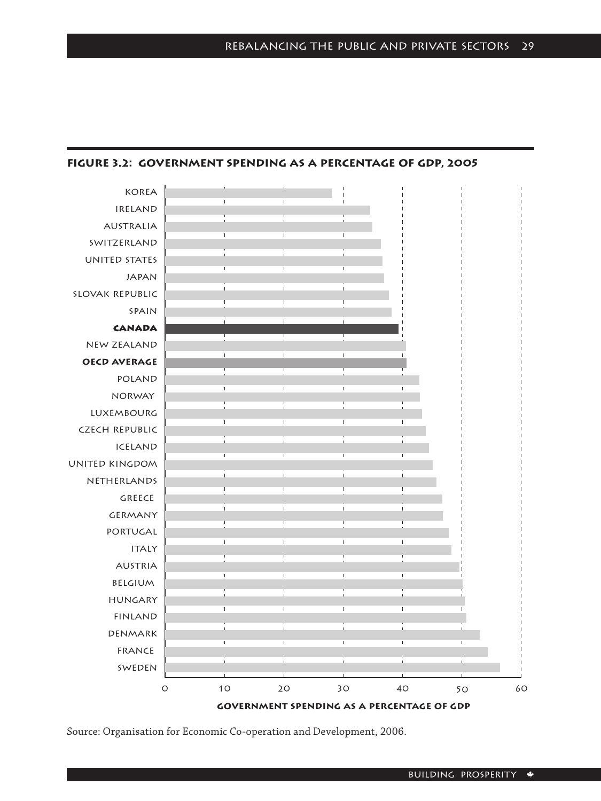

#### **figure 3.2: government spending as a percentage of gdp, 2005**

Source: Organisation for Economic Co-operation and Development, 2006.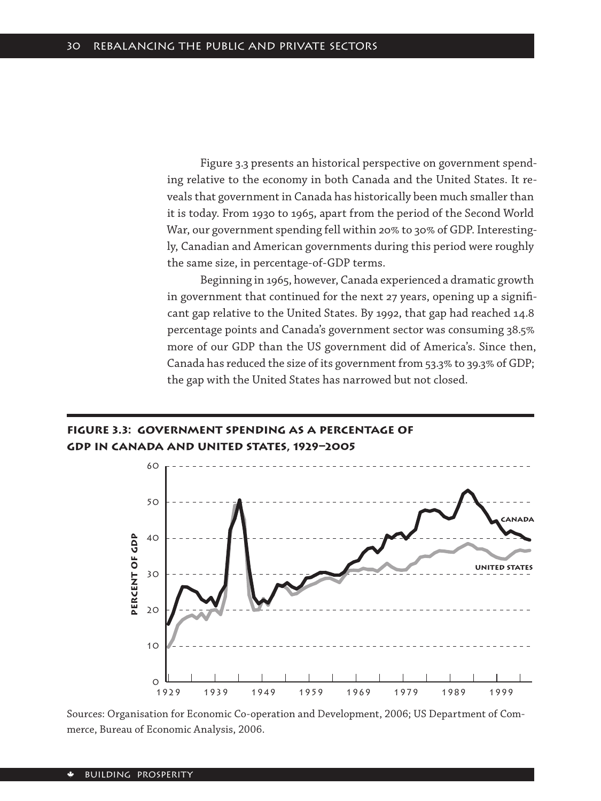Figure 3.3 presents an historical perspective on government spending relative to the economy in both Canada and the United States. It reveals that government in Canada has historically been much smaller than it is today. From 1930 to 1965, apart from the period of the Second World War, our government spending fell within 20% to 30% of GDP. Interestingly, Canadian and American governments during this period were roughly the same size, in percentage-of-GDP terms.

Beginning in 1965, however, Canada experienced a dramatic growth in government that continued for the next 27 years, opening up a significant gap relative to the United States. By 1992, that gap had reached 14.8 percentage points and Canada's government sector was consuming 38.5% more of our GDP than the US government did of America's. Since then, Canada has reduced the size of its government from 53.3% to 39.3% of GDP; the gap with the United States has narrowed but not closed.

### **figure 3.3: government spending as a percentage of gdp in canada and united states, 1929–2005**



Sources: Organisation for Economic Co-operation and Development, 2006; US Department of Commerce, Bureau of Economic Analysis, 2006.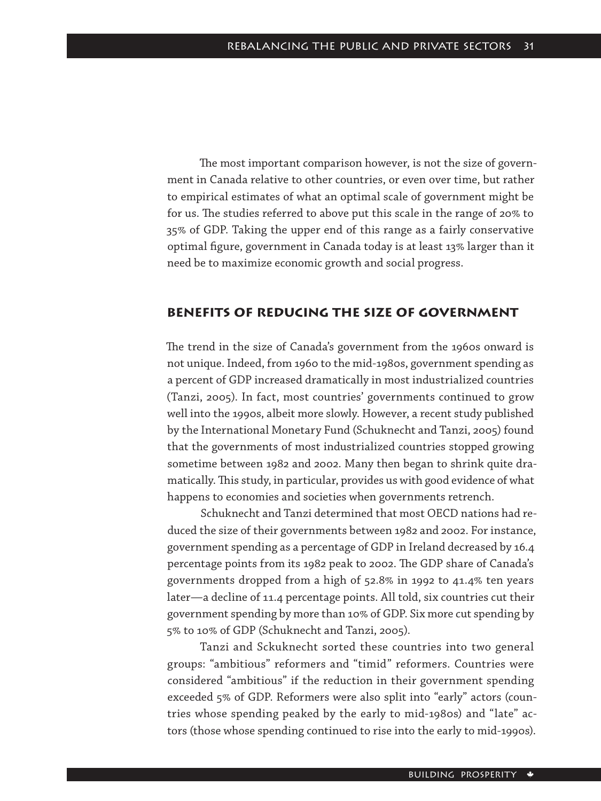The most important comparison however, is not the size of government in Canada relative to other countries, or even over time, but rather to empirical estimates of what an optimal scale of government might be for us. The studies referred to above put this scale in the range of 20% to 35% of GDP. Taking the upper end of this range as a fairly conservative optimal figure, government in Canada today is at least 13% larger than it need be to maximize economic growth and social progress.

### **benefits of reducing the size of government**

The trend in the size of Canada's government from the 1960s onward is not unique. Indeed, from 1960 to the mid-1980s, government spending as a percent of GDP increased dramatically in most industrialized countries (Tanzi, 2005). In fact, most countries' governments continued to grow well into the 1990s, albeit more slowly. However, a recent study published by the International Monetary Fund (Schuknecht and Tanzi, 2005) found that the governments of most industrialized countries stopped growing sometime between 1982 and 2002. Many then began to shrink quite dramatically. This study, in particular, provides us with good evidence of what happens to economies and societies when governments retrench.

Schuknecht and Tanzi determined that most OECD nations had reduced the size of their governments between 1982 and 2002. For instance, government spending as a percentage of GDP in Ireland decreased by 16.4 percentage points from its 1982 peak to 2002. The GDP share of Canada's governments dropped from a high of 52.8% in 1992 to 41.4% ten years later—a decline of 11.4 percentage points. All told, six countries cut their government spending by more than 10% of GDP. Six more cut spending by 5% to 10% of GDP (Schuknecht and Tanzi, 2005).

Tanzi and Sckuknecht sorted these countries into two general groups: "ambitious" reformers and "timid" reformers. Countries were considered "ambitious" if the reduction in their government spending exceeded 5% of GDP. Reformers were also split into "early" actors (countries whose spending peaked by the early to mid-1980s) and "late" actors (those whose spending continued to rise into the early to mid-1990s).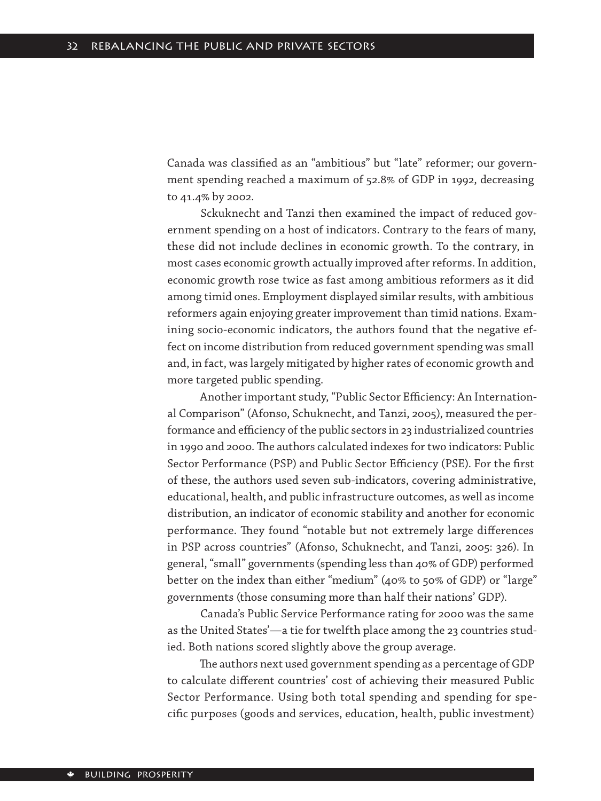Canada was classified as an "ambitious" but "late" reformer; our government spending reached a maximum of 52.8% of GDP in 1992, decreasing to 41.4% by 2002.

Sckuknecht and Tanzi then examined the impact of reduced government spending on a host of indicators. Contrary to the fears of many, these did not include declines in economic growth. To the contrary, in most cases economic growth actually improved after reforms. In addition, economic growth rose twice as fast among ambitious reformers as it did among timid ones. Employment displayed similar results, with ambitious reformers again enjoying greater improvement than timid nations. Examining socio-economic indicators, the authors found that the negative effect on income distribution from reduced government spending was small and, in fact, was largely mitigated by higher rates of economic growth and more targeted public spending.

Another important study, "Public Sector Efficiency: An International Comparison" (Afonso, Schuknecht, and Tanzi, 2005), measured the performance and efficiency of the public sectors in 23 industrialized countries in 1990 and 2000. The authors calculated indexes for two indicators: Public Sector Performance (PSP) and Public Sector Efficiency (PSE). For the first of these, the authors used seven sub-indicators, covering administrative, educational, health, and public infrastructure outcomes, as well as income distribution, an indicator of economic stability and another for economic performance. They found "notable but not extremely large differences in PSP across countries" (Afonso, Schuknecht, and Tanzi, 2005: 326). In general, "small" governments (spending less than 40% of GDP) performed better on the index than either "medium" (40% to 50% of GDP) or "large" governments (those consuming more than half their nations' GDP).

Canada's Public Service Performance rating for 2000 was the same as the United States'—a tie for twelfth place among the 23 countries studied. Both nations scored slightly above the group average.

The authors next used government spending as a percentage of GDP to calculate different countries' cost of achieving their measured Public Sector Performance. Using both total spending and spending for specific purposes (goods and services, education, health, public investment)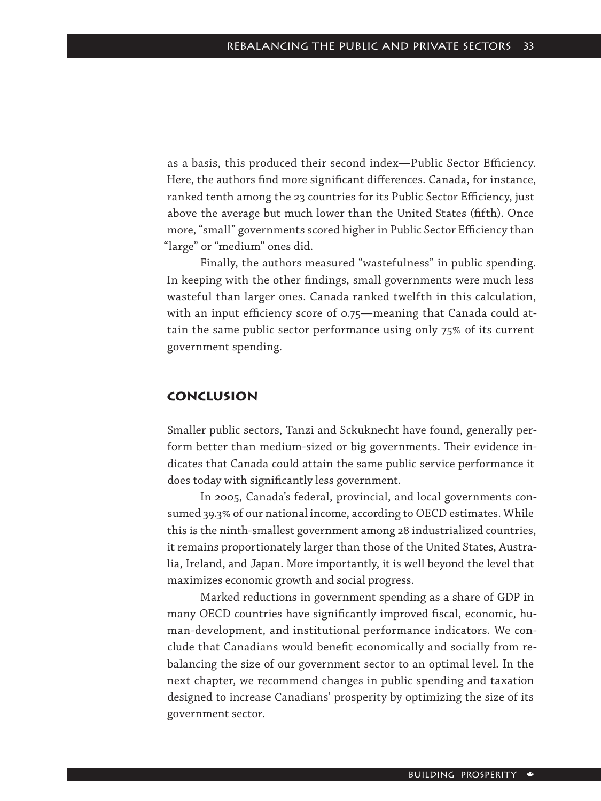as a basis, this produced their second index—Public Sector Efficiency. Here, the authors find more significant differences. Canada, for instance, ranked tenth among the 23 countries for its Public Sector Efficiency, just above the average but much lower than the United States (fifth). Once more, "small" governments scored higher in Public Sector Efficiency than "large" or "medium" ones did.

Finally, the authors measured "wastefulness" in public spending. In keeping with the other findings, small governments were much less wasteful than larger ones. Canada ranked twelfth in this calculation, with an input efficiency score of 0.75—meaning that Canada could attain the same public sector performance using only 75% of its current government spending.

### **conclusion**

Smaller public sectors, Tanzi and Sckuknecht have found, generally perform better than medium-sized or big governments. Their evidence indicates that Canada could attain the same public service performance it does today with significantly less government.

In 2005, Canada's federal, provincial, and local governments consumed 39.3% of our national income, according to OECD estimates. While this is the ninth-smallest government among 28 industrialized countries, it remains proportionately larger than those of the United States, Australia, Ireland, and Japan. More importantly, it is well beyond the level that maximizes economic growth and social progress.

Marked reductions in government spending as a share of GDP in many OECD countries have significantly improved fiscal, economic, human-development, and institutional performance indicators. We conclude that Canadians would benefit economically and socially from rebalancing the size of our government sector to an optimal level. In the next chapter, we recommend changes in public spending and taxation designed to increase Canadians' prosperity by optimizing the size of its government sector.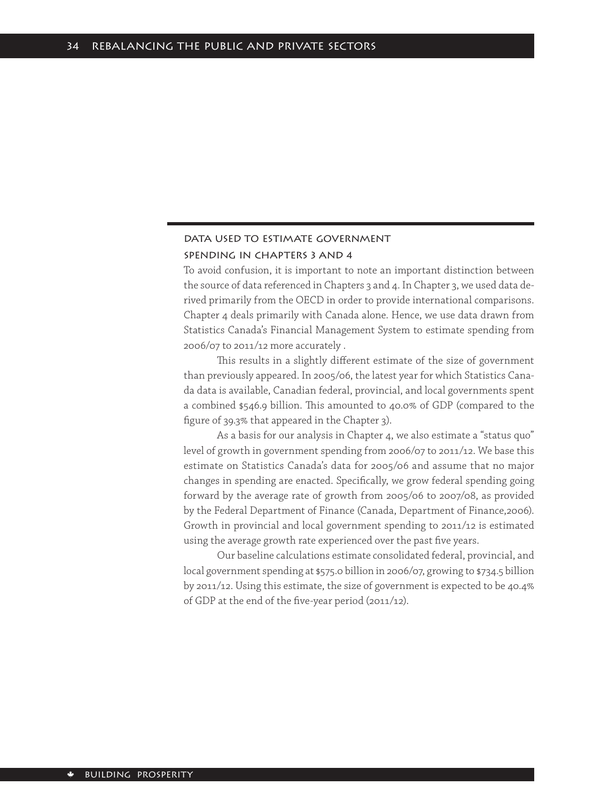## data used to estimate government spending in chapters 3 and 4

To avoid confusion, it is important to note an important distinction between the source of data referenced in Chapters 3 and 4. In Chapter 3, we used data derived primarily from the OECD in order to provide international comparisons. Chapter 4 deals primarily with Canada alone. Hence, we use data drawn from Statistics Canada's Financial Management System to estimate spending from 2006/07 to 2011/12 more accurately .

This results in a slightly different estimate of the size of government than previously appeared. In 2005/06, the latest year for which Statistics Canada data is available, Canadian federal, provincial, and local governments spent a combined \$546.9 billion. This amounted to 40.0% of GDP (compared to the figure of 39.3% that appeared in the Chapter 3).

As a basis for our analysis in Chapter 4, we also estimate a "status quo" level of growth in government spending from 2006/07 to 2011/12. We base this estimate on Statistics Canada's data for 2005/06 and assume that no major changes in spending are enacted. Specifically, we grow federal spending going forward by the average rate of growth from 2005/06 to 2007/08, as provided by the Federal Department of Finance (Canada, Department of Finance,2006). Growth in provincial and local government spending to 2011/12 is estimated using the average growth rate experienced over the past five years.

Our baseline calculations estimate consolidated federal, provincial, and local government spending at \$575.0 billion in 2006/07, growing to \$734.5 billion by 2011/12. Using this estimate, the size of government is expected to be 40.4% of GDP at the end of the five-year period (2011/12).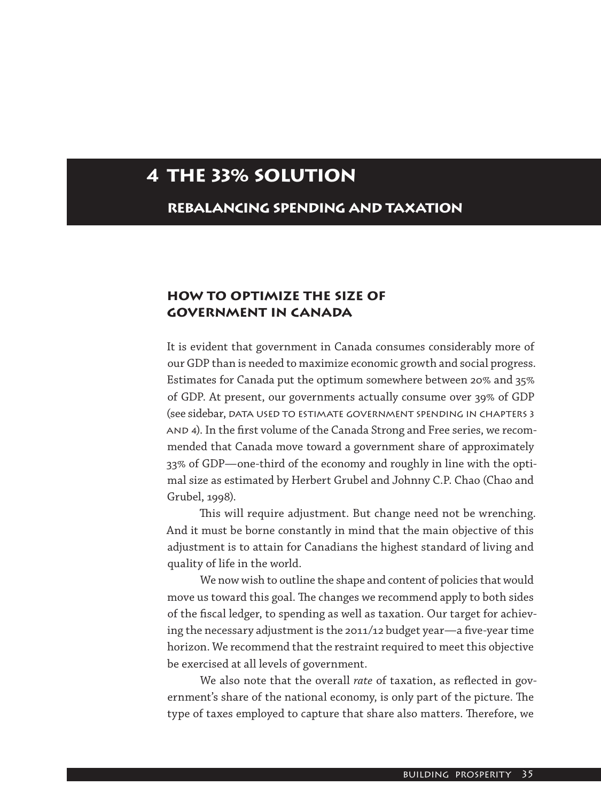# **4 the 33% solution**

## **rebalancing spending and taxation**

# **how to optimize the size of government in canada**

It is evident that government in Canada consumes considerably more of our GDP than is needed to maximize economic growth and social progress. Estimates for Canada put the optimum somewhere between 20% and 35% of GDP. At present, our governments actually consume over 39% of GDP (see sidebar, data used to estimate government spending in chapters 3 and 4). In the first volume of the Canada Strong and Free series, we recommended that Canada move toward a government share of approximately 33% of GDP—one-third of the economy and roughly in line with the optimal size as estimated by Herbert Grubel and Johnny C.P. Chao (Chao and Grubel, 1998).

This will require adjustment. But change need not be wrenching. And it must be borne constantly in mind that the main objective of this adjustment is to attain for Canadians the highest standard of living and quality of life in the world.

We now wish to outline the shape and content of policies that would move us toward this goal. The changes we recommend apply to both sides of the fiscal ledger, to spending as well as taxation. Our target for achieving the necessary adjustment is the 2011/12 budget year—a five-year time horizon. We recommend that the restraint required to meet this objective be exercised at all levels of government.

We also note that the overall *rate* of taxation, as reflected in government's share of the national economy, is only part of the picture. The type of taxes employed to capture that share also matters. Therefore, we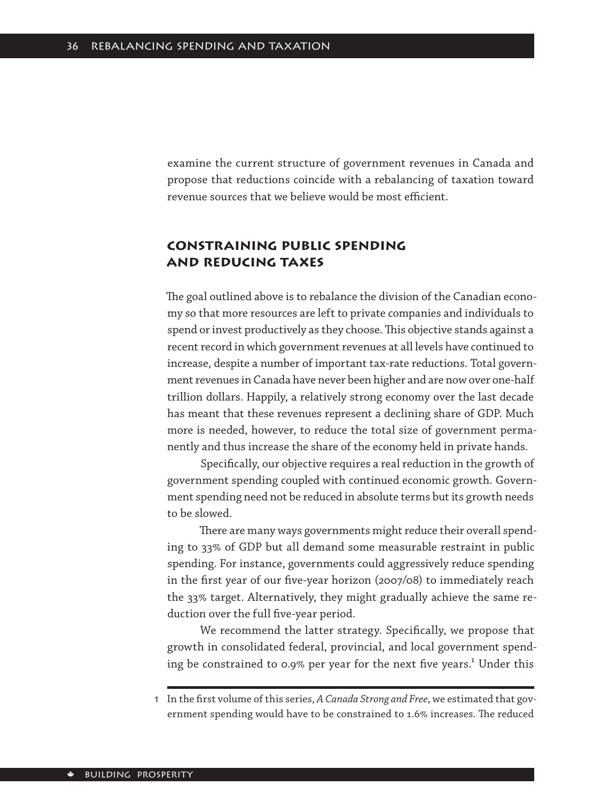examine the current structure of government revenues in Canada and propose that reductions coincide with a rebalancing of taxation toward revenue sources that we believe would be most efficient.

# **constraining public spending and reducing taxes**

The goal outlined above is to rebalance the division of the Canadian economy so that more resources are left to private companies and individuals to spend or invest productively as they choose. This objective stands against a recent record in which government revenues at all levels have continued to increase, despite a number of important tax-rate reductions. Total government revenues in Canada have never been higher and are now over one-half trillion dollars. Happily, a relatively strong economy over the last decade has meant that these revenues represent a declining share of GDP. Much more is needed, however, to reduce the total size of government permanently and thus increase the share of the economy held in private hands.

Specifically, our objective requires a real reduction in the growth of government spending coupled with continued economic growth. Government spending need not be reduced in absolute terms but its growth needs to be slowed.

There are many ways governments might reduce their overall spending to 33% of GDP but all demand some measurable restraint in public spending. For instance, governments could aggressively reduce spending in the first year of our five-year horizon (2007/08) to immediately reach the 33% target. Alternatively, they might gradually achieve the same reduction over the full five-year period.

We recommend the latter strategy. Specifically, we propose that growth in consolidated federal, provincial, and local government spending be constrained to 0.9% per year for the next five years.<sup>1</sup> Under this

 <sup>1</sup> In the first volume of this series, *A Canada Strong and Free*, we estimated that government spending would have to be constrained to 1.6% increases. The reduced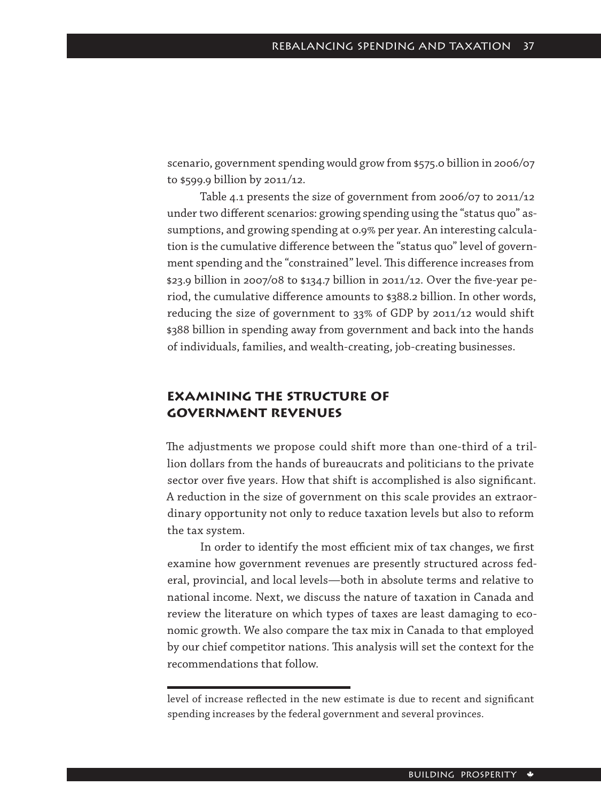scenario, government spending would grow from \$575.0 billion in 2006/07 to \$599.9 billion by 2011/12.

Table 4.1 presents the size of government from 2006/07 to 2011/12 under two different scenarios: growing spending using the "status quo" assumptions, and growing spending at 0.9% per year. An interesting calculation is the cumulative difference between the "status quo" level of government spending and the "constrained" level. This difference increases from \$23.9 billion in 2007/08 to \$134.7 billion in 2011/12. Over the five-year period, the cumulative difference amounts to \$388.2 billion. In other words, reducing the size of government to 33% of GDP by 2011/12 would shift \$388 billion in spending away from government and back into the hands of individuals, families, and wealth-creating, job-creating businesses.

# **examining the structure of government revenues**

The adjustments we propose could shift more than one-third of a trillion dollars from the hands of bureaucrats and politicians to the private sector over five years. How that shift is accomplished is also significant. A reduction in the size of government on this scale provides an extraordinary opportunity not only to reduce taxation levels but also to reform the tax system.

In order to identify the most efficient mix of tax changes, we first examine how government revenues are presently structured across federal, provincial, and local levels—both in absolute terms and relative to national income. Next, we discuss the nature of taxation in Canada and review the literature on which types of taxes are least damaging to economic growth. We also compare the tax mix in Canada to that employed by our chief competitor nations. This analysis will set the context for the recommendations that follow.

level of increase reflected in the new estimate is due to recent and significant spending increases by the federal government and several provinces.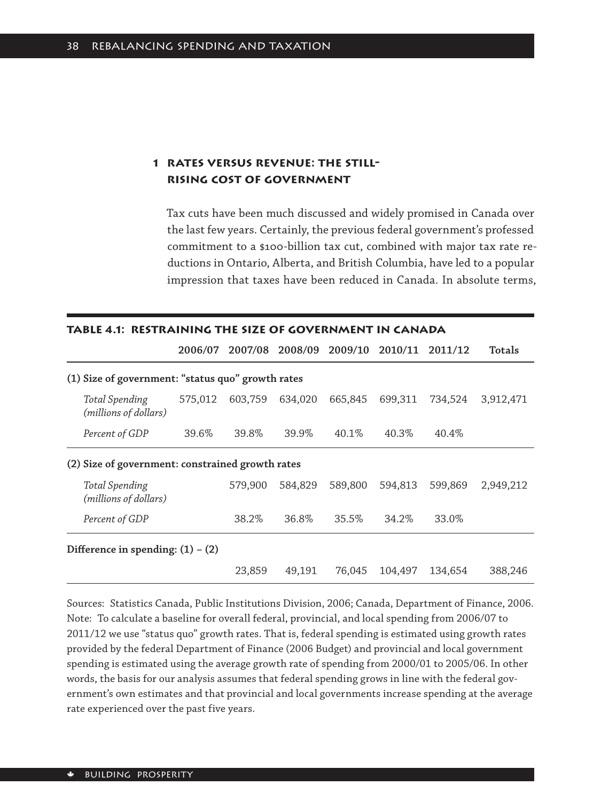### **1 rates versus revenue: the stillrising cost of government**

**table 4.1: restraining the size of government in canada**

Tax cuts have been much discussed and widely promised in Canada over the last few years. Certainly, the previous federal government's professed commitment to a \$100-billion tax cut, combined with major tax rate reductions in Ontario, Alberta, and British Columbia, have led to a popular impression that taxes have been reduced in Canada. In absolute terms,

|                                                   |         | 2006/07 2007/08 2008/09 2009/10 2010/11 2011/12 |         |         |         |         | Totals    |  |  |
|---------------------------------------------------|---------|-------------------------------------------------|---------|---------|---------|---------|-----------|--|--|
| (1) Size of government: "status quo" growth rates |         |                                                 |         |         |         |         |           |  |  |
| <b>Total Spending</b><br>(millions of dollars)    | 575,012 | 603.759                                         | 634,020 | 665,845 | 699.311 | 734.524 | 3,912,471 |  |  |
| Percent of GDP                                    | 39.6%   | 39.8%                                           | 39.9%   | 40.1%   | 40.3%   | 40.4%   |           |  |  |
| (2) Size of government: constrained growth rates  |         |                                                 |         |         |         |         |           |  |  |
| <b>Total Spending</b><br>(millions of dollars)    |         | 579,900                                         | 584.829 | 589,800 | 594.813 | 599.869 | 2,949,212 |  |  |
| Percent of GDP                                    |         | 38.2%                                           | 36.8%   | 35.5%   | 34.2%   | 33.0%   |           |  |  |
| Difference in spending: $(1) - (2)$               |         |                                                 |         |         |         |         |           |  |  |
|                                                   |         | 23,859                                          | 49.191  | 76,045  | 104.497 | 134.654 | 388,246   |  |  |

Sources: Statistics Canada, Public Institutions Division, 2006; Canada, Department of Finance, 2006. Note: To calculate a baseline for overall federal, provincial, and local spending from 2006/07 to 2011/12 we use "status quo" growth rates. That is, federal spending is estimated using growth rates provided by the federal Department of Finance (2006 Budget) and provincial and local government spending is estimated using the average growth rate of spending from 2000/01 to 2005/06. In other words, the basis for our analysis assumes that federal spending grows in line with the federal government's own estimates and that provincial and local governments increase spending at the average rate experienced over the past five years.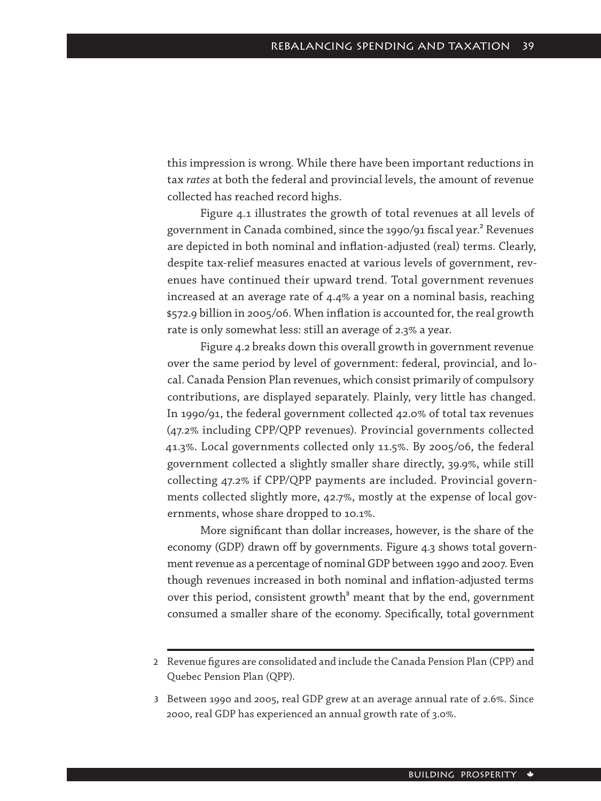this impression is wrong. While there have been important reductions in tax *rates* at both the federal and provincial levels, the amount of revenue collected has reached record highs.

Figure 4.1 illustrates the growth of total revenues at all levels of government in Canada combined, since the 1990/91 fiscal year.<sup>2</sup> Revenues are depicted in both nominal and inflation-adjusted (real) terms. Clearly, despite tax-relief measures enacted at various levels of government, revenues have continued their upward trend. Total government revenues increased at an average rate of 4.4% a year on a nominal basis, reaching \$572.9 billion in 2005/06. When inflation is accounted for, the real growth rate is only somewhat less: still an average of 2.3% a year.

Figure 4.2 breaks down this overall growth in government revenue over the same period by level of government: federal, provincial, and local. Canada Pension Plan revenues, which consist primarily of compulsory contributions, are displayed separately. Plainly, very little has changed. In 1990/91, the federal government collected 42.0% of total tax revenues (47.2% including CPP/QPP revenues). Provincial governments collected 41.3%. Local governments collected only 11.5%. By 2005/06, the federal government collected a slightly smaller share directly, 39.9%, while still collecting 47.2% if CPP/QPP payments are included. Provincial governments collected slightly more, 42.7%, mostly at the expense of local governments, whose share dropped to 10.1%.

More significant than dollar increases, however, is the share of the economy (GDP) drawn off by governments. Figure 4.3 shows total government revenue as a percentage of nominal GDP between 1990 and 2007. Even though revenues increased in both nominal and inflation-adjusted terms over this period, consistent growth<sup>3</sup> meant that by the end, government consumed a smaller share of the economy. Specifically, total government

Revenue figures are consolidated and include the Canada Pension Plan (CPP) and Quebec Pension Plan (QPP).

Between 1990 and 2005, real GDP grew at an average annual rate of 2.6%. Since 2000, real GDP has experienced an annual growth rate of 3.0%.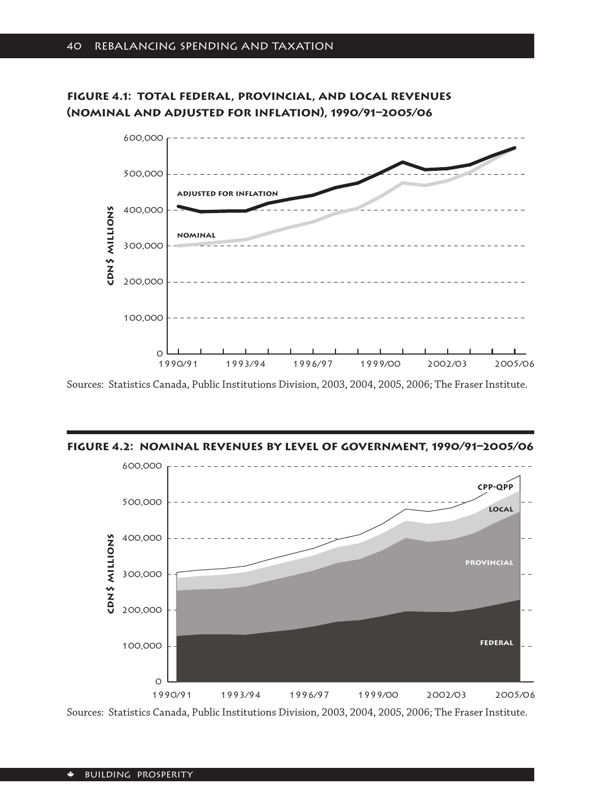

**figure 4.1: total federal, provincial, and local revenues (nominal and adjusted for inflation), 1990/91–2005/06**

Sources: Statistics Canada, Public Institutions Division, 2003, 2004, 2005, 2006; The Fraser Institute.

**figure 4.2: nominal revenues by level of government, 1990/91–2005/06**



Sources: Statistics Canada, Public Institutions Division, 2003, 2004, 2005, 2006; The Fraser Institute.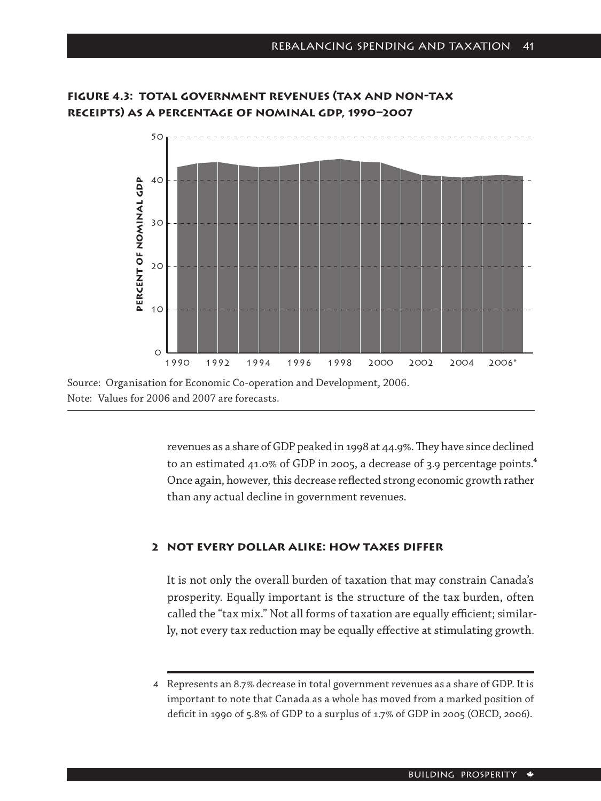

**figure 4.3: total government revenues (tax and non-tax receipts) as a percentage of nominal gdp, 1990–2007**

Note: Values for 2006 and 2007 are forecasts.

revenues as a share of GDP peaked in 1998 at 44.9%. They have since declined to an estimated 41.0% of GDP in 2005, a decrease of 3.9 percentage points. Once again, however, this decrease reflected strong economic growth rather than any actual decline in government revenues.

### **2 not every dollar alike: how taxes differ**

It is not only the overall burden of taxation that may constrain Canada's prosperity. Equally important is the structure of the tax burden, often called the "tax mix." Not all forms of taxation are equally efficient; similarly, not every tax reduction may be equally effective at stimulating growth.

Represents an 8.7% decrease in total government revenues as a share of GDP. It is important to note that Canada as a whole has moved from a marked position of deficit in 1990 of 5.8% of GDP to a surplus of 1.7% of GDP in 2005 (OECD, 2006).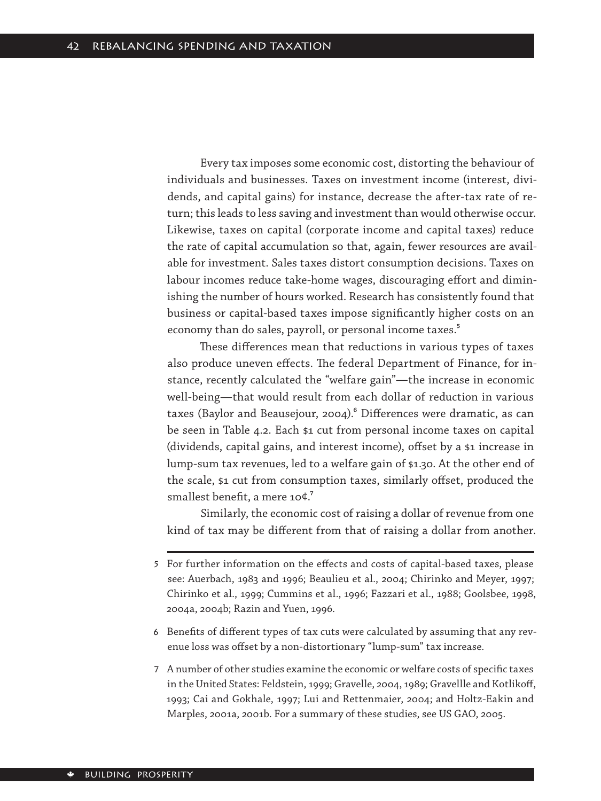Every tax imposes some economic cost, distorting the behaviour of individuals and businesses. Taxes on investment income (interest, dividends, and capital gains) for instance, decrease the after-tax rate of return; this leads to less saving and investment than would otherwise occur. Likewise, taxes on capital (corporate income and capital taxes) reduce the rate of capital accumulation so that, again, fewer resources are available for investment. Sales taxes distort consumption decisions. Taxes on labour incomes reduce take-home wages, discouraging effort and diminishing the number of hours worked. Research has consistently found that business or capital-based taxes impose significantly higher costs on an economy than do sales, payroll, or personal income taxes.<sup>5</sup>

These differences mean that reductions in various types of taxes also produce uneven effects. The federal Department of Finance, for instance, recently calculated the "welfare gain"—the increase in economic well-being—that would result from each dollar of reduction in various taxes (Baylor and Beausejour, 2004).<sup>6</sup> Differences were dramatic, as can be seen in Table 4.2. Each \$1 cut from personal income taxes on capital (dividends, capital gains, and interest income), offset by a \$1 increase in lump-sum tax revenues, led to a welfare gain of \$1.30. At the other end of the scale, \$1 cut from consumption taxes, similarly offset, produced the smallest benefit, a mere 10¢.

Similarly, the economic cost of raising a dollar of revenue from one kind of tax may be different from that of raising a dollar from another.

- For further information on the effects and costs of capital-based taxes, please see: Auerbach, 1983 and 1996; Beaulieu et al., 2004; Chirinko and Meyer, 1997; Chirinko et al., 1999; Cummins et al., 1996; Fazzari et al., 1988; Goolsbee, 1998, 2004a, 2004b; Razin and Yuen, 1996.
- Benefits of different types of tax cuts were calculated by assuming that any revenue loss was offset by a non-distortionary "lump-sum" tax increase.
- A number of other studies examine the economic or welfare costs of specific taxes in the United States: Feldstein, 1999; Gravelle, 2004, 1989; Gravellle and Kotlikoff, 1993; Cai and Gokhale, 1997; Lui and Rettenmaier, 2004; and Holtz-Eakin and Marples, 2001a, 2001b. For a summary of these studies, see US GAO, 2005.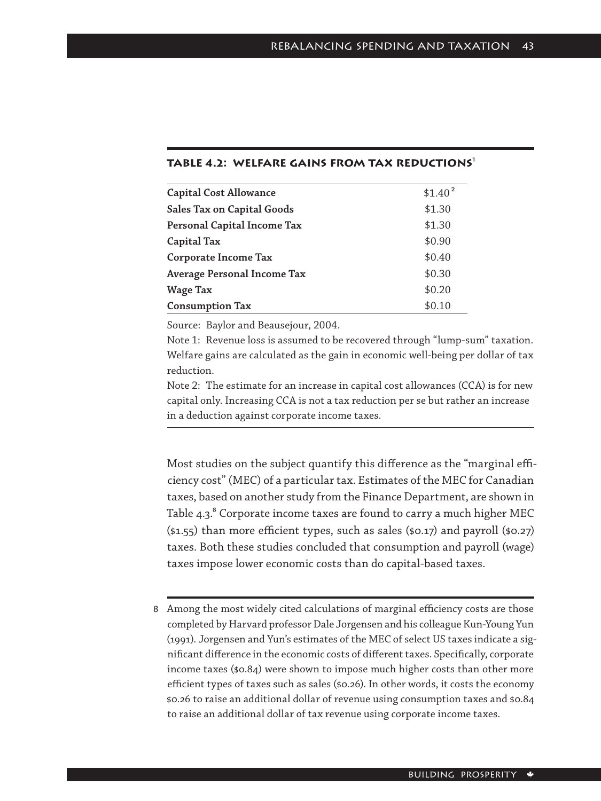| <b>Capital Cost Allowance</b> | $$1.40^2$ |
|-------------------------------|-----------|
| Sales Tax on Capital Goods    | \$1.30    |
| Personal Capital Income Tax   | \$1.30    |
| Capital Tax                   | \$0.90    |
| Corporate Income Tax          | \$0.40    |
| Average Personal Income Tax   | \$0.30    |
| Wage Tax                      | \$0.20    |
| <b>Consumption Tax</b>        | \$0.10    |

#### **table 4.2: welfare gains from tax reductions**1

Source: Baylor and Beausejour, 2004.

Note 1: Revenue loss is assumed to be recovered through "lump-sum" taxation. Welfare gains are calculated as the gain in economic well-being per dollar of tax reduction.

Note 2: The estimate for an increase in capital cost allowances (CCA) is for new capital only. Increasing CCA is not a tax reduction per se but rather an increase in a deduction against corporate income taxes.

Most studies on the subject quantify this difference as the "marginal efficiency cost" (MEC) of a particular tax. Estimates of the MEC for Canadian taxes, based on another study from the Finance Department, are shown in Table 4.3.<sup>8</sup> Corporate income taxes are found to carry a much higher MEC (\$1.55) than more efficient types, such as sales (\$0.17) and payroll (\$0.27) taxes. Both these studies concluded that consumption and payroll (wage) taxes impose lower economic costs than do capital-based taxes.

 Among the most widely cited calculations of marginal efficiency costs are those completed by Harvard professor Dale Jorgensen and his colleague Kun-Young Yun (1991). Jorgensen and Yun's estimates of the MEC of select US taxes indicate a significant difference in the economic costs of different taxes. Specifically, corporate income taxes (\$0.84) were shown to impose much higher costs than other more efficient types of taxes such as sales (\$0.26). In other words, it costs the economy \$0.26 to raise an additional dollar of revenue using consumption taxes and \$0.84 to raise an additional dollar of tax revenue using corporate income taxes.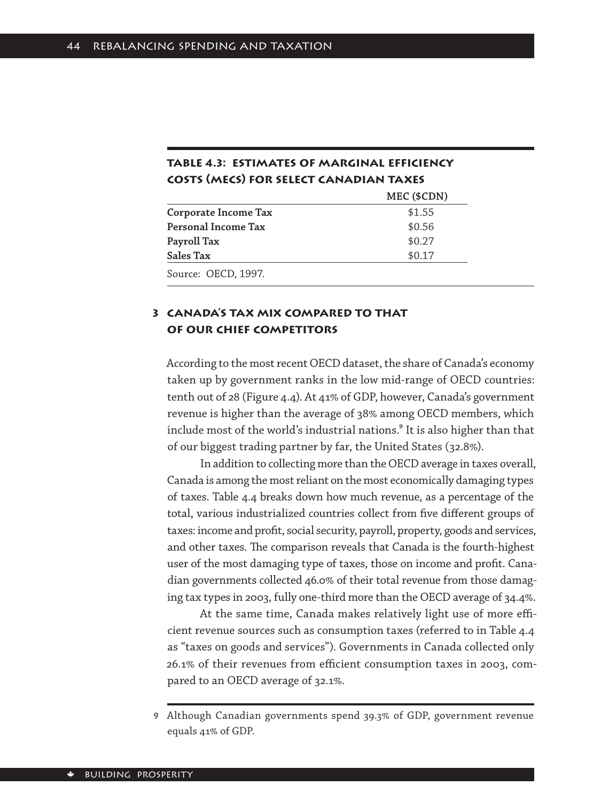|                      | MEC (\$CDN) |
|----------------------|-------------|
| Corporate Income Tax | \$1.55      |
| Personal Income Tax  | \$0.56      |
| Payroll Tax          | \$0.27      |
| Sales Tax            | \$0.17      |
| Source: OECD, 1997.  |             |

# **table 4.3: estimates of marginal efficiency costs (mecs) for select canadian taxes**

### **3 canada's tax mix compared to that of our chief competitors**

According to the most recent OECD dataset, the share of Canada's economy taken up by government ranks in the low mid-range of OECD countries: tenth out of 28 (Figure 4.4). At 41% of GDP, however, Canada's government revenue is higher than the average of 38% among OECD members, which include most of the world's industrial nations.<sup>9</sup> It is also higher than that of our biggest trading partner by far, the United States (32.8%).

In addition to collecting more than the OECD average in taxes overall, Canada is among the most reliant on the most economically damaging types of taxes. Table 4.4 breaks down how much revenue, as a percentage of the total, various industrialized countries collect from five different groups of taxes: income and profit, social security, payroll, property, goods and services, and other taxes. The comparison reveals that Canada is the fourth-highest user of the most damaging type of taxes, those on income and profit. Canadian governments collected 46.0% of their total revenue from those damaging tax types in 2003, fully one-third more than the OECD average of 34.4%.

At the same time, Canada makes relatively light use of more efficient revenue sources such as consumption taxes (referred to in Table 4.4 as "taxes on goods and services"). Governments in Canada collected only 26.1% of their revenues from efficient consumption taxes in 2003, compared to an OECD average of 32.1%.

 <sup>9</sup> Although Canadian governments spend 39.3% of GDP, government revenue equals 41% of GDP.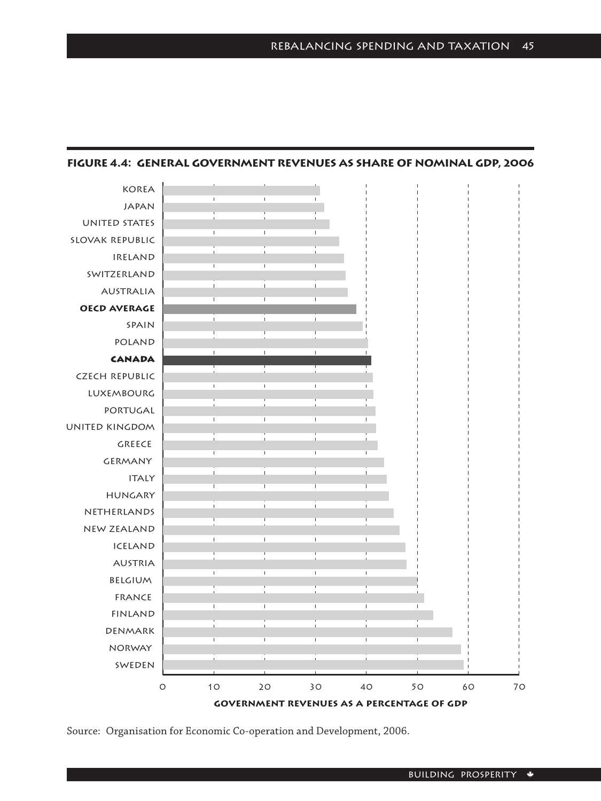

### **figure 4.4: general government revenues as share of nominal gdp, 2006**

Source: Organisation for Economic Co-operation and Development, 2006.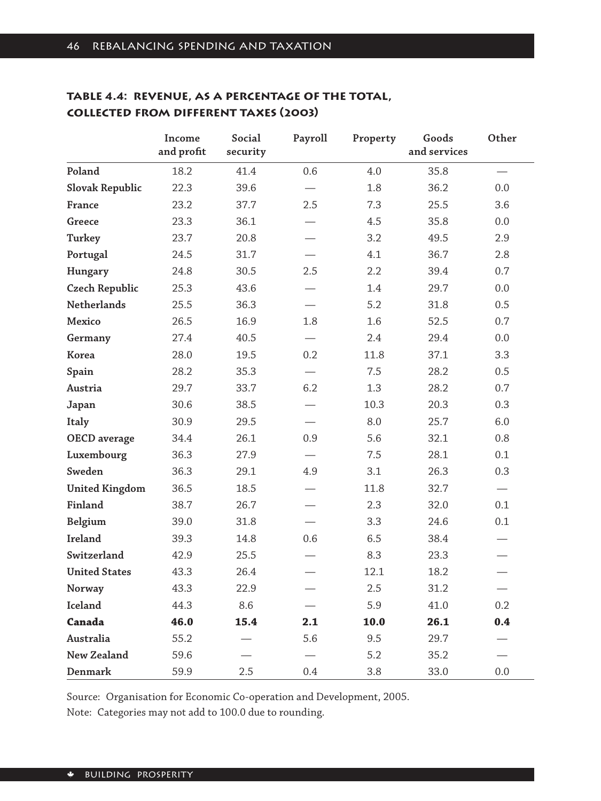|                       | Income<br>and profit | Social<br>security | Payroll                  | Property         | Goods<br>and services | Other |
|-----------------------|----------------------|--------------------|--------------------------|------------------|-----------------------|-------|
| Poland                | 18.2                 | 41.4               | 0.6                      | 4.0              | 35.8                  |       |
| Slovak Republic       | 22.3                 | 39.6               | $\overline{\phantom{0}}$ | 1.8              | 36.2                  | 0.0   |
| France                | 23.2                 | 37.7               | 2.5                      | 7.3              | 25.5                  | 3.6   |
| Greece                | 23.3                 | 36.1               |                          | 4.5              | 35.8                  | 0.0   |
| Turkey                | 23.7                 | 20.8               |                          | 3.2              | 49.5                  | 2.9   |
| Portugal              | 24.5                 | 31.7               |                          | 4.1              | 36.7                  | 2.8   |
| Hungary               | 24.8                 | 30.5               | 2.5                      | $2.2\phantom{0}$ | 39.4                  | 0.7   |
| <b>Czech Republic</b> | 25.3                 | 43.6               |                          | 1.4              | 29.7                  | 0.0   |
| <b>Netherlands</b>    | 25.5                 | 36.3               |                          | 5.2              | 31.8                  | 0.5   |
| Mexico                | 26.5                 | 16.9               | 1.8                      | 1.6              | 52.5                  | 0.7   |
| Germany               | 27.4                 | 40.5               |                          | 2.4              | 29.4                  | 0.0   |
| Korea                 | 28.0                 | 19.5               | 0.2                      | 11.8             | 37.1                  | 3.3   |
| Spain                 | 28.2                 | 35.3               |                          | 7.5              | 28.2                  | 0.5   |
| Austria               | 29.7                 | 33.7               | 6.2                      | 1.3              | 28.2                  | 0.7   |
| Japan                 | 30.6                 | 38.5               |                          | 10.3             | 20.3                  | 0.3   |
| Italy                 | 30.9                 | 29.5               |                          | 8.0              | 25.7                  | 6.0   |
| OECD average          | 34.4                 | 26.1               | 0.9                      | 5.6              | 32.1                  | 0.8   |
| Luxembourg            | 36.3                 | 27.9               |                          | 7.5              | 28.1                  | 0.1   |
| Sweden                | 36.3                 | 29.1               | 4.9                      | 3.1              | 26.3                  | 0.3   |
| <b>United Kingdom</b> | 36.5                 | 18.5               |                          | 11.8             | 32.7                  |       |
| Finland               | 38.7                 | 26.7               |                          | 2.3              | 32.0                  | 0.1   |
| Belgium               | 39.0                 | 31.8               |                          | 3.3              | 24.6                  | 0.1   |
| Ireland               | 39.3                 | 14.8               | 0.6                      | 6.5              | 38.4                  |       |
| Switzerland           | 42.9                 | 25.5               |                          | 8.3              | 23.3                  |       |
| <b>United States</b>  | 43.3                 | 26.4               |                          | 12.1             | 18.2                  |       |
| Norway                | 43.3                 | 22.9               |                          | 2.5              | 31.2                  |       |
| Iceland               | 44.3                 | 8.6                |                          | 5.9              | 41.0                  | 0.2   |
| Canada                | 46.0                 | 15.4               | 2.1                      | 10.0             | 26.1                  | 0.4   |
| Australia             | 55.2                 |                    | 5.6                      | 9.5              | 29.7                  |       |
| New Zealand           | 59.6                 |                    |                          | 5.2              | 35.2                  |       |
| Denmark               | 59.9                 | 2.5                | 0.4                      | 3.8              | 33.0                  | 0.0   |

# **table 4.4: revenue, as a percentage of the total, collected from different taxes (2003)**

Source: Organisation for Economic Co-operation and Development, 2005.

Note: Categories may not add to 100.0 due to rounding.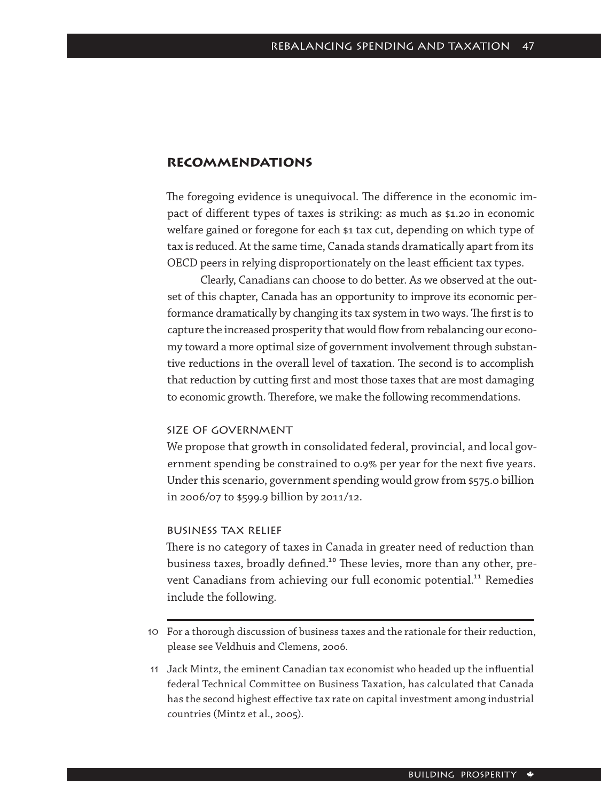### **recommendations**

The foregoing evidence is unequivocal. The difference in the economic impact of different types of taxes is striking: as much as \$1.20 in economic welfare gained or foregone for each \$1 tax cut, depending on which type of tax is reduced. At the same time, Canada stands dramatically apart from its OECD peers in relying disproportionately on the least efficient tax types.

Clearly, Canadians can choose to do better. As we observed at the outset of this chapter, Canada has an opportunity to improve its economic performance dramatically by changing its tax system in two ways. The first is to capture the increased prosperity that would flow from rebalancing our economy toward a more optimal size of government involvement through substantive reductions in the overall level of taxation. The second is to accomplish that reduction by cutting first and most those taxes that are most damaging to economic growth. Therefore, we make the following recommendations.

#### size of government

We propose that growth in consolidated federal, provincial, and local government spending be constrained to 0.9% per year for the next five years. Under this scenario, government spending would grow from \$575.0 billion in 2006/07 to \$599.9 billion by 2011/12.

### business tax relief

There is no category of taxes in Canada in greater need of reduction than business taxes, broadly defined.<sup>10</sup> These levies, more than any other, prevent Canadians from achieving our full economic potential.<sup>11</sup> Remedies include the following.

- 10 For a thorough discussion of business taxes and the rationale for their reduction, please see Veldhuis and Clemens, 2006.
- 11 Jack Mintz, the eminent Canadian tax economist who headed up the influential federal Technical Committee on Business Taxation, has calculated that Canada has the second highest effective tax rate on capital investment among industrial countries (Mintz et al., 2005).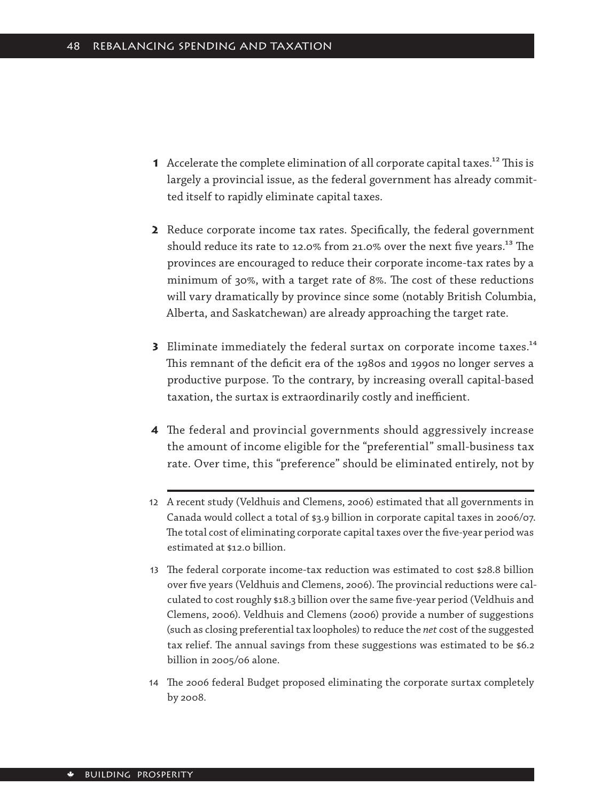- **1** Accelerate the complete elimination of all corporate capital taxes.<sup>12</sup> This is largely a provincial issue, as the federal government has already committed itself to rapidly eliminate capital taxes.
- **2** Reduce corporate income tax rates. Specifically, the federal government should reduce its rate to 12.0% from 21.0% over the next five years.<sup>13</sup> The provinces are encouraged to reduce their corporate income-tax rates by a minimum of 30%, with a target rate of 8%. The cost of these reductions will vary dramatically by province since some (notably British Columbia, Alberta, and Saskatchewan) are already approaching the target rate.
- **3** Eliminate immediately the federal surtax on corporate income taxes.<sup>14</sup> This remnant of the deficit era of the 1980s and 1990s no longer serves a productive purpose. To the contrary, by increasing overall capital-based taxation, the surtax is extraordinarily costly and inefficient.
- **4** The federal and provincial governments should aggressively increase the amount of income eligible for the "preferential" small-business tax rate. Over time, this "preference" should be eliminated entirely, not by
- 12 A recent study (Veldhuis and Clemens, 2006) estimated that all governments in Canada would collect a total of \$3.9 billion in corporate capital taxes in 2006/07. The total cost of eliminating corporate capital taxes over the five-year period was estimated at \$12.0 billion.
- 13 The federal corporate income-tax reduction was estimated to cost \$28.8 billion over five years (Veldhuis and Clemens, 2006). The provincial reductions were calculated to cost roughly \$18.3 billion over the same five-year period (Veldhuis and Clemens, 2006). Veldhuis and Clemens (2006) provide a number of suggestions (such as closing preferential tax loopholes) to reduce the *net* cost of the suggested tax relief. The annual savings from these suggestions was estimated to be \$6.2 billion in 2005/06 alone.
- 14 The 2006 federal Budget proposed eliminating the corporate surtax completely by 2008.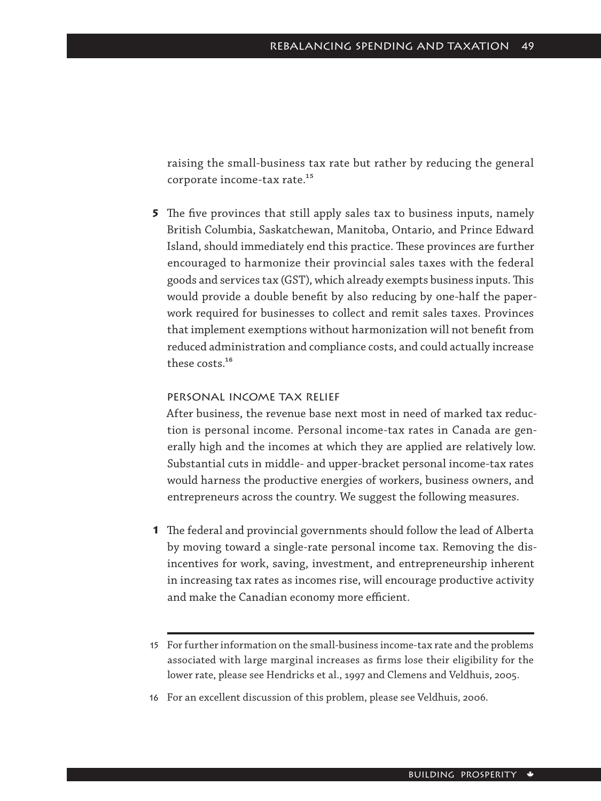raising the small-business tax rate but rather by reducing the general corporate income-tax rate.<sup>15</sup>

**5** The five provinces that still apply sales tax to business inputs, namely British Columbia, Saskatchewan, Manitoba, Ontario, and Prince Edward Island, should immediately end this practice. These provinces are further encouraged to harmonize their provincial sales taxes with the federal goods and services tax (GST), which already exempts business inputs. This would provide a double benefit by also reducing by one-half the paperwork required for businesses to collect and remit sales taxes. Provinces that implement exemptions without harmonization will not benefit from reduced administration and compliance costs, and could actually increase these costs.<sup>16</sup>

### personal income tax relief

After business, the revenue base next most in need of marked tax reduction is personal income. Personal income-tax rates in Canada are generally high and the incomes at which they are applied are relatively low. Substantial cuts in middle- and upper-bracket personal income-tax rates would harness the productive energies of workers, business owners, and entrepreneurs across the country. We suggest the following measures.

**1** The federal and provincial governments should follow the lead of Alberta by moving toward a single-rate personal income tax. Removing the disincentives for work, saving, investment, and entrepreneurship inherent in increasing tax rates as incomes rise, will encourage productive activity and make the Canadian economy more efficient.

16 For an excellent discussion of this problem, please see Veldhuis, 2006.

<sup>15</sup> For further information on the small-business income-tax rate and the problems associated with large marginal increases as firms lose their eligibility for the lower rate, please see Hendricks et al., 1997 and Clemens and Veldhuis, 2005.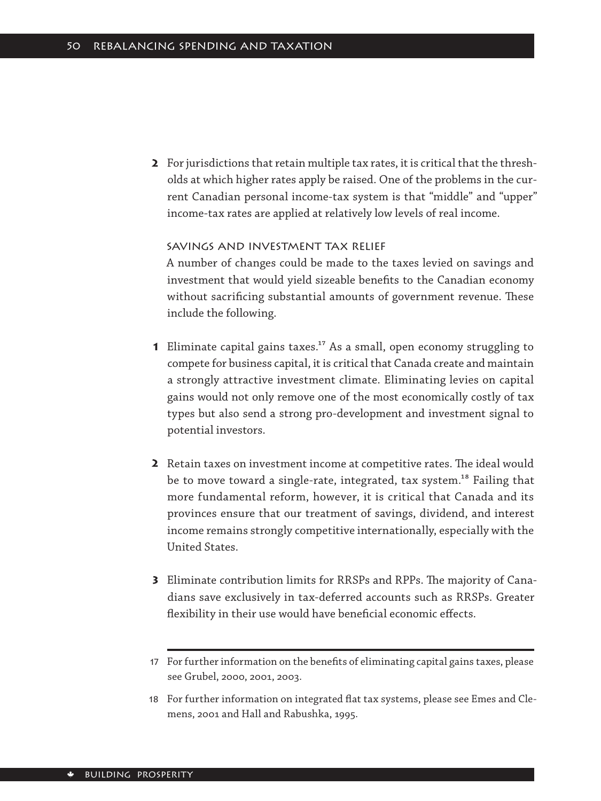**2** For jurisdictions that retain multiple tax rates, it is critical that the thresholds at which higher rates apply be raised. One of the problems in the current Canadian personal income-tax system is that "middle" and "upper" income-tax rates are applied at relatively low levels of real income.

### savings and investment tax relief

A number of changes could be made to the taxes levied on savings and investment that would yield sizeable benefits to the Canadian economy without sacrificing substantial amounts of government revenue. These include the following.

- **1** Eliminate capital gains taxes.<sup>17</sup> As a small, open economy struggling to compete for business capital, it is critical that Canada create and maintain a strongly attractive investment climate. Eliminating levies on capital gains would not only remove one of the most economically costly of tax types but also send a strong pro-development and investment signal to potential investors.
- **2** Retain taxes on investment income at competitive rates. The ideal would be to move toward a single-rate, integrated, tax system.<sup>18</sup> Failing that more fundamental reform, however, it is critical that Canada and its provinces ensure that our treatment of savings, dividend, and interest income remains strongly competitive internationally, especially with the United States.
- **3** Eliminate contribution limits for RRSPs and RPPs. The majority of Canadians save exclusively in tax-deferred accounts such as RRSPs. Greater flexibility in their use would have beneficial economic effects.

18 For further information on integrated flat tax systems, please see Emes and Clemens, 2001 and Hall and Rabushka, 1995.

<sup>17</sup> For further information on the benefits of eliminating capital gains taxes, please see Grubel, 2000, 2001, 2003.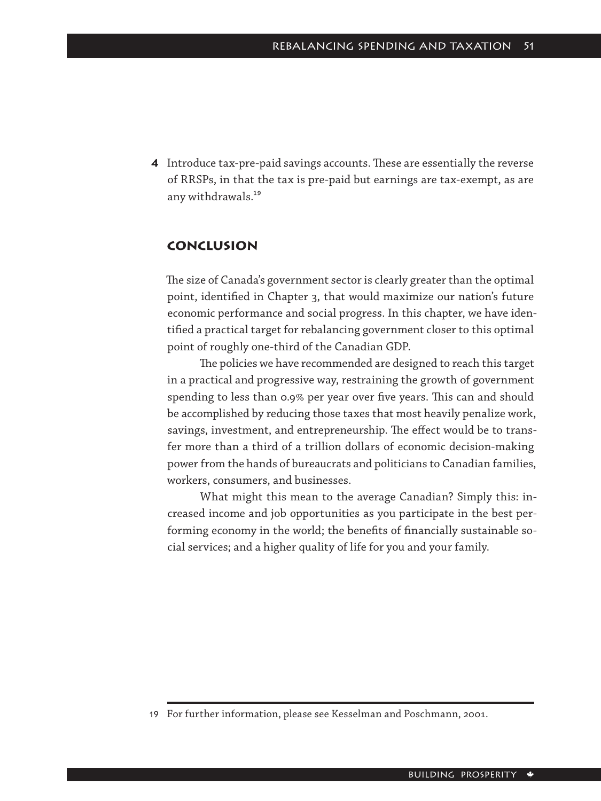**4** Introduce tax-pre-paid savings accounts. These are essentially the reverse of RRSPs, in that the tax is pre-paid but earnings are tax-exempt, as are any withdrawals.<sup>19</sup>

### **conclusion**

The size of Canada's government sector is clearly greater than the optimal point, identified in Chapter 3, that would maximize our nation's future economic performance and social progress. In this chapter, we have identified a practical target for rebalancing government closer to this optimal point of roughly one-third of the Canadian GDP.

The policies we have recommended are designed to reach this target in a practical and progressive way, restraining the growth of government spending to less than 0.9% per year over five years. This can and should be accomplished by reducing those taxes that most heavily penalize work, savings, investment, and entrepreneurship. The effect would be to transfer more than a third of a trillion dollars of economic decision-making power from the hands of bureaucrats and politicians to Canadian families, workers, consumers, and businesses.

What might this mean to the average Canadian? Simply this: increased income and job opportunities as you participate in the best performing economy in the world; the benefits of financially sustainable social services; and a higher quality of life for you and your family.

<sup>19</sup> For further information, please see Kesselman and Poschmann, 2001.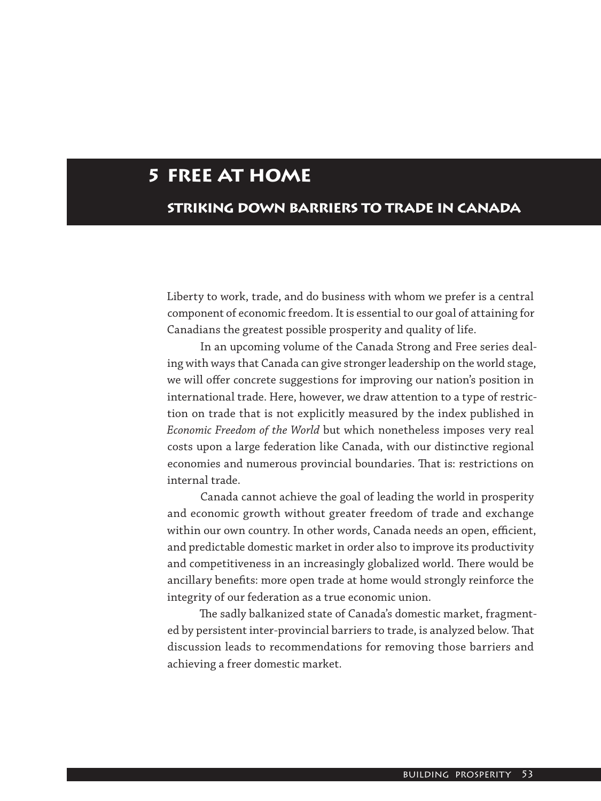# **5 free at home**

# **striking down barriers to trade in canada**

Liberty to work, trade, and do business with whom we prefer is a central component of economic freedom. It is essential to our goal of attaining for Canadians the greatest possible prosperity and quality of life.

In an upcoming volume of the Canada Strong and Free series dealing with ways that Canada can give stronger leadership on the world stage, we will offer concrete suggestions for improving our nation's position in international trade. Here, however, we draw attention to a type of restriction on trade that is not explicitly measured by the index published in *Economic Freedom of the World* but which nonetheless imposes very real costs upon a large federation like Canada, with our distinctive regional economies and numerous provincial boundaries. That is: restrictions on internal trade.

Canada cannot achieve the goal of leading the world in prosperity and economic growth without greater freedom of trade and exchange within our own country. In other words, Canada needs an open, efficient, and predictable domestic market in order also to improve its productivity and competitiveness in an increasingly globalized world. There would be ancillary benefits: more open trade at home would strongly reinforce the integrity of our federation as a true economic union.

The sadly balkanized state of Canada's domestic market, fragmented by persistent inter-provincial barriers to trade, is analyzed below. That discussion leads to recommendations for removing those barriers and achieving a freer domestic market.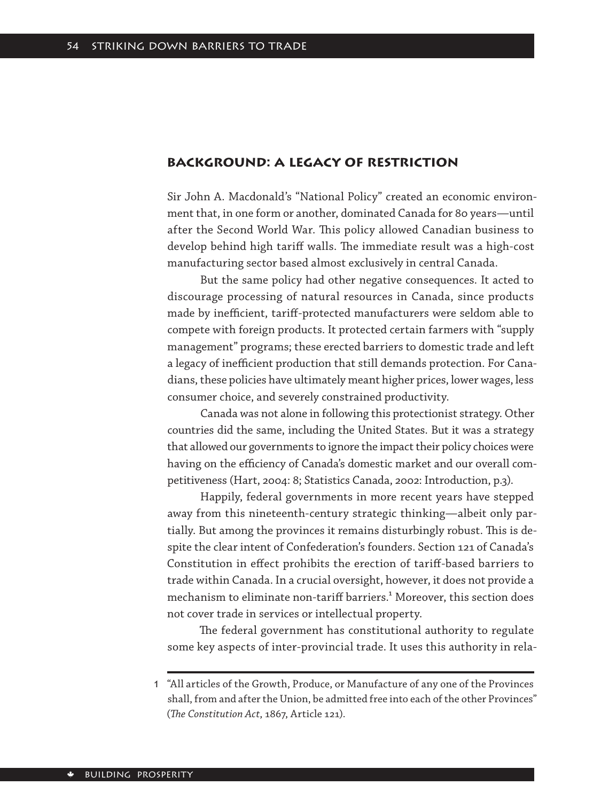### **background: a legacy of restriction**

Sir John A. Macdonald's "National Policy" created an economic environment that, in one form or another, dominated Canada for 80 years—until after the Second World War. This policy allowed Canadian business to develop behind high tariff walls. The immediate result was a high-cost manufacturing sector based almost exclusively in central Canada.

But the same policy had other negative consequences. It acted to discourage processing of natural resources in Canada, since products made by inefficient, tariff-protected manufacturers were seldom able to compete with foreign products. It protected certain farmers with "supply management" programs; these erected barriers to domestic trade and left a legacy of inefficient production that still demands protection. For Canadians, these policies have ultimately meant higher prices, lower wages, less consumer choice, and severely constrained productivity.

Canada was not alone in following this protectionist strategy. Other countries did the same, including the United States. But it was a strategy that allowed our governments to ignore the impact their policy choices were having on the efficiency of Canada's domestic market and our overall competitiveness (Hart, 2004: 8; Statistics Canada, 2002: Introduction, p.3).

Happily, federal governments in more recent years have stepped away from this nineteenth-century strategic thinking—albeit only partially. But among the provinces it remains disturbingly robust. This is despite the clear intent of Confederation's founders. Section 121 of Canada's Constitution in effect prohibits the erection of tariff-based barriers to trade within Canada. In a crucial oversight, however, it does not provide a mechanism to eliminate non-tariff barriers.<sup>1</sup> Moreover, this section does not cover trade in services or intellectual property.

The federal government has constitutional authority to regulate some key aspects of inter-provincial trade. It uses this authority in rela-

 <sup>1</sup> "All articles of the Growth, Produce, or Manufacture of any one of the Provinces shall, from and after the Union, be admitted free into each of the other Provinces" (*The Constitution Act*, 1867, Article 121).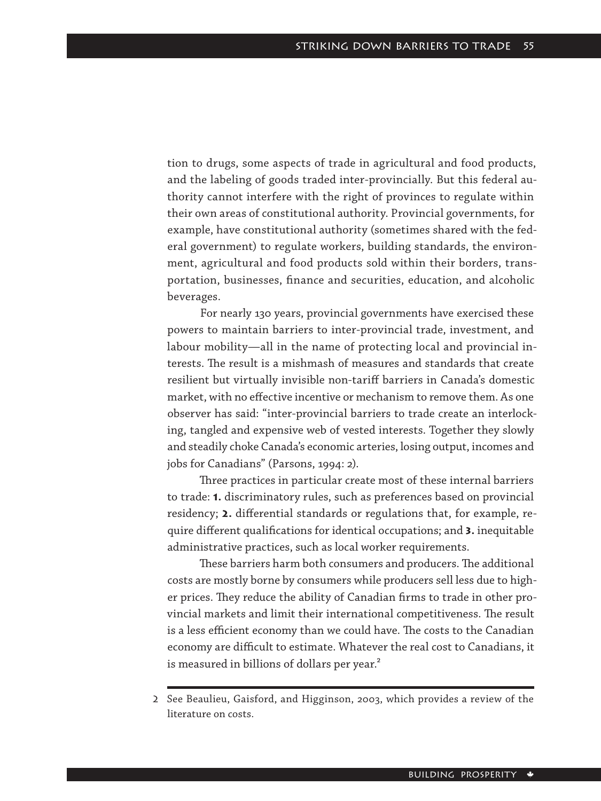tion to drugs, some aspects of trade in agricultural and food products, and the labeling of goods traded inter-provincially. But this federal authority cannot interfere with the right of provinces to regulate within their own areas of constitutional authority. Provincial governments, for example, have constitutional authority (sometimes shared with the federal government) to regulate workers, building standards, the environment, agricultural and food products sold within their borders, transportation, businesses, finance and securities, education, and alcoholic beverages.

For nearly 130 years, provincial governments have exercised these powers to maintain barriers to inter-provincial trade, investment, and labour mobility—all in the name of protecting local and provincial interests. The result is a mishmash of measures and standards that create resilient but virtually invisible non-tariff barriers in Canada's domestic market, with no effective incentive or mechanism to remove them. As one observer has said: "inter-provincial barriers to trade create an interlocking, tangled and expensive web of vested interests. Together they slowly and steadily choke Canada's economic arteries, losing output, incomes and jobs for Canadians" (Parsons, 1994: 2).

Three practices in particular create most of these internal barriers to trade: **1.** discriminatory rules, such as preferences based on provincial residency; **2.** differential standards or regulations that, for example, require different qualifications for identical occupations; and **3.** inequitable administrative practices, such as local worker requirements.

These barriers harm both consumers and producers. The additional costs are mostly borne by consumers while producers sell less due to higher prices. They reduce the ability of Canadian firms to trade in other provincial markets and limit their international competitiveness. The result is a less efficient economy than we could have. The costs to the Canadian economy are difficult to estimate. Whatever the real cost to Canadians, it is measured in billions of dollars per year.<sup>2</sup>

<sup>2</sup> See Beaulieu, Gaisford, and Higginson, 2003, which provides a review of the literature on costs.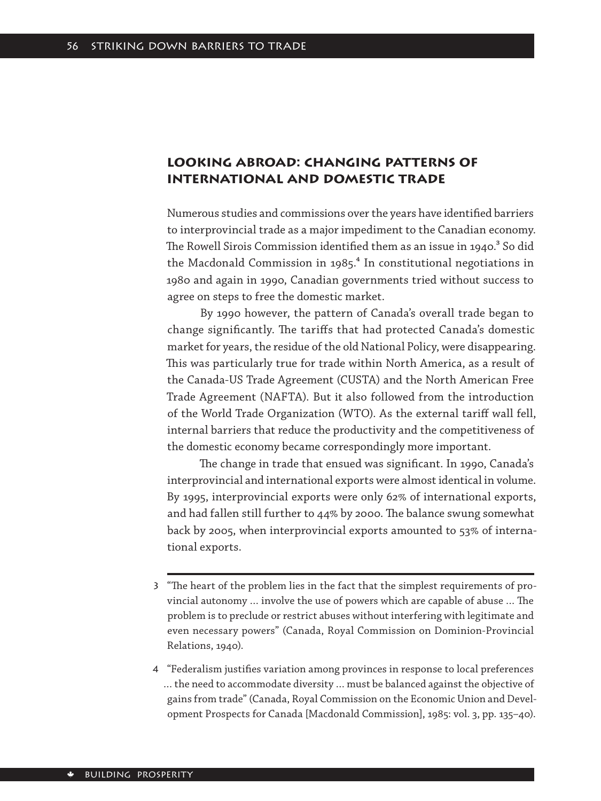# **looking abroad: changing patterns of international and domestic trade**

Numerous studies and commissions over the years have identified barriers to interprovincial trade as a major impediment to the Canadian economy. The Rowell Sirois Commission identified them as an issue in 1940.<sup>3</sup> So did the Macdonald Commission in  $1985$ <sup>4</sup>. In constitutional negotiations in 1980 and again in 1990, Canadian governments tried without success to agree on steps to free the domestic market.

By 1990 however, the pattern of Canada's overall trade began to change significantly. The tariffs that had protected Canada's domestic market for years, the residue of the old National Policy, were disappearing. This was particularly true for trade within North America, as a result of the Canada-US Trade Agreement (CUSTA) and the North American Free Trade Agreement (NAFTA). But it also followed from the introduction of the World Trade Organization (WTO). As the external tariff wall fell, internal barriers that reduce the productivity and the competitiveness of the domestic economy became correspondingly more important.

The change in trade that ensued was significant. In 1990, Canada's interprovincial and international exports were almost identical in volume. By 1995, interprovincial exports were only 62% of international exports, and had fallen still further to 44% by 2000. The balance swung somewhat back by 2005, when interprovincial exports amounted to 53% of international exports.

 "Federalism justifies variation among provinces in response to local preferences … the need to accommodate diversity … must be balanced against the objective of gains from trade" (Canada, Royal Commission on the Economic Union and Development Prospects for Canada [Macdonald Commission], 1985: vol. 3, pp. 135–40).

"The heart of the problem lies in the fact that the simplest requirements of provincial autonomy … involve the use of powers which are capable of abuse … The problem is to preclude or restrict abuses without interfering with legitimate and even necessary powers" (Canada, Royal Commission on Dominion-Provincial Relations, 1940).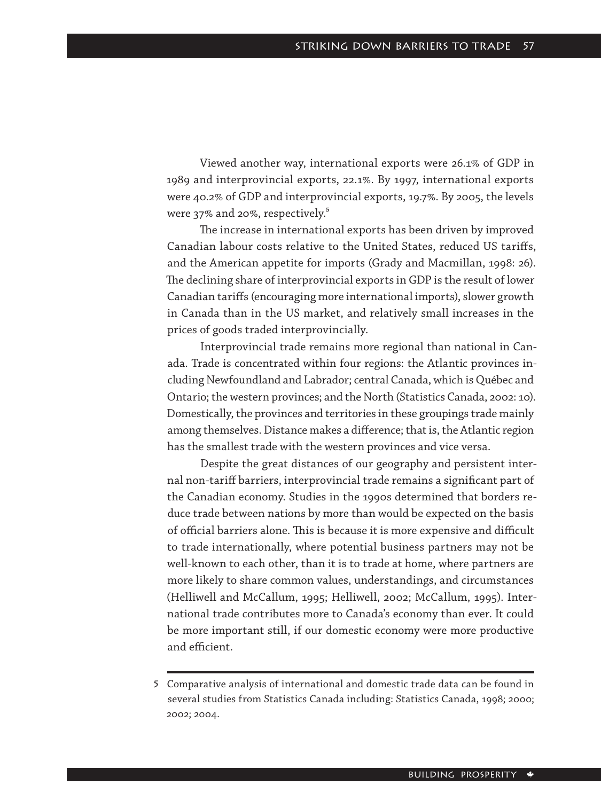Viewed another way, international exports were 26.1% of GDP in 1989 and interprovincial exports, 22.1%. By 1997, international exports were 40.2% of GDP and interprovincial exports, 19.7%. By 2005, the levels were 37% and 20%, respectively.

The increase in international exports has been driven by improved Canadian labour costs relative to the United States, reduced US tariffs, and the American appetite for imports (Grady and Macmillan, 1998: 26). The declining share of interprovincial exports in GDP is the result of lower Canadian tariffs (encouraging more international imports), slower growth in Canada than in the US market, and relatively small increases in the prices of goods traded interprovincially.

Interprovincial trade remains more regional than national in Canada. Trade is concentrated within four regions: the Atlantic provinces including Newfoundland and Labrador; central Canada, which is Québec and Ontario; the western provinces; and the North (Statistics Canada, 2002: 10). Domestically, the provinces and territories in these groupings trade mainly among themselves. Distance makes a difference; that is, the Atlantic region has the smallest trade with the western provinces and vice versa.

Despite the great distances of our geography and persistent internal non-tariff barriers, interprovincial trade remains a significant part of the Canadian economy. Studies in the 1990s determined that borders reduce trade between nations by more than would be expected on the basis of official barriers alone. This is because it is more expensive and difficult to trade internationally, where potential business partners may not be well-known to each other, than it is to trade at home, where partners are more likely to share common values, understandings, and circumstances (Helliwell and McCallum, 1995; Helliwell, 2002; McCallum, 1995). International trade contributes more to Canada's economy than ever. It could be more important still, if our domestic economy were more productive and efficient.

Comparative analysis of international and domestic trade data can be found in several studies from Statistics Canada including: Statistics Canada, 1998; 2000; 2002; 2004.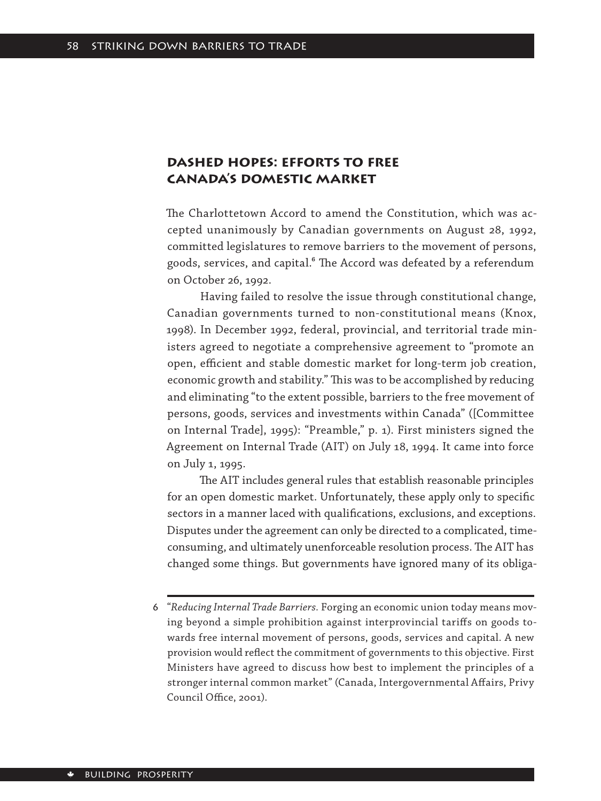# **dashed hopes: efforts to free canada's domestic market**

The Charlottetown Accord to amend the Constitution, which was accepted unanimously by Canadian governments on August 28, 1992, committed legislatures to remove barriers to the movement of persons, goods, services, and capital.<sup>6</sup> The Accord was defeated by a referendum on October 26, 1992.

Having failed to resolve the issue through constitutional change, Canadian governments turned to non-constitutional means (Knox, 1998). In December 1992, federal, provincial, and territorial trade ministers agreed to negotiate a comprehensive agreement to "promote an open, efficient and stable domestic market for long-term job creation, economic growth and stability." This was to be accomplished by reducing and eliminating "to the extent possible, barriers to the free movement of persons, goods, services and investments within Canada" ([Committee on Internal Trade], 1995): "Preamble," p. 1). First ministers signed the Agreement on Internal Trade (AIT) on July 18, 1994. It came into force on July 1, 1995.

The AIT includes general rules that establish reasonable principles for an open domestic market. Unfortunately, these apply only to specific sectors in a manner laced with qualifications, exclusions, and exceptions. Disputes under the agreement can only be directed to a complicated, timeconsuming, and ultimately unenforceable resolution process. The AIT has changed some things. But governments have ignored many of its obliga-

"*Reducing Internal Trade Barriers.* Forging an economic union today means moving beyond a simple prohibition against interprovincial tariffs on goods towards free internal movement of persons, goods, services and capital. A new provision would reflect the commitment of governments to this objective. First Ministers have agreed to discuss how best to implement the principles of a stronger internal common market" (Canada, Intergovernmental Affairs, Privy Council Office, 2001).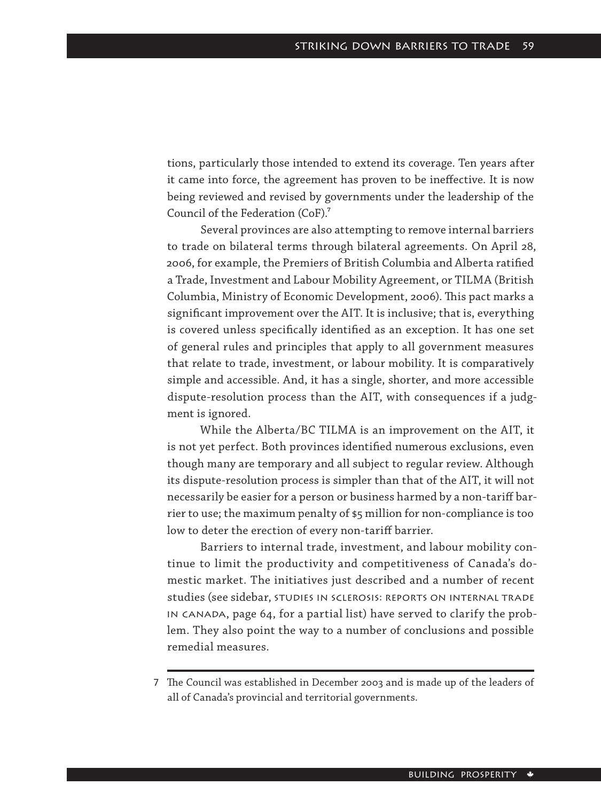tions, particularly those intended to extend its coverage. Ten years after it came into force, the agreement has proven to be ineffective. It is now being reviewed and revised by governments under the leadership of the Council of the Federation (CoF).

Several provinces are also attempting to remove internal barriers to trade on bilateral terms through bilateral agreements. On April 28, 2006, for example, the Premiers of British Columbia and Alberta ratified a Trade, Investment and Labour Mobility Agreement, or TILMA (British Columbia, Ministry of Economic Development, 2006). This pact marks a significant improvement over the AIT. It is inclusive; that is, everything is covered unless specifically identified as an exception. It has one set of general rules and principles that apply to all government measures that relate to trade, investment, or labour mobility. It is comparatively simple and accessible. And, it has a single, shorter, and more accessible dispute-resolution process than the AIT, with consequences if a judgment is ignored.

While the Alberta/BC TILMA is an improvement on the AIT, it is not yet perfect. Both provinces identified numerous exclusions, even though many are temporary and all subject to regular review. Although its dispute-resolution process is simpler than that of the AIT, it will not necessarily be easier for a person or business harmed by a non-tariff barrier to use; the maximum penalty of \$5 million for non-compliance is too low to deter the erection of every non-tariff barrier.

Barriers to internal trade, investment, and labour mobility continue to limit the productivity and competitiveness of Canada's domestic market. The initiatives just described and a number of recent studies (see sidebar, studies in sclerosis: reports on internal trade in canada, page 64, for a partial list) have served to clarify the problem. They also point the way to a number of conclusions and possible remedial measures.

The Council was established in December 2003 and is made up of the leaders of all of Canada's provincial and territorial governments.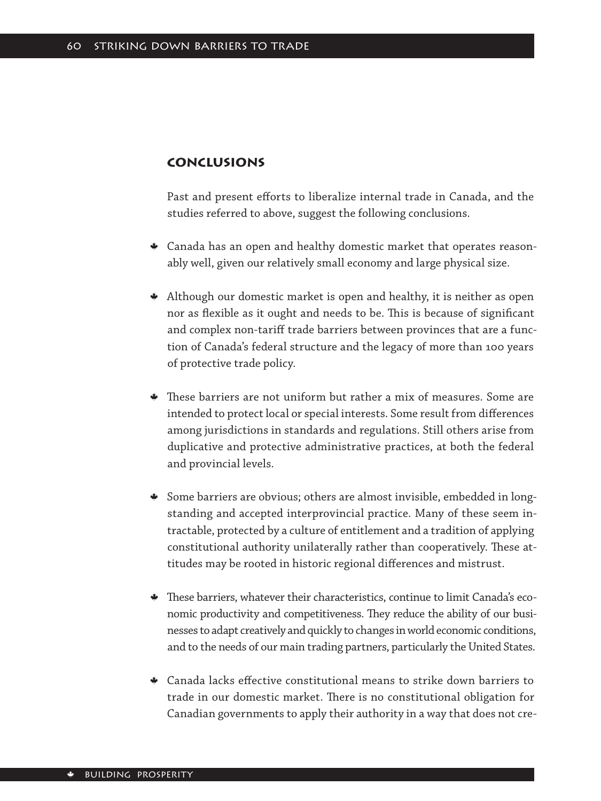### **conclusions**

Past and present efforts to liberalize internal trade in Canada, and the studies referred to above, suggest the following conclusions.

- $\bullet\;\;$  Canada has an open and healthy domestic market that operates reasonably well, given our relatively small economy and large physical size.
- Although our domestic market is open and healthy, it is neither as open nor as flexible as it ought and needs to be. This is because of significant and complex non-tariff trade barriers between provinces that are a function of Canada's federal structure and the legacy of more than 100 years of protective trade policy.
- These barriers are not uniform but rather a mix of measures. Some are intended to protect local or special interests. Some result from differences among jurisdictions in standards and regulations. Still others arise from duplicative and protective administrative practices, at both the federal and provincial levels.
- $\bullet \quad$  Some barriers are obvious; others are almost invisible, embedded in longstanding and accepted interprovincial practice. Many of these seem intractable, protected by a culture of entitlement and a tradition of applying constitutional authority unilaterally rather than cooperatively. These attitudes may be rooted in historic regional differences and mistrust.
- These barriers, whatever their characteristics, continue to limit Canada's economic productivity and competitiveness. They reduce the ability of our businesses to adapt creatively and quickly to changes in world economic conditions, and to the needs of our main trading partners, particularly the United States.
- $\bullet$  Canada lacks effective constitutional means to strike down barriers to trade in our domestic market. There is no constitutional obligation for Canadian governments to apply their authority in a way that does not cre-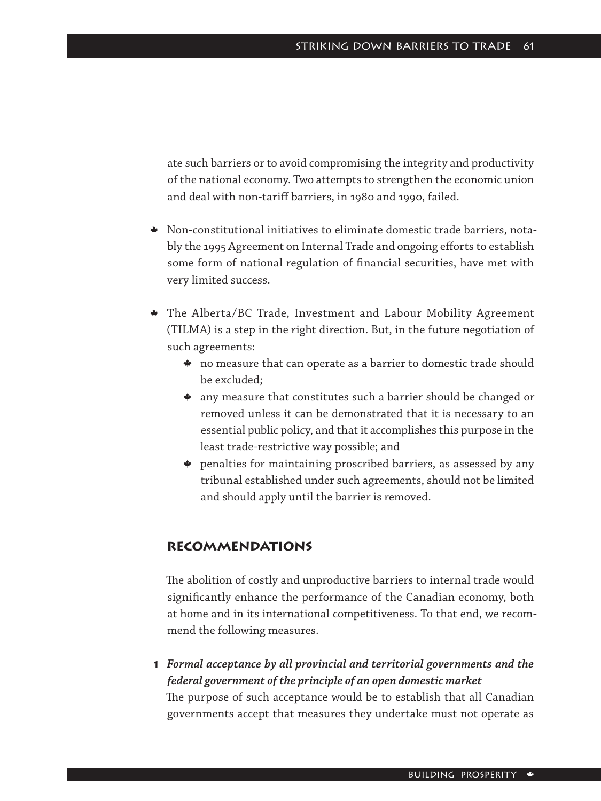ate such barriers or to avoid compromising the integrity and productivity of the national economy. Two attempts to strengthen the economic union and deal with non-tariff barriers, in 1980 and 1990, failed.

- Non-constitutional initiatives to eliminate domestic trade barriers, notably the 1995 Agreement on Internal Trade and ongoing efforts to establish some form of national regulation of financial securities, have met with very limited success.
- The Alberta/BC Trade, Investment and Labour Mobility Agreement (TILMA) is a step in the right direction. But, in the future negotiation of such agreements:
	- no measure that can operate as a barrier to domestic trade should be excluded;
	- any measure that constitutes such a barrier should be changed or removed unless it can be demonstrated that it is necessary to an essential public policy, and that it accomplishes this purpose in the least trade-restrictive way possible; and
	- penalties for maintaining proscribed barriers, as assessed by any tribunal established under such agreements, should not be limited and should apply until the barrier is removed.

### **recommendations**

The abolition of costly and unproductive barriers to internal trade would significantly enhance the performance of the Canadian economy, both at home and in its international competitiveness. To that end, we recommend the following measures.

**1** *Formal acceptance by all provincial and territorial governments and the federal government of the principle of an open domestic market* The purpose of such acceptance would be to establish that all Canadian governments accept that measures they undertake must not operate as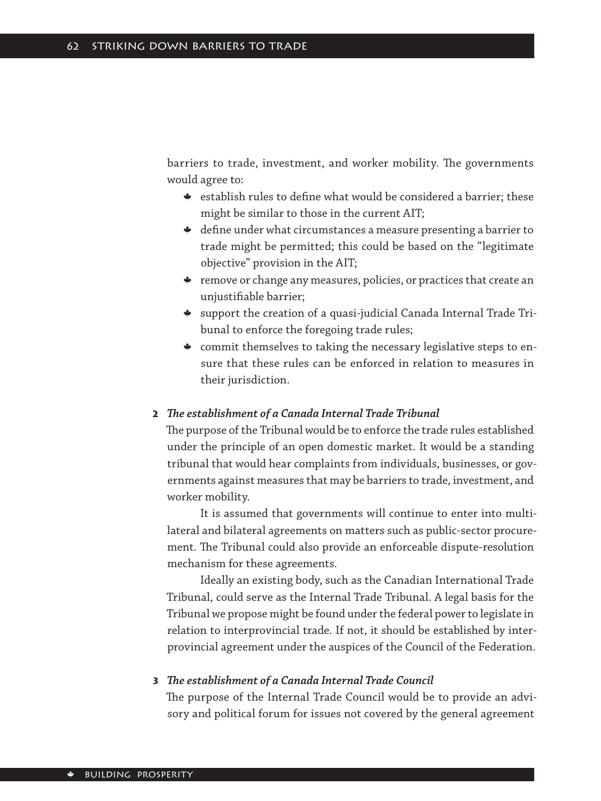barriers to trade, investment, and worker mobility. The governments would agree to:

- establish rules to define what would be considered a barrier; these might be similar to those in the current AIT;
- $\bullet$  define under what circumstances a measure presenting a barrier to trade might be permitted; this could be based on the "legitimate objective" provision in the AIT;
- $\bullet$  remove or change any measures, policies, or practices that create an unjustifiable barrier;
- support the creation of a quasi-judicial Canada Internal Trade Tribunal to enforce the foregoing trade rules;
- commit themselves to taking the necessary legislative steps to ensure that these rules can be enforced in relation to measures in their jurisdiction.

#### **2** *The establishment of a Canada Internal Trade Tribunal*

The purpose of the Tribunal would be to enforce the trade rules established under the principle of an open domestic market. It would be a standing tribunal that would hear complaints from individuals, businesses, or governments against measures that may be barriers to trade, investment, and worker mobility.

It is assumed that governments will continue to enter into multilateral and bilateral agreements on matters such as public-sector procurement. The Tribunal could also provide an enforceable dispute-resolution mechanism for these agreements.

Ideally an existing body, such as the Canadian International Trade Tribunal, could serve as the Internal Trade Tribunal. A legal basis for the Tribunal we propose might be found under the federal power to legislate in relation to interprovincial trade. If not, it should be established by interprovincial agreement under the auspices of the Council of the Federation.

### **3** *The establishment of a Canada Internal Trade Council*

The purpose of the Internal Trade Council would be to provide an advisory and political forum for issues not covered by the general agreement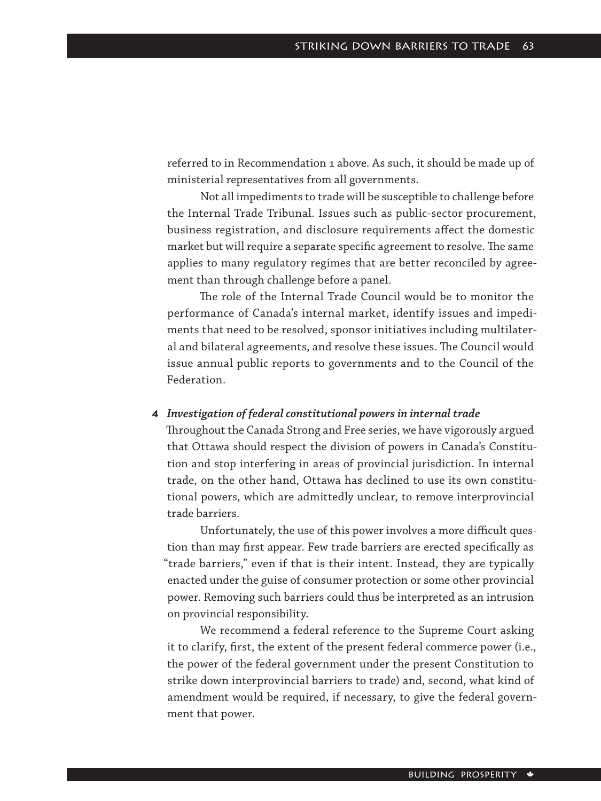referred to in Recommendation 1 above. As such, it should be made up of ministerial representatives from all governments.

Not all impediments to trade will be susceptible to challenge before the Internal Trade Tribunal. Issues such as public-sector procurement, business registration, and disclosure requirements affect the domestic market but will require a separate specific agreement to resolve. The same applies to many regulatory regimes that are better reconciled by agreement than through challenge before a panel.

The role of the Internal Trade Council would be to monitor the performance of Canada's internal market, identify issues and impediments that need to be resolved, sponsor initiatives including multilateral and bilateral agreements, and resolve these issues. The Council would issue annual public reports to governments and to the Council of the Federation.

#### **4** *Investigation of federal constitutional powers in internal trade*

Throughout the Canada Strong and Free series, we have vigorously argued that Ottawa should respect the division of powers in Canada's Constitution and stop interfering in areas of provincial jurisdiction. In internal trade, on the other hand, Ottawa has declined to use its own constitutional powers, which are admittedly unclear, to remove interprovincial trade barriers.

Unfortunately, the use of this power involves a more difficult question than may first appear. Few trade barriers are erected specifically as "trade barriers," even if that is their intent. Instead, they are typically enacted under the guise of consumer protection or some other provincial power. Removing such barriers could thus be interpreted as an intrusion on provincial responsibility.

We recommend a federal reference to the Supreme Court asking it to clarify, first, the extent of the present federal commerce power (i.e., the power of the federal government under the present Constitution to strike down interprovincial barriers to trade) and, second, what kind of amendment would be required, if necessary, to give the federal government that power.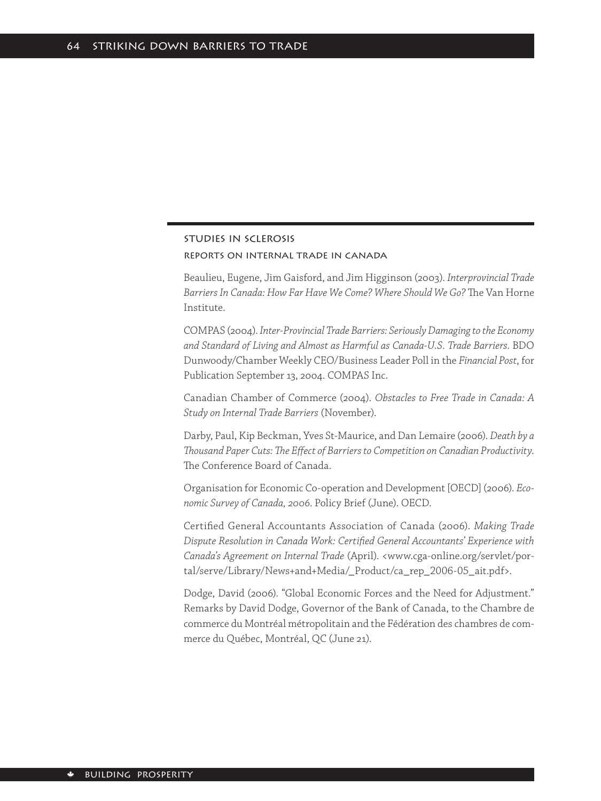### studies in sclerosis reports on internal trade in canada

 Beaulieu, Eugene, Jim Gaisford, and Jim Higginson (2003). *Interprovincial Trade Barriers In Canada: How Far Have We Come? Where Should We Go?* The Van Horne Institute.

 COMPAS (2004). *Inter-Provincial Trade Barriers: Seriously Damaging to the Economy and Standard of Living and Almost as Harmful as Canada-U.S. Trade Barriers*. BDO Dunwoody/Chamber Weekly CEO/Business Leader Poll in the *Financial Post*, for Publication September 13, 2004. COMPAS Inc.

 Canadian Chamber of Commerce (2004). *Obstacles to Free Trade in Canada: A Study on Internal Trade Barriers* (November).

 Darby, Paul, Kip Beckman, Yves St-Maurice, and Dan Lemaire (2006). *Death by a Thousand Paper Cuts: The Effect of Barriers to Competition on Canadian Productivity*. The Conference Board of Canada.

 Organisation for Economic Co-operation and Development [OECD] (2006). *Economic Survey of Canada, 2006*. Policy Brief (June). OECD.

 Certified General Accountants Association of Canada (2006). *Making Trade Dispute Resolution in Canada Work: Certified General Accountants' Experience with Canada's Agreement on Internal Trade* (April). <www.cga-online.org/servlet/portal/serve/Library/News+and+Media/\_Product/ca\_rep\_2006-05\_ait.pdf>.

 Dodge, David (2006). "Global Economic Forces and the Need for Adjustment." Remarks by David Dodge, Governor of the Bank of Canada, to the Chambre de commerce du Montréal métropolitain and the Fédération des chambres de commerce du Québec, Montréal, QC (June 21).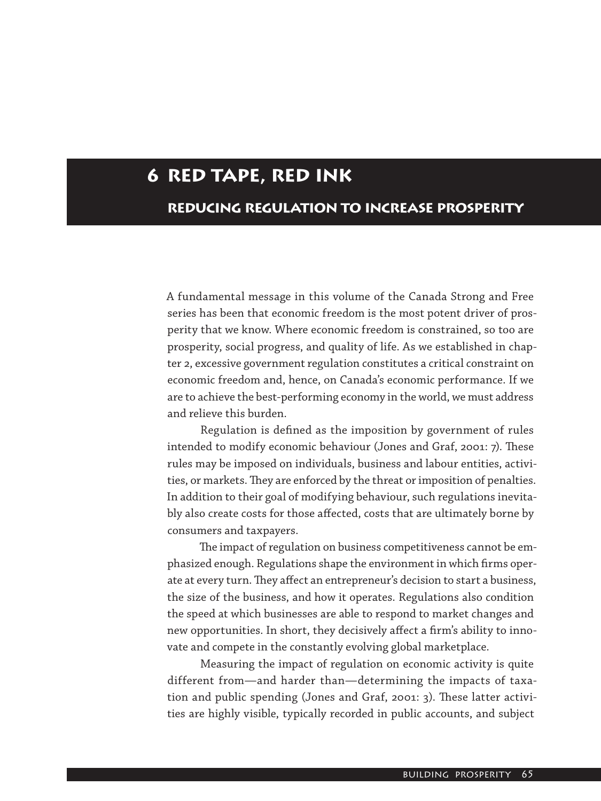# **6 red tape, red ink**

# **reducing regulation to increase prosperity**

A fundamental message in this volume of the Canada Strong and Free series has been that economic freedom is the most potent driver of prosperity that we know. Where economic freedom is constrained, so too are prosperity, social progress, and quality of life. As we established in chapter 2, excessive government regulation constitutes a critical constraint on economic freedom and, hence, on Canada's economic performance. If we are to achieve the best-performing economy in the world, we must address and relieve this burden.

Regulation is defined as the imposition by government of rules intended to modify economic behaviour (Jones and Graf, 2001: 7). These rules may be imposed on individuals, business and labour entities, activities, or markets. They are enforced by the threat or imposition of penalties. In addition to their goal of modifying behaviour, such regulations inevitably also create costs for those affected, costs that are ultimately borne by consumers and taxpayers.

The impact of regulation on business competitiveness cannot be emphasized enough. Regulations shape the environment in which firms operate at every turn. They affect an entrepreneur's decision to start a business, the size of the business, and how it operates. Regulations also condition the speed at which businesses are able to respond to market changes and new opportunities. In short, they decisively affect a firm's ability to innovate and compete in the constantly evolving global marketplace.

Measuring the impact of regulation on economic activity is quite different from—and harder than—determining the impacts of taxation and public spending (Jones and Graf, 2001: 3). These latter activities are highly visible, typically recorded in public accounts, and subject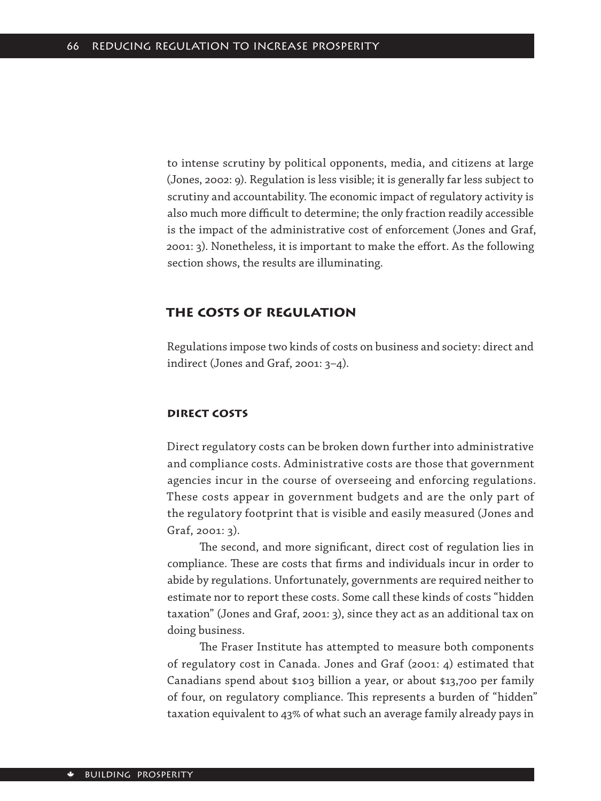to intense scrutiny by political opponents, media, and citizens at large (Jones, 2002: 9). Regulation is less visible; it is generally far less subject to scrutiny and accountability. The economic impact of regulatory activity is also much more difficult to determine; the only fraction readily accessible is the impact of the administrative cost of enforcement (Jones and Graf, 2001: 3). Nonetheless, it is important to make the effort. As the following section shows, the results are illuminating.

## **the costs of regulation**

Regulations impose two kinds of costs on business and society: direct and indirect (Jones and Graf, 2001: 3–4).

### **direct costs**

Direct regulatory costs can be broken down further into administrative and compliance costs. Administrative costs are those that government agencies incur in the course of overseeing and enforcing regulations. These costs appear in government budgets and are the only part of the regulatory footprint that is visible and easily measured (Jones and Graf, 2001: 3).

The second, and more significant, direct cost of regulation lies in compliance. These are costs that firms and individuals incur in order to abide by regulations. Unfortunately, governments are required neither to estimate nor to report these costs. Some call these kinds of costs "hidden taxation" (Jones and Graf, 2001: 3), since they act as an additional tax on doing business.

The Fraser Institute has attempted to measure both components of regulatory cost in Canada. Jones and Graf (2001: 4) estimated that Canadians spend about \$103 billion a year, or about \$13,700 per family of four, on regulatory compliance. This represents a burden of "hidden" taxation equivalent to 43% of what such an average family already pays in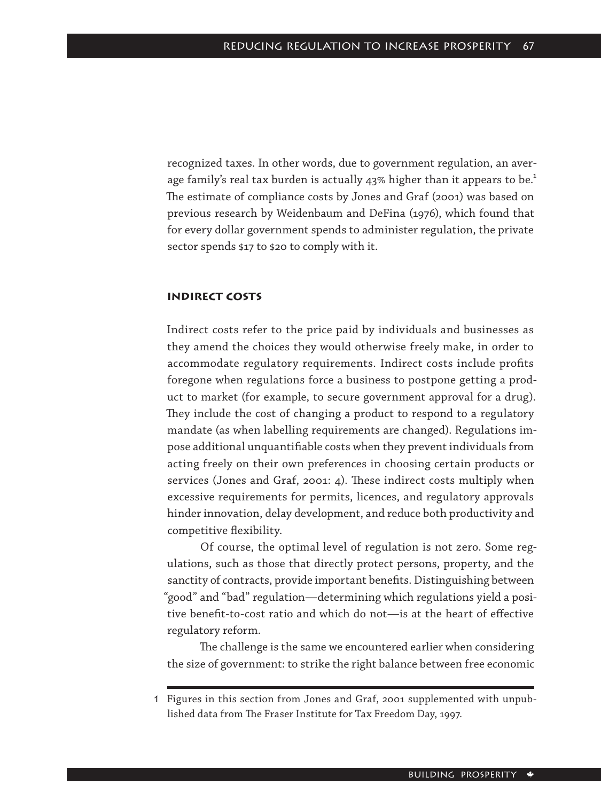recognized taxes. In other words, due to government regulation, an average family's real tax burden is actually  $43\%$  higher than it appears to be.<sup>1</sup> The estimate of compliance costs by Jones and Graf (2001) was based on previous research by Weidenbaum and DeFina (1976), which found that for every dollar government spends to administer regulation, the private sector spends \$17 to \$20 to comply with it.

### **indirect costs**

Indirect costs refer to the price paid by individuals and businesses as they amend the choices they would otherwise freely make, in order to accommodate regulatory requirements. Indirect costs include profits foregone when regulations force a business to postpone getting a product to market (for example, to secure government approval for a drug). They include the cost of changing a product to respond to a regulatory mandate (as when labelling requirements are changed). Regulations impose additional unquantifiable costs when they prevent individuals from acting freely on their own preferences in choosing certain products or services (Jones and Graf, 2001: 4). These indirect costs multiply when excessive requirements for permits, licences, and regulatory approvals hinder innovation, delay development, and reduce both productivity and competitive flexibility.

Of course, the optimal level of regulation is not zero. Some regulations, such as those that directly protect persons, property, and the sanctity of contracts, provide important benefits. Distinguishing between "good" and "bad" regulation—determining which regulations yield a positive benefit-to-cost ratio and which do not—is at the heart of effective regulatory reform.

The challenge is the same we encountered earlier when considering the size of government: to strike the right balance between free economic

 <sup>1</sup> Figures in this section from Jones and Graf, 2001 supplemented with unpublished data from The Fraser Institute for Tax Freedom Day, 1997.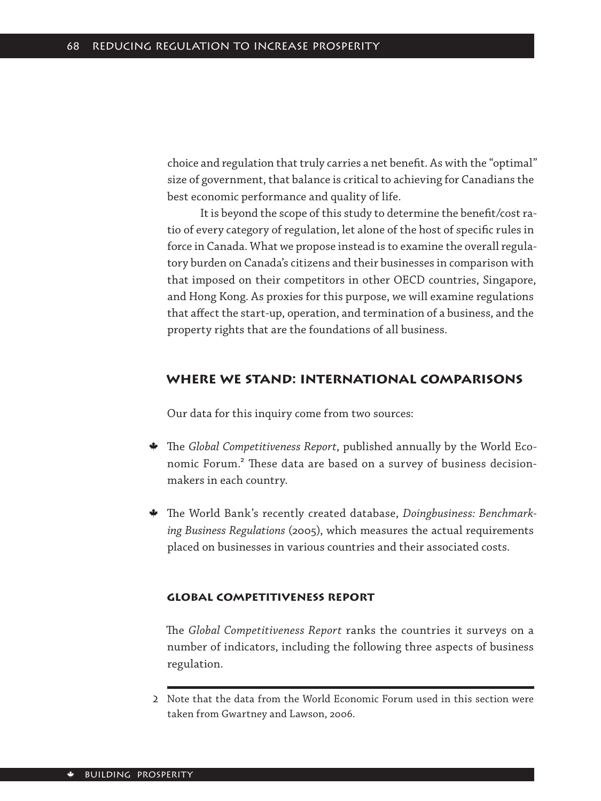choice and regulation that truly carries a net benefit. As with the "optimal" size of government, that balance is critical to achieving for Canadians the best economic performance and quality of life.

It is beyond the scope of this study to determine the benefit/cost ratio of every category of regulation, let alone of the host of specific rules in force in Canada. What we propose instead is to examine the overall regulatory burden on Canada's citizens and their businesses in comparison with that imposed on their competitors in other OECD countries, Singapore, and Hong Kong. As proxies for this purpose, we will examine regulations that affect the start-up, operation, and termination of a business, and the property rights that are the foundations of all business.

### **where we stand: international comparisons**

Our data for this inquiry come from two sources:

- The *Global Competitiveness Report*, published annually by the World Economic Forum.<sup>2</sup> These data are based on a survey of business decisionmakers in each country.
- The World Bank's recently created database, *Doingbusiness: Benchmarking Business Regulations* (2005), which measures the actual requirements placed on businesses in various countries and their associated costs.

#### **global competitiveness report**

The *Global Competitiveness Report* ranks the countries it surveys on a number of indicators, including the following three aspects of business regulation.

Note that the data from the World Economic Forum used in this section were taken from Gwartney and Lawson, 2006.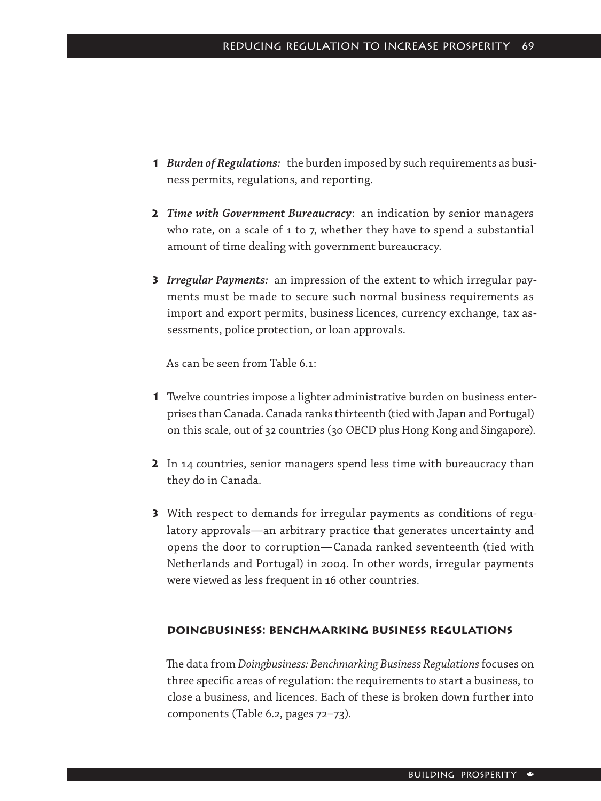- **1** *Burden of Regulations:* the burden imposed by such requirements as business permits, regulations, and reporting.
- **2** *Time with Government Bureaucracy*: an indication by senior managers who rate, on a scale of 1 to 7, whether they have to spend a substantial amount of time dealing with government bureaucracy.
- **3** *Irregular Payments:* an impression of the extent to which irregular payments must be made to secure such normal business requirements as import and export permits, business licences, currency exchange, tax assessments, police protection, or loan approvals.

As can be seen from Table 6.1:

- **1** Twelve countries impose a lighter administrative burden on business enterprises than Canada. Canada ranks thirteenth (tied with Japan and Portugal) on this scale, out of 32 countries (30 OECD plus Hong Kong and Singapore).
- **2** In 14 countries, senior managers spend less time with bureaucracy than they do in Canada.
- **3** With respect to demands for irregular payments as conditions of regulatory approvals—an arbitrary practice that generates uncertainty and opens the door to corruption—Canada ranked seventeenth (tied with Netherlands and Portugal) in 2004. In other words, irregular payments were viewed as less frequent in 16 other countries.

### **doingbusiness: benchmarking business regulations**

The data from *Doingbusiness: Benchmarking Business Regulations* focuses on three specific areas of regulation: the requirements to start a business, to close a business, and licences. Each of these is broken down further into components (Table 6.2, pages 72–73).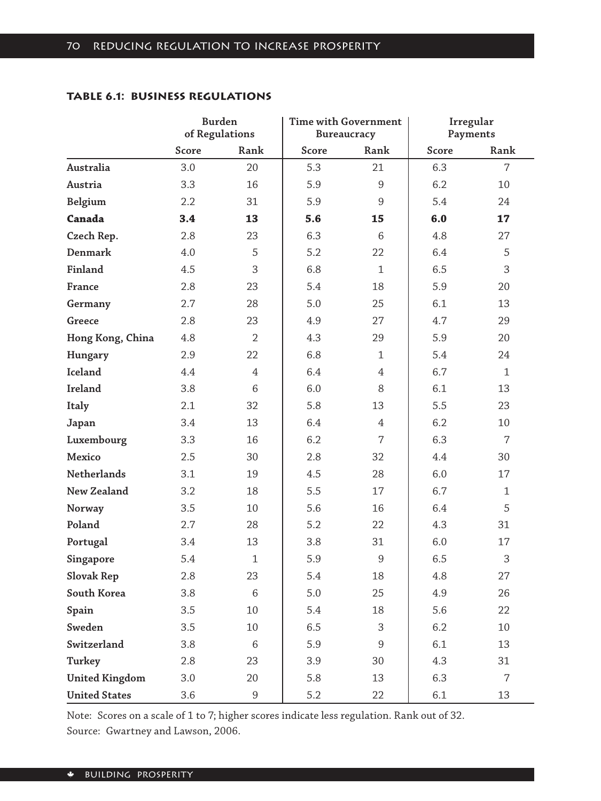|                       |       | <b>Burden</b><br>of Regulations |       | <b>Time with Government</b><br>Bureaucracy | Irregular<br>Payments |                |  |
|-----------------------|-------|---------------------------------|-------|--------------------------------------------|-----------------------|----------------|--|
|                       | Score | Rank                            | Score | Rank                                       | Score                 | Rank           |  |
| Australia             | 3.0   | 20                              | 5.3   | 21                                         | 6.3                   | $\overline{7}$ |  |
| Austria               | 3.3   | 16                              | 5.9   | 9                                          | 6.2                   | 10             |  |
| Belgium               | 2.2   | 31                              | 5.9   | $\boldsymbol{9}$                           | 5.4                   | 24             |  |
| Canada                | 3.4   | 13                              | 5.6   | 15                                         | 6.0                   | 17             |  |
| Czech Rep.            | 2.8   | 23                              | 6.3   | 6                                          | 4.8                   | 27             |  |
| Denmark               | 4.0   | 5                               | 5.2   | 22                                         | 6.4                   | 5              |  |
| Finland               | 4.5   | 3                               | 6.8   | $\mathbf{1}$                               | 6.5                   | 3              |  |
| France                | 2.8   | 23                              | 5.4   | 18                                         | 5.9                   | 20             |  |
| Germany               | 2.7   | 28                              | 5.0   | 25                                         | 6.1                   | 13             |  |
| Greece                | 2.8   | 23                              | 4.9   | 27                                         | 4.7                   | 29             |  |
| Hong Kong, China      | 4.8   | $\overline{2}$                  | 4.3   | 29                                         | 5.9                   | 20             |  |
| Hungary               | 2.9   | 22                              | 6.8   | $\mathbf{1}$                               | 5.4                   | 24             |  |
| Iceland               | 4.4   | $\overline{4}$                  | 6.4   | $\overline{4}$                             | 6.7                   | $\mathbf{1}$   |  |
| Ireland               | 3.8   | 6                               | 6.0   | 8                                          | 6.1                   | 13             |  |
| Italy                 | 2.1   | 32                              | 5.8   | 13                                         | 5.5                   | 23             |  |
| Japan                 | 3.4   | 13                              | 6.4   | $\overline{4}$                             | 6.2                   | 10             |  |
| Luxembourg            | 3.3   | 16                              | 6.2   | $\overline{7}$                             | 6.3                   | $\overline{7}$ |  |
| Mexico                | 2.5   | 30                              | 2.8   | 32                                         | 4.4                   | 30             |  |
| Netherlands           | 3.1   | 19                              | 4.5   | 28                                         | 6.0                   | 17             |  |
| New Zealand           | 3.2   | 18                              | 5.5   | 17                                         | 6.7                   | $\mathbf{1}$   |  |
| Norway                | 3.5   | 10                              | 5.6   | 16                                         | 6.4                   | 5              |  |
| Poland                | 2.7   | 28                              | 5.2   | 22                                         | 4.3                   | 31             |  |
| Portugal              | 3.4   | 13                              | 3.8   | 31                                         | 6.0                   | 17             |  |
| Singapore             | 5.4   | $\mathbf{1}$                    | 5.9   | $\boldsymbol{9}$                           | 6.5                   | $\mathbf{3}$   |  |
| Slovak Rep            | 2.8   | 23                              | 5.4   | 18                                         | 4.8                   | 27             |  |
| South Korea           | 3.8   | 6                               | 5.0   | 25                                         | 4.9                   | 26             |  |
| Spain                 | 3.5   | $10\,$                          | 5.4   | 18                                         | 5.6                   | 22             |  |
| Sweden                | 3.5   | 10                              | 6.5   | 3                                          | 6.2                   | 10             |  |
| Switzerland           | 3.8   | $\,6\,$                         | 5.9   | $\boldsymbol{9}$                           | 6.1                   | 13             |  |
| Turkey                | 2.8   | 23                              | 3.9   | 30                                         | 4.3                   | 31             |  |
| <b>United Kingdom</b> | 3.0   | 20                              | 5.8   | 13                                         | 6.3                   | $\overline{7}$ |  |
| <b>United States</b>  | 3.6   | $\,9$                           | 5.2   | 22                                         | 6.1                   | 13             |  |

# **table 6.1: business regulations**

Note: Scores on a scale of 1 to 7; higher scores indicate less regulation. Rank out of 32. Source: Gwartney and Lawson, 2006.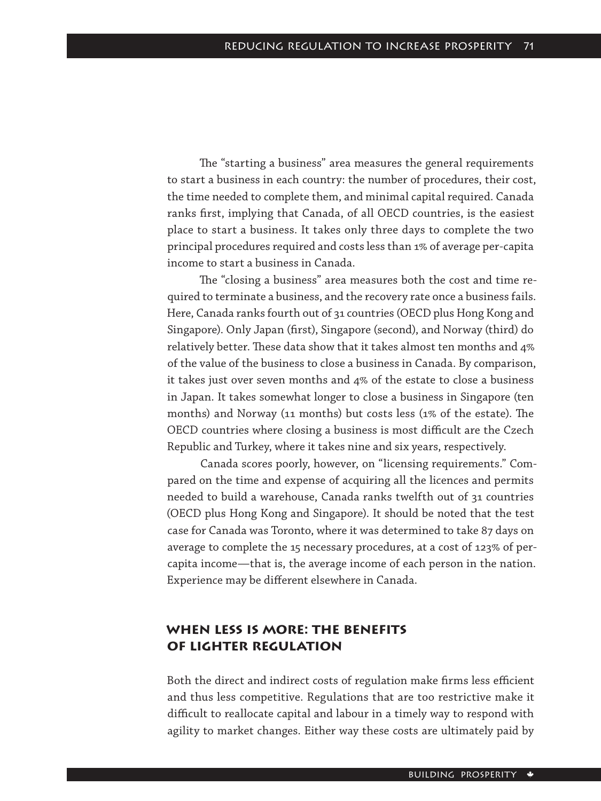The "starting a business" area measures the general requirements to start a business in each country: the number of procedures, their cost, the time needed to complete them, and minimal capital required. Canada ranks first, implying that Canada, of all OECD countries, is the easiest place to start a business. It takes only three days to complete the two principal procedures required and costs less than 1% of average per-capita income to start a business in Canada.

The "closing a business" area measures both the cost and time required to terminate a business, and the recovery rate once a business fails. Here, Canada ranks fourth out of 31 countries (OECD plus Hong Kong and Singapore). Only Japan (first), Singapore (second), and Norway (third) do relatively better. These data show that it takes almost ten months and 4% of the value of the business to close a business in Canada. By comparison, it takes just over seven months and 4% of the estate to close a business in Japan. It takes somewhat longer to close a business in Singapore (ten months) and Norway (11 months) but costs less (1% of the estate). The OECD countries where closing a business is most difficult are the Czech Republic and Turkey, where it takes nine and six years, respectively.

Canada scores poorly, however, on "licensing requirements." Compared on the time and expense of acquiring all the licences and permits needed to build a warehouse, Canada ranks twelfth out of 31 countries (OECD plus Hong Kong and Singapore). It should be noted that the test case for Canada was Toronto, where it was determined to take 87 days on average to complete the 15 necessary procedures, at a cost of 123% of percapita income—that is, the average income of each person in the nation. Experience may be different elsewhere in Canada.

# **when less is more: the benefits of lighter regulation**

Both the direct and indirect costs of regulation make firms less efficient and thus less competitive. Regulations that are too restrictive make it difficult to reallocate capital and labour in a timely way to respond with agility to market changes. Either way these costs are ultimately paid by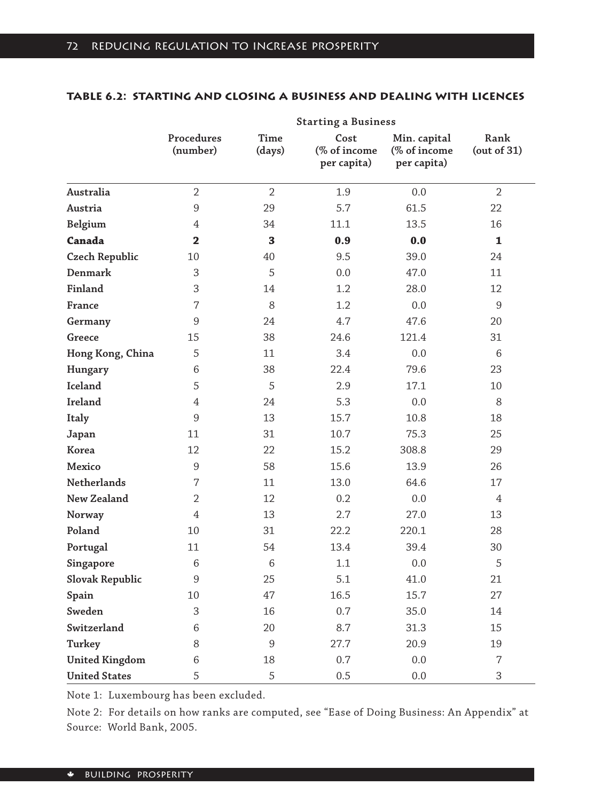|                       |                        |                | <b>Starting a Business</b>          |                                             |                     |
|-----------------------|------------------------|----------------|-------------------------------------|---------------------------------------------|---------------------|
|                       | Procedures<br>(number) | Time<br>(days) | Cost<br>(% of income<br>per capita) | Min. capital<br>(% of income<br>per capita) | Rank<br>(out of 31) |
| Australia             | $\overline{2}$         | $\overline{2}$ | 1.9                                 | 0.0                                         | $\overline{2}$      |
| Austria               | 9                      | 29             | 5.7                                 | 61.5                                        | 22                  |
| Belgium               | 4                      | 34             | 11.1                                | 13.5                                        | 16                  |
| Canada                | $\mathbf{2}$           | ${\bf 3}$      | 0.9                                 | 0.0                                         | $\mathbf{1}$        |
| Czech Republic        | 10                     | $40\,$         | 9.5                                 | 39.0                                        | 24                  |
| Denmark               | 3                      | 5              | 0.0                                 | 47.0                                        | 11                  |
| Finland               | 3                      | 14             | 1.2                                 | 28.0                                        | 12                  |
| France                | $\overline{7}$         | $\,8\,$        | 1.2                                 | 0.0                                         | $\,9$               |
| Germany               | 9                      | 24             | 4.7                                 | 47.6                                        | $20\,$              |
| Greece                | 15                     | 38             | 24.6                                | 121.4                                       | 31                  |
| Hong Kong, China      | 5                      | 11             | 3.4                                 | 0.0                                         | 6                   |
| Hungary               | 6                      | 38             | 22.4                                | 79.6                                        | 23                  |
| $\rm I$ celand        | 5                      | $\overline{5}$ | 2.9                                 | 17.1                                        | $10\,$              |
| Ireland               | $\overline{4}$         | 24             | 5.3                                 | 0.0                                         | 8                   |
| Italy                 | 9                      | 13             | 15.7                                | 10.8                                        | 18                  |
| Japan                 | 11                     | 31             | 10.7                                | 75.3                                        | 25                  |
| Korea                 | 12                     | 22             | 15.2                                | 308.8                                       | 29                  |
| Mexico                | 9                      | 58             | 15.6                                | 13.9                                        | 26                  |
| Netherlands           | $\overline{7}$         | 11             | 13.0                                | 64.6                                        | $17\,$              |
| New Zealand           | $\overline{2}$         | 12             | 0.2                                 | 0.0                                         | $\overline{4}$      |
| Norway                | $\overline{4}$         | 13             | 2.7                                 | 27.0                                        | 13                  |
| Poland                | 10                     | 31             | 22.2                                | 220.1                                       | 28                  |
| Portugal              | 11                     | 54             | 13.4                                | 39.4                                        | $30\,$              |
| Singapore             | 6                      | $\,6\,$        | 1.1                                 | 0.0                                         | $5\phantom{.0}$     |
| Slovak Republic       | 9                      | 25             | 5.1                                 | 41.0                                        | 21                  |
| Spain                 | 10                     | 47             | 16.5                                | 15.7                                        | 27                  |
| Sweden                | $\mathbf{3}$           | 16             | 0.7                                 | 35.0                                        | 14                  |
| Switzerland           | 6                      | 20             | 8.7                                 | 31.3                                        | 15                  |
| Turkey                | 8                      | 9              | 27.7                                | 20.9                                        | 19                  |
| <b>United Kingdom</b> | $\,6\,$                | 18             | 0.7                                 | 0.0                                         | $\overline{7}$      |
| <b>United States</b>  | 5                      | 5              | 0.5                                 | $0.0\,$                                     | $\mathbf{3}$        |

## **table 6.2: starting and closing a business and dealing with licences**

Note 1: Luxembourg has been excluded.

Note 2: For details on how ranks are computed, see "Ease of Doing Business: An Appendix" at Source: World Bank, 2005.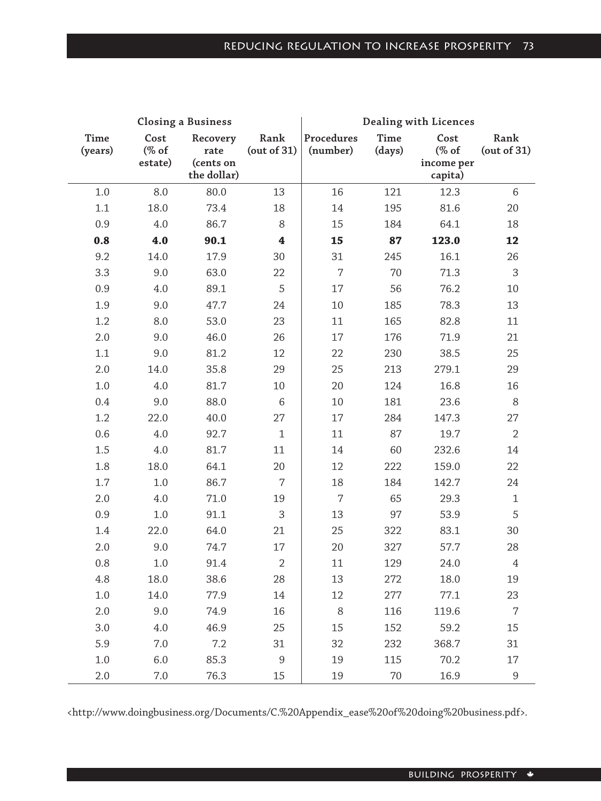|                       | <b>Closing a Business</b>              |                                              |                     | Dealing with Licences  |                      |                                           |                     |  |
|-----------------------|----------------------------------------|----------------------------------------------|---------------------|------------------------|----------------------|-------------------------------------------|---------------------|--|
| $\rm Time$<br>(years) | $\mathsf{Cost}$<br>$($ % of<br>estate) | Recovery<br>rate<br>(cents on<br>the dollar) | Rank<br>(out of 31) | Procedures<br>(number) | $\rm Time$<br>(days) | Cost<br>$($ % of<br>income per<br>capita) | Rank<br>(out of 31) |  |
| $1.0\,$               | $8.0\,$                                | $80.0\,$                                     | 13                  | 16                     | 121                  | 12.3                                      | $6\phantom{.}6$     |  |
| 1.1                   | 18.0                                   | 73.4                                         | 18                  | 14                     | 195                  | 81.6                                      | $20\,$              |  |
| 0.9                   | 4.0                                    | 86.7                                         | $\,8\,$             | 15                     | 184                  | 64.1                                      | 18                  |  |
| $0.8\,$               | $\bf 4.0$                              | 90.1                                         | $\boldsymbol{4}$    | 15                     | 87                   | 123.0                                     | ${\bf 12}$          |  |
| 9.2                   | 14.0                                   | 17.9                                         | $30\,$              | 31                     | 245                  | 16.1                                      | 26                  |  |
| 3.3                   | 9.0                                    | 63.0                                         | 22                  | $\overline{7}$         | 70                   | 71.3                                      | $\mathbf{3}$        |  |
| 0.9                   | 4.0                                    | 89.1                                         | $\sqrt{5}$          | 17                     | 56                   | 76.2                                      | $10\,$              |  |
| 1.9                   | 9.0                                    | 47.7                                         | 24                  | 10                     | 185                  | 78.3                                      | 13                  |  |
| $1.2\,$               | $8.0\,$                                | 53.0                                         | 23                  | 11                     | 165                  | 82.8                                      | 11                  |  |
| 2.0                   | 9.0                                    | 46.0                                         | 26                  | 17                     | 176                  | 71.9                                      | 21                  |  |
| 1.1                   | 9.0                                    | 81.2                                         | 12                  | 22                     | 230                  | 38.5                                      | 25                  |  |
| 2.0                   | 14.0                                   | 35.8                                         | 29                  | 25                     | 213                  | 279.1                                     | 29                  |  |
| 1.0                   | 4.0                                    | 81.7                                         | 10                  | 20                     | 124                  | 16.8                                      | 16                  |  |
| $0.4\,$               | $9.0\,$                                | 88.0                                         | $6\,$               | $10\,$                 | 181                  | 23.6                                      | $\,8\,$             |  |
| $1.2\,$               | 22.0                                   | 40.0                                         | 27                  | 17                     | 284                  | 147.3                                     | 27                  |  |
| 0.6                   | 4.0                                    | 92.7                                         | $\mathbf{1}$        | 11                     | 87                   | 19.7                                      | $\overline{2}$      |  |
| 1.5                   | $4.0\,$                                | 81.7                                         | 11                  | 14                     | 60                   | 232.6                                     | 14                  |  |
| $1.8\,$               | 18.0                                   | 64.1                                         | $20\,$              | 12                     | 222                  | 159.0                                     | $22\,$              |  |
| 1.7                   | 1.0                                    | 86.7                                         | $\overline{7}$      | 18                     | 184                  | 142.7                                     | 24                  |  |
| 2.0                   | 4.0                                    | 71.0                                         | 19                  | $\overline{7}$         | 65                   | 29.3                                      | $\mathbf{1}$        |  |
| 0.9                   | 1.0                                    | 91.1                                         | 3                   | 13                     | 97                   | 53.9                                      | $\overline{5}$      |  |
| $1.4\,$               | 22.0                                   | 64.0                                         | 21                  | 25                     | 322                  | 83.1                                      | $30\,$              |  |
| 2.0                   | 9.0                                    | 74.7                                         | 17                  | 20                     | 327                  | 57.7                                      | 28                  |  |
| $0.8\,$               | $1.0\,$                                | 91.4                                         | $\overline{2}$      | 11                     | 129                  | 24.0                                      | $\overline{4}$      |  |
| 4.8                   | 18.0                                   | 38.6                                         | 28                  | 13                     | 272                  | 18.0                                      | 19                  |  |
| $1.0\,$               | 14.0                                   | 77.9                                         | 14                  | 12                     | 277                  | 77.1                                      | 23                  |  |
| $2.0\,$               | 9.0                                    | 74.9                                         | 16                  | $\,8\,$                | 116                  | 119.6                                     | $\overline{7}$      |  |
| $3.0\,$               | 4.0                                    | 46.9                                         | 25                  | 15                     | 152                  | 59.2                                      | 15                  |  |
| 5.9                   | 7.0                                    | 7.2                                          | 31                  | 32                     | 232                  | 368.7                                     | 31                  |  |
| $1.0$                 | $6.0\,$                                | 85.3                                         | $\boldsymbol{9}$    | 19                     | 115                  | 70.2                                      | 17                  |  |
| 2.0                   | $7.0\,$                                | 76.3                                         | 15                  | 19                     | 70                   | 16.9                                      | $\boldsymbol{9}$    |  |

<http://www.doingbusiness.org/Documents/C.%20Appendix\_ease%20of%20doing%20business.pdf>.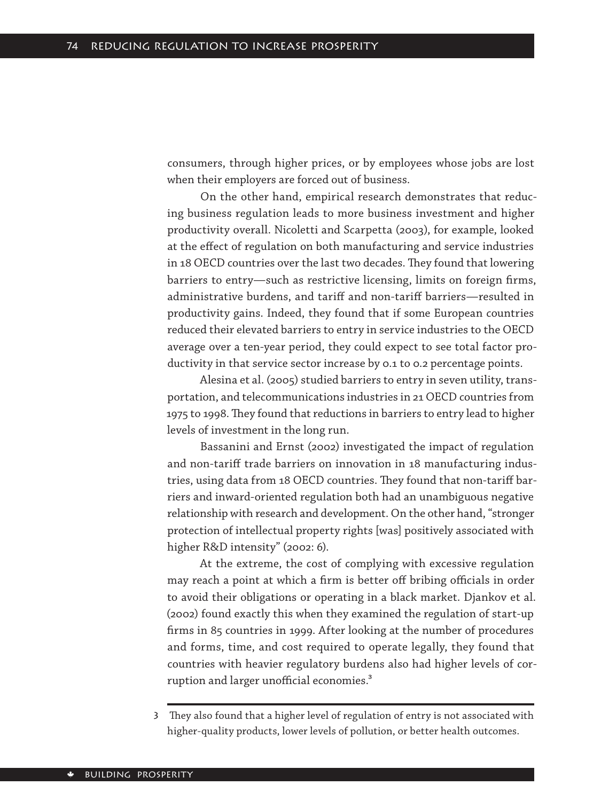consumers, through higher prices, or by employees whose jobs are lost when their employers are forced out of business.

On the other hand, empirical research demonstrates that reducing business regulation leads to more business investment and higher productivity overall. Nicoletti and Scarpetta (2003), for example, looked at the effect of regulation on both manufacturing and service industries in 18 OECD countries over the last two decades. They found that lowering barriers to entry—such as restrictive licensing, limits on foreign firms, administrative burdens, and tariff and non-tariff barriers—resulted in productivity gains. Indeed, they found that if some European countries reduced their elevated barriers to entry in service industries to the OECD average over a ten-year period, they could expect to see total factor productivity in that service sector increase by 0.1 to 0.2 percentage points.

Alesina et al. (2005) studied barriers to entry in seven utility, transportation, and telecommunications industries in 21 OECD countries from 1975 to 1998. They found that reductions in barriers to entry lead to higher levels of investment in the long run.

Bassanini and Ernst (2002) investigated the impact of regulation and non-tariff trade barriers on innovation in 18 manufacturing industries, using data from 18 OECD countries. They found that non-tariff barriers and inward-oriented regulation both had an unambiguous negative relationship with research and development. On the other hand, "stronger protection of intellectual property rights [was] positively associated with higher R&D intensity" (2002: 6).

At the extreme, the cost of complying with excessive regulation may reach a point at which a firm is better off bribing officials in order to avoid their obligations or operating in a black market. Djankov et al. (2002) found exactly this when they examined the regulation of start-up firms in 85 countries in 1999. After looking at the number of procedures and forms, time, and cost required to operate legally, they found that countries with heavier regulatory burdens also had higher levels of corruption and larger unofficial economies.

They also found that a higher level of regulation of entry is not associated with higher-quality products, lower levels of pollution, or better health outcomes.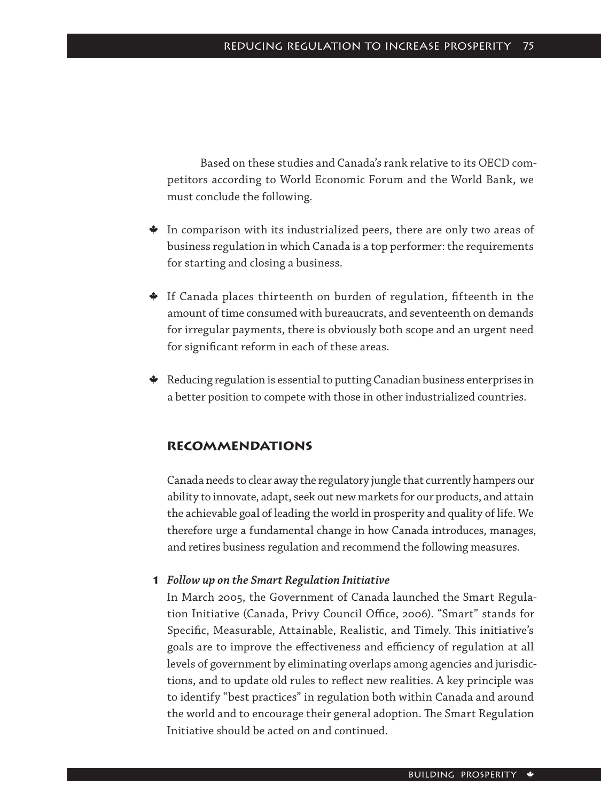Based on these studies and Canada's rank relative to its OECD competitors according to World Economic Forum and the World Bank, we must conclude the following.

- $\bullet$  In comparison with its industrialized peers, there are only two areas of business regulation in which Canada is a top performer: the requirements for starting and closing a business.
- $\bullet$  If Canada places thirteenth on burden of regulation, fifteenth in the amount of time consumed with bureaucrats, and seventeenth on demands for irregular payments, there is obviously both scope and an urgent need for significant reform in each of these areas.
- $\bullet\quad$  Reducing regulation is essential to putting Canadian business enterprises in a better position to compete with those in other industrialized countries.

# **recommendations**

Canada needs to clear away the regulatory jungle that currently hampers our ability to innovate, adapt, seek out new markets for our products, and attain the achievable goal of leading the world in prosperity and quality of life. We therefore urge a fundamental change in how Canada introduces, manages, and retires business regulation and recommend the following measures.

### **1** *Follow up on the Smart Regulation Initiative*

In March 2005, the Government of Canada launched the Smart Regulation Initiative (Canada, Privy Council Office, 2006). "Smart" stands for Specific, Measurable, Attainable, Realistic, and Timely. This initiative's goals are to improve the effectiveness and efficiency of regulation at all levels of government by eliminating overlaps among agencies and jurisdictions, and to update old rules to reflect new realities. A key principle was to identify "best practices" in regulation both within Canada and around the world and to encourage their general adoption. The Smart Regulation Initiative should be acted on and continued.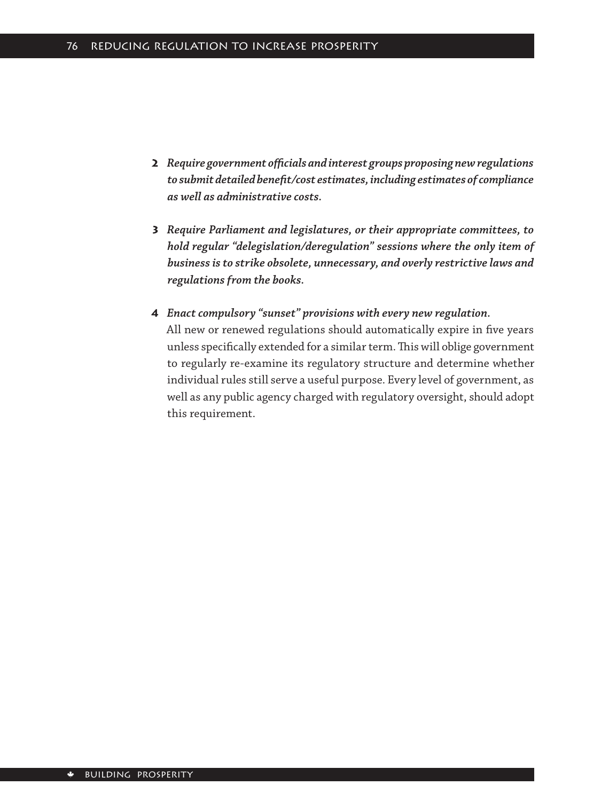- **2** *Require government officials and interest groups proposing new regulations to submit detailed benefit/cost estimates, including estimates of compliance as well as administrative costs.*
- **3** *Require Parliament and legislatures, or their appropriate committees, to hold regular "delegislation/deregulation" sessions where the only item of business is to strike obsolete, unnecessary, and overly restrictive laws and regulations from the books.*
- **4** *Enact compulsory "sunset" provisions with every new regulation.*  All new or renewed regulations should automatically expire in five years unless specifically extended for a similar term. This will oblige government to regularly re-examine its regulatory structure and determine whether individual rules still serve a useful purpose. Every level of government, as well as any public agency charged with regulatory oversight, should adopt this requirement.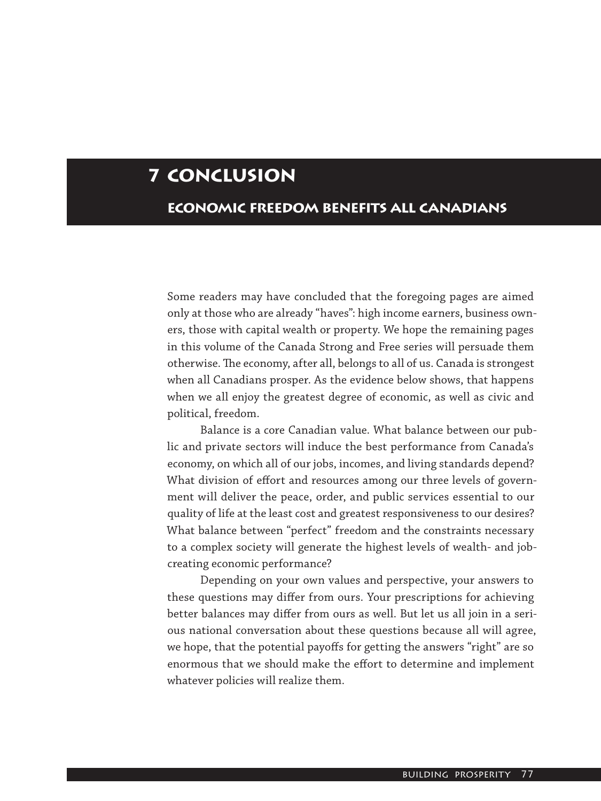# **7 conclusion**

# **economic freedom benefits all canadians**

Some readers may have concluded that the foregoing pages are aimed only at those who are already "haves": high income earners, business owners, those with capital wealth or property. We hope the remaining pages in this volume of the Canada Strong and Free series will persuade them otherwise. The economy, after all, belongs to all of us. Canada is strongest when all Canadians prosper. As the evidence below shows, that happens when we all enjoy the greatest degree of economic, as well as civic and political, freedom.

Balance is a core Canadian value. What balance between our public and private sectors will induce the best performance from Canada's economy, on which all of our jobs, incomes, and living standards depend? What division of effort and resources among our three levels of government will deliver the peace, order, and public services essential to our quality of life at the least cost and greatest responsiveness to our desires? What balance between "perfect" freedom and the constraints necessary to a complex society will generate the highest levels of wealth- and jobcreating economic performance?

Depending on your own values and perspective, your answers to these questions may differ from ours. Your prescriptions for achieving better balances may differ from ours as well. But let us all join in a serious national conversation about these questions because all will agree, we hope, that the potential payoffs for getting the answers "right" are so enormous that we should make the effort to determine and implement whatever policies will realize them.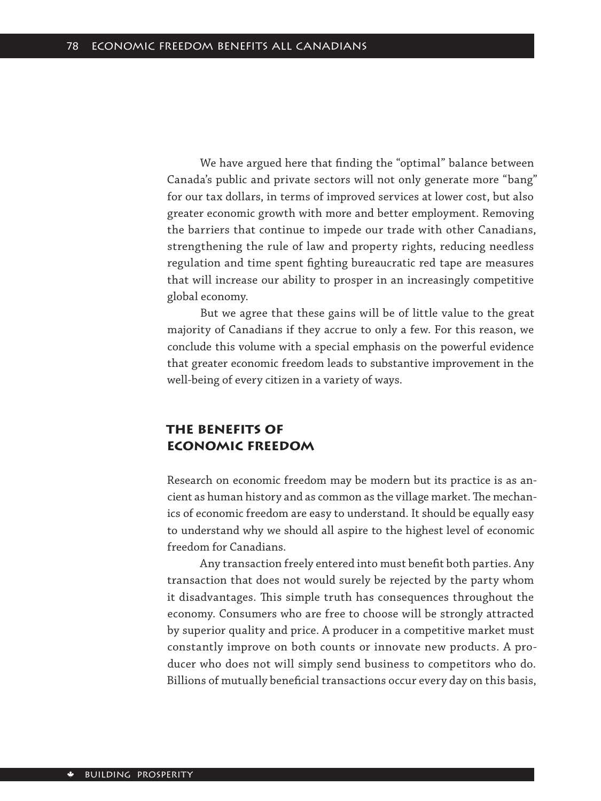We have argued here that finding the "optimal" balance between Canada's public and private sectors will not only generate more "bang" for our tax dollars, in terms of improved services at lower cost, but also greater economic growth with more and better employment. Removing the barriers that continue to impede our trade with other Canadians, strengthening the rule of law and property rights, reducing needless regulation and time spent fighting bureaucratic red tape are measures that will increase our ability to prosper in an increasingly competitive global economy.

But we agree that these gains will be of little value to the great majority of Canadians if they accrue to only a few. For this reason, we conclude this volume with a special emphasis on the powerful evidence that greater economic freedom leads to substantive improvement in the well-being of every citizen in a variety of ways.

# **the benefits of economic freedom**

Research on economic freedom may be modern but its practice is as ancient as human history and as common as the village market. The mechanics of economic freedom are easy to understand. It should be equally easy to understand why we should all aspire to the highest level of economic freedom for Canadians.

Any transaction freely entered into must benefit both parties. Any transaction that does not would surely be rejected by the party whom it disadvantages. This simple truth has consequences throughout the economy. Consumers who are free to choose will be strongly attracted by superior quality and price. A producer in a competitive market must constantly improve on both counts or innovate new products. A producer who does not will simply send business to competitors who do. Billions of mutually beneficial transactions occur every day on this basis,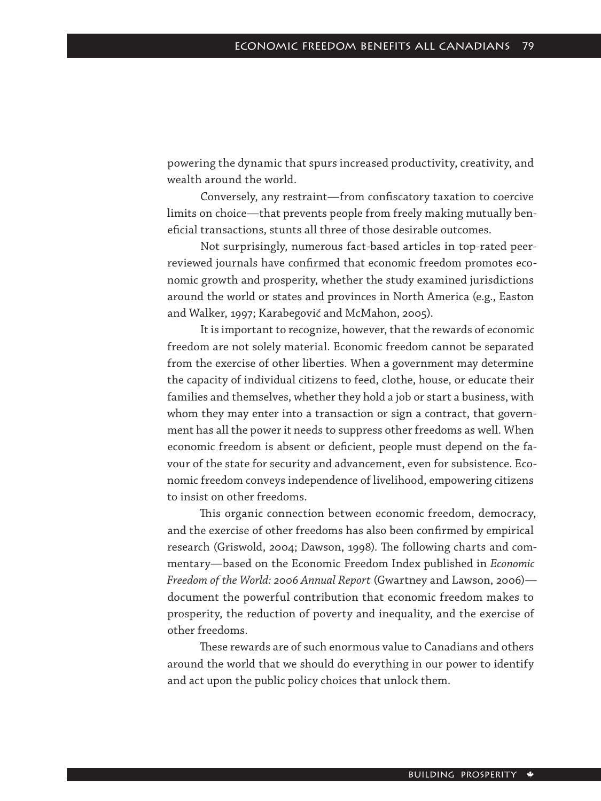powering the dynamic that spurs increased productivity, creativity, and wealth around the world.

Conversely, any restraint—from confiscatory taxation to coercive limits on choice—that prevents people from freely making mutually beneficial transactions, stunts all three of those desirable outcomes.

Not surprisingly, numerous fact-based articles in top-rated peerreviewed journals have confirmed that economic freedom promotes economic growth and prosperity, whether the study examined jurisdictions around the world or states and provinces in North America (e.g., Easton and Walker, 1997; Karabegović and McMahon, 2005).

It is important to recognize, however, that the rewards of economic freedom are not solely material. Economic freedom cannot be separated from the exercise of other liberties. When a government may determine the capacity of individual citizens to feed, clothe, house, or educate their families and themselves, whether they hold a job or start a business, with whom they may enter into a transaction or sign a contract, that government has all the power it needs to suppress other freedoms as well. When economic freedom is absent or deficient, people must depend on the favour of the state for security and advancement, even for subsistence. Economic freedom conveys independence of livelihood, empowering citizens to insist on other freedoms.

This organic connection between economic freedom, democracy, and the exercise of other freedoms has also been confirmed by empirical research (Griswold, 2004; Dawson, 1998). The following charts and commentary—based on the Economic Freedom Index published in *Economic Freedom of the World: 2006 Annual Report* (Gwartney and Lawson, 2006) document the powerful contribution that economic freedom makes to prosperity, the reduction of poverty and inequality, and the exercise of other freedoms.

These rewards are of such enormous value to Canadians and others around the world that we should do everything in our power to identify and act upon the public policy choices that unlock them.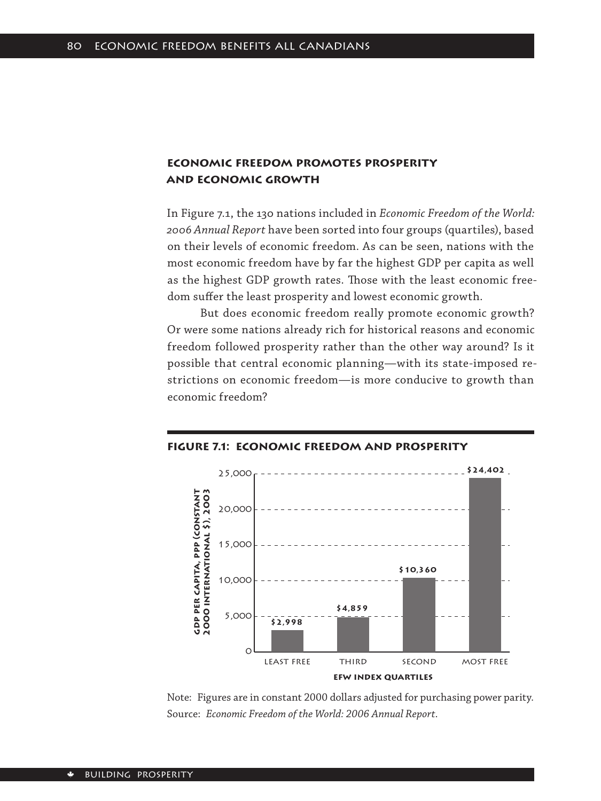# **economic freedom promotes prosperity and economic growth**

In Figure 7.1, the 130 nations included in *Economic Freedom of the World: 2006 Annual Report* have been sorted into four groups (quartiles), based on their levels of economic freedom. As can be seen, nations with the most economic freedom have by far the highest GDP per capita as well as the highest GDP growth rates. Those with the least economic freedom suffer the least prosperity and lowest economic growth.

But does economic freedom really promote economic growth? Or were some nations already rich for historical reasons and economic freedom followed prosperity rather than the other way around? Is it possible that central economic planning—with its state-imposed restrictions on economic freedom—is more conducive to growth than economic freedom?



**figure 7.1: economic freedom and prosperity**

Note: Figures are in constant 2000 dollars adjusted for purchasing power parity. Source: *Economic Freedom of the World: 2006 Annual Report*.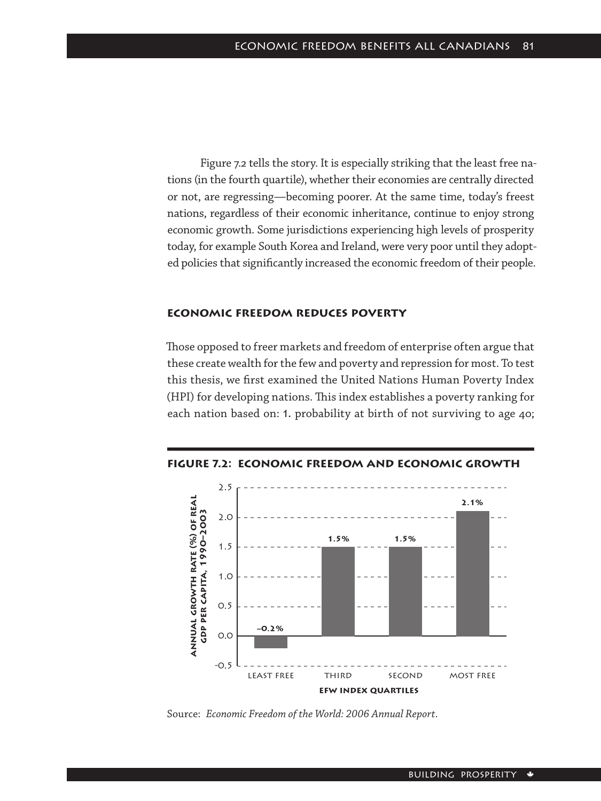Figure 7.2 tells the story. It is especially striking that the least free nations (in the fourth quartile), whether their economies are centrally directed or not, are regressing—becoming poorer. At the same time, today's freest nations, regardless of their economic inheritance, continue to enjoy strong economic growth. Some jurisdictions experiencing high levels of prosperity today, for example South Korea and Ireland, were very poor until they adopted policies that significantly increased the economic freedom of their people.

### **economic freedom reduces poverty**

Those opposed to freer markets and freedom of enterprise often argue that these create wealth for the few and poverty and repression for most. To test this thesis, we first examined the United Nations Human Poverty Index (HPI) for developing nations. This index establishes a poverty ranking for each nation based on: 1. probability at birth of not surviving to age 40;



**figure 7.2: economic freedom and economic growth**

Source: *Economic Freedom of the World: 2006 Annual Report*.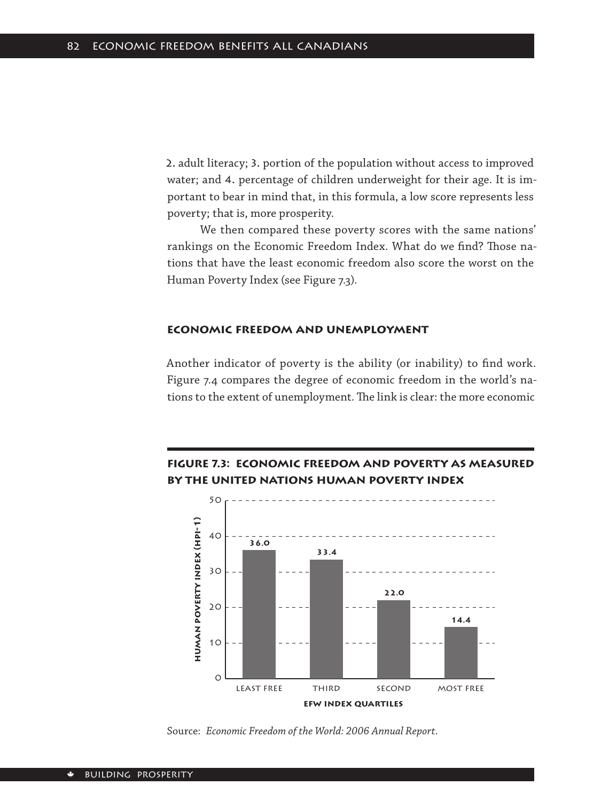2. adult literacy; 3. portion of the population without access to improved water; and 4. percentage of children underweight for their age. It is important to bear in mind that, in this formula, a low score represents less poverty; that is, more prosperity.

We then compared these poverty scores with the same nations' rankings on the Economic Freedom Index. What do we find? Those nations that have the least economic freedom also score the worst on the Human Poverty Index (see Figure 7.3).

### **economic freedom and unemployment**

Another indicator of poverty is the ability (or inability) to find work. Figure 7.4 compares the degree of economic freedom in the world's nations to the extent of unemployment. The link is clear: the more economic





Source: *Economic Freedom of the World: 2006 Annual Report*.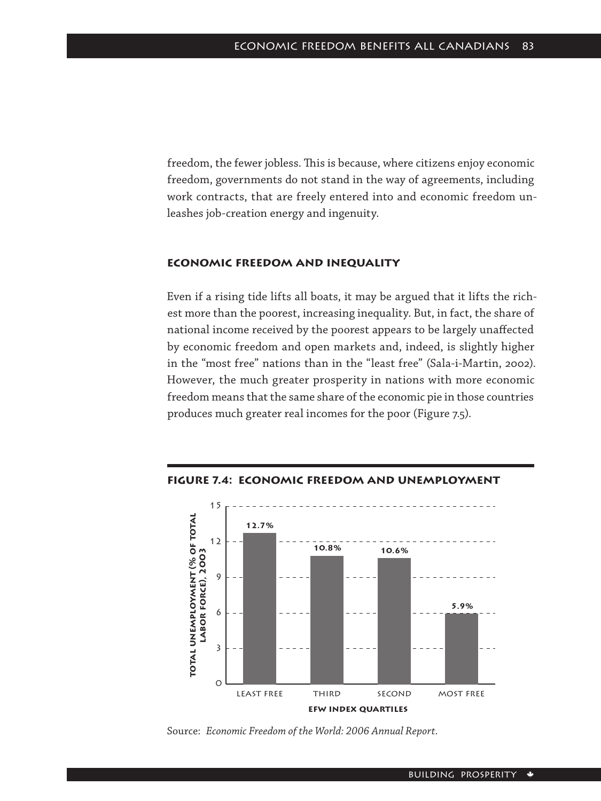freedom, the fewer jobless. This is because, where citizens enjoy economic freedom, governments do not stand in the way of agreements, including work contracts, that are freely entered into and economic freedom unleashes job-creation energy and ingenuity.

### **economic freedom and inequality**

Even if a rising tide lifts all boats, it may be argued that it lifts the richest more than the poorest, increasing inequality. But, in fact, the share of national income received by the poorest appears to be largely unaffected by economic freedom and open markets and, indeed, is slightly higher in the "most free" nations than in the "least free" (Sala-i-Martin, 2002). However, the much greater prosperity in nations with more economic freedom means that the same share of the economic pie in those countries produces much greater real incomes for the poor (Figure 7.5).



**figure 7.4: economic freedom and unemployment**

Source: *Economic Freedom of the World: 2006 Annual Report*.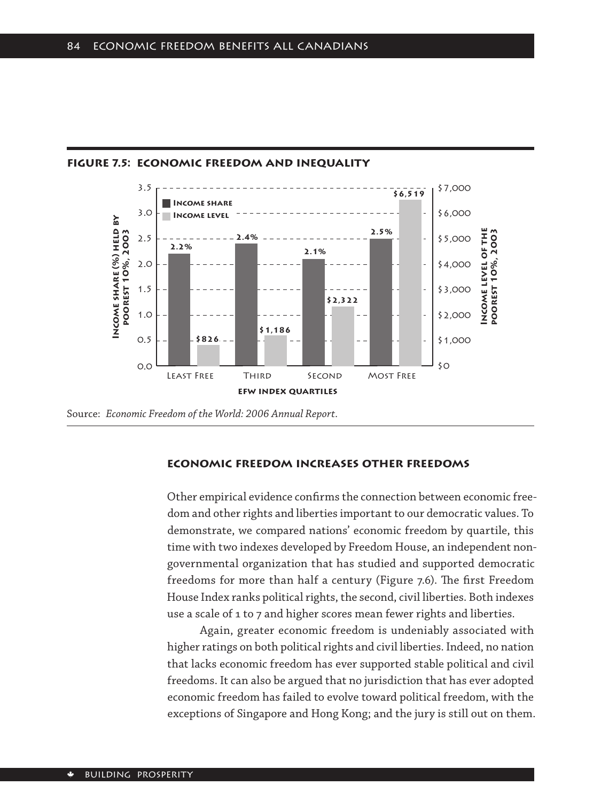



Source: *Economic Freedom of the World: 2006 Annual Report*.

## **economic freedom increases other freedoms**

Other empirical evidence confirms the connection between economic freedom and other rights and liberties important to our democratic values. To demonstrate, we compared nations' economic freedom by quartile, this time with two indexes developed by Freedom House, an independent nongovernmental organization that has studied and supported democratic freedoms for more than half a century (Figure 7.6). The first Freedom House Index ranks political rights, the second, civil liberties. Both indexes use a scale of 1 to 7 and higher scores mean fewer rights and liberties.

Again, greater economic freedom is undeniably associated with higher ratings on both political rights and civil liberties. Indeed, no nation that lacks economic freedom has ever supported stable political and civil freedoms. It can also be argued that no jurisdiction that has ever adopted economic freedom has failed to evolve toward political freedom, with the exceptions of Singapore and Hong Kong; and the jury is still out on them.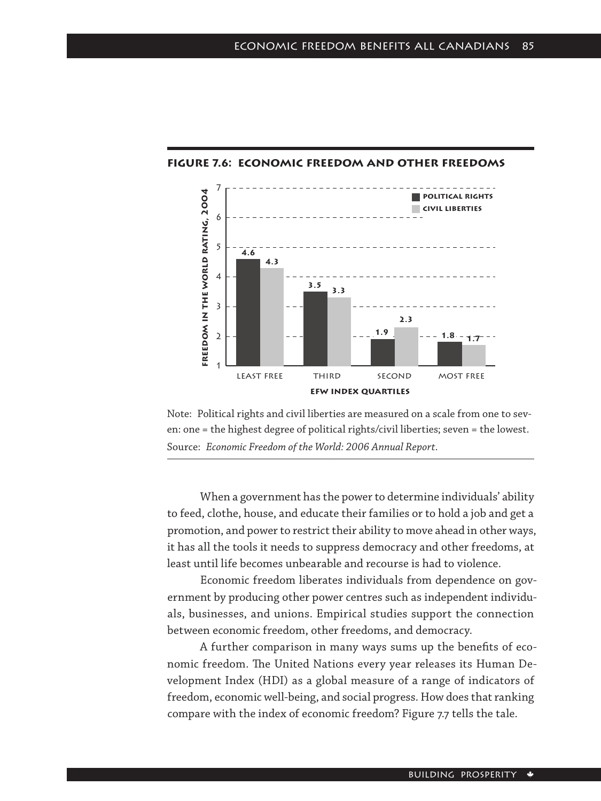

**figure 7.6: economic freedom and other freedoms**



When a government has the power to determine individuals' ability to feed, clothe, house, and educate their families or to hold a job and get a promotion, and power to restrict their ability to move ahead in other ways, it has all the tools it needs to suppress democracy and other freedoms, at least until life becomes unbearable and recourse is had to violence.

Economic freedom liberates individuals from dependence on government by producing other power centres such as independent individuals, businesses, and unions. Empirical studies support the connection between economic freedom, other freedoms, and democracy.

A further comparison in many ways sums up the benefits of economic freedom. The United Nations every year releases its Human Development Index (HDI) as a global measure of a range of indicators of freedom, economic well-being, and social progress. How does that ranking compare with the index of economic freedom? Figure 7.7 tells the tale.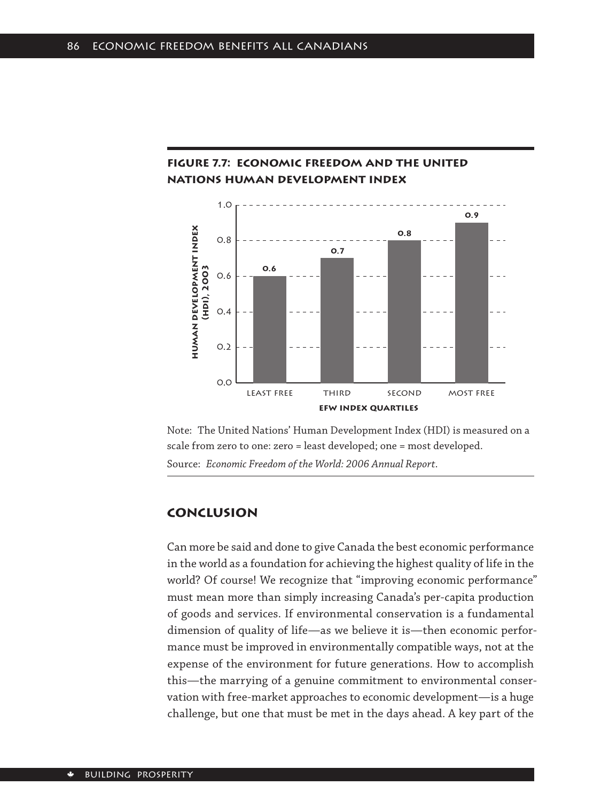

# **figure 7.7: economic freedom and the united nations human development index**

Note: The United Nations' Human Development Index (HDI) is measured on a scale from zero to one: zero = least developed; one = most developed. Source: *Economic Freedom of the World: 2006 Annual Report*.

### **conclusion**

Can more be said and done to give Canada the best economic performance in the world as a foundation for achieving the highest quality of life in the world? Of course! We recognize that "improving economic performance" must mean more than simply increasing Canada's per-capita production of goods and services. If environmental conservation is a fundamental dimension of quality of life—as we believe it is—then economic performance must be improved in environmentally compatible ways, not at the expense of the environment for future generations. How to accomplish this—the marrying of a genuine commitment to environmental conservation with free-market approaches to economic development—is a huge challenge, but one that must be met in the days ahead. A key part of the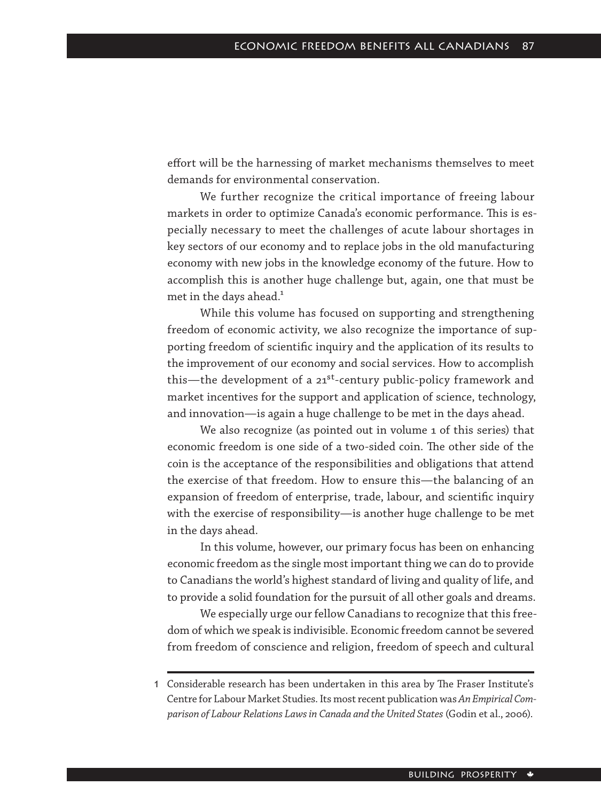effort will be the harnessing of market mechanisms themselves to meet demands for environmental conservation.

We further recognize the critical importance of freeing labour markets in order to optimize Canada's economic performance. This is especially necessary to meet the challenges of acute labour shortages in key sectors of our economy and to replace jobs in the old manufacturing economy with new jobs in the knowledge economy of the future. How to accomplish this is another huge challenge but, again, one that must be met in the days ahead.

While this volume has focused on supporting and strengthening freedom of economic activity, we also recognize the importance of supporting freedom of scientific inquiry and the application of its results to the improvement of our economy and social services. How to accomplish this—the development of a 21st-century public-policy framework and market incentives for the support and application of science, technology, and innovation—is again a huge challenge to be met in the days ahead.

We also recognize (as pointed out in volume 1 of this series) that economic freedom is one side of a two-sided coin. The other side of the coin is the acceptance of the responsibilities and obligations that attend the exercise of that freedom. How to ensure this—the balancing of an expansion of freedom of enterprise, trade, labour, and scientific inquiry with the exercise of responsibility—is another huge challenge to be met in the days ahead.

In this volume, however, our primary focus has been on enhancing economic freedom as the single most important thing we can do to provide to Canadians the world's highest standard of living and quality of life, and to provide a solid foundation for the pursuit of all other goals and dreams.

We especially urge our fellow Canadians to recognize that this freedom of which we speak is indivisible. Economic freedom cannot be severed from freedom of conscience and religion, freedom of speech and cultural

 <sup>1</sup> Considerable research has been undertaken in this area by The Fraser Institute's Centre for Labour Market Studies. Its most recent publication was *An Empirical Comparison of Labour Relations Laws in Canada and the United States* (Godin et al., 2006).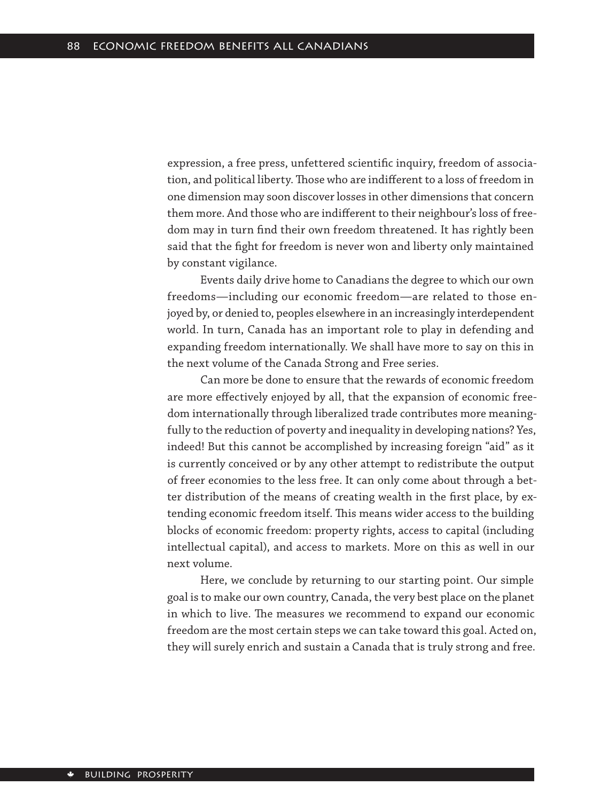expression, a free press, unfettered scientific inquiry, freedom of association, and political liberty. Those who are indifferent to a loss of freedom in one dimension may soon discover losses in other dimensions that concern them more. And those who are indifferent to their neighbour's loss of freedom may in turn find their own freedom threatened. It has rightly been said that the fight for freedom is never won and liberty only maintained by constant vigilance.

Events daily drive home to Canadians the degree to which our own freedoms—including our economic freedom—are related to those enjoyed by, or denied to, peoples elsewhere in an increasingly interdependent world. In turn, Canada has an important role to play in defending and expanding freedom internationally. We shall have more to say on this in the next volume of the Canada Strong and Free series.

Can more be done to ensure that the rewards of economic freedom are more effectively enjoyed by all, that the expansion of economic freedom internationally through liberalized trade contributes more meaningfully to the reduction of poverty and inequality in developing nations? Yes, indeed! But this cannot be accomplished by increasing foreign "aid" as it is currently conceived or by any other attempt to redistribute the output of freer economies to the less free. It can only come about through a better distribution of the means of creating wealth in the first place, by extending economic freedom itself. This means wider access to the building blocks of economic freedom: property rights, access to capital (including intellectual capital), and access to markets. More on this as well in our next volume.

Here, we conclude by returning to our starting point. Our simple goal is to make our own country, Canada, the very best place on the planet in which to live. The measures we recommend to expand our economic freedom are the most certain steps we can take toward this goal. Acted on, they will surely enrich and sustain a Canada that is truly strong and free.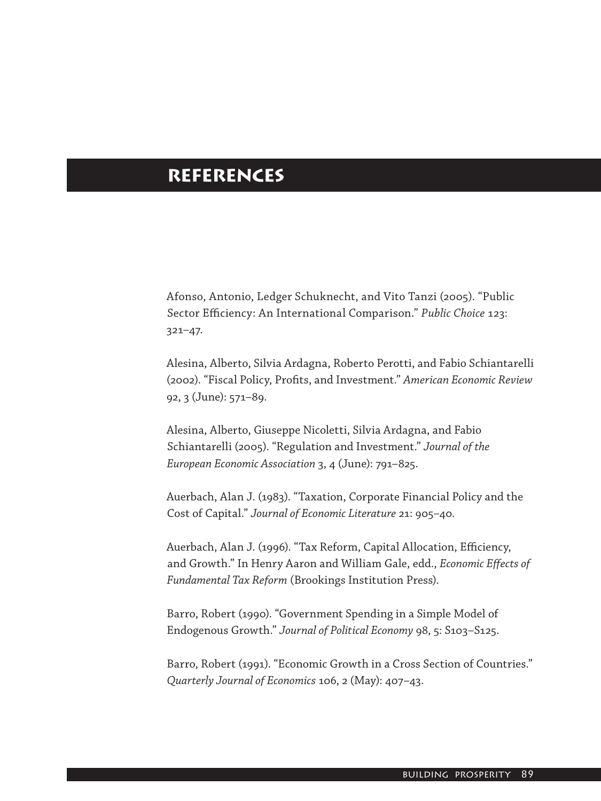# **references**

Afonso, Antonio, Ledger Schuknecht, and Vito Tanzi (2005). "Public Sector Efficiency: An International Comparison." *Public Choice* 123: 321–47.

Alesina, Alberto, Silvia Ardagna, Roberto Perotti, and Fabio Schiantarelli (2002). "Fiscal Policy, Profits, and Investment." *American Economic Review*  92, 3 (June): 571–89.

Alesina, Alberto, Giuseppe Nicoletti, Silvia Ardagna, and Fabio Schiantarelli (2005). "Regulation and Investment." *Journal of the European Economic Association* 3, 4 (June): 791–825.

Auerbach, Alan J. (1983). "Taxation, Corporate Financial Policy and the Cost of Capital." *Journal of Economic Literature* 21: 905–40.

Auerbach, Alan J. (1996). "Tax Reform, Capital Allocation, Efficiency, and Growth." In Henry Aaron and William Gale, edd., *Economic Effects of Fundamental Tax Reform* (Brookings Institution Press).

Barro, Robert (1990). "Government Spending in a Simple Model of Endogenous Growth." *Journal of Political Economy* 98, 5: S103–S125.

Barro, Robert (1991). "Economic Growth in a Cross Section of Countries." *Quarterly Journal of Economics* 106, 2 (May): 407–43.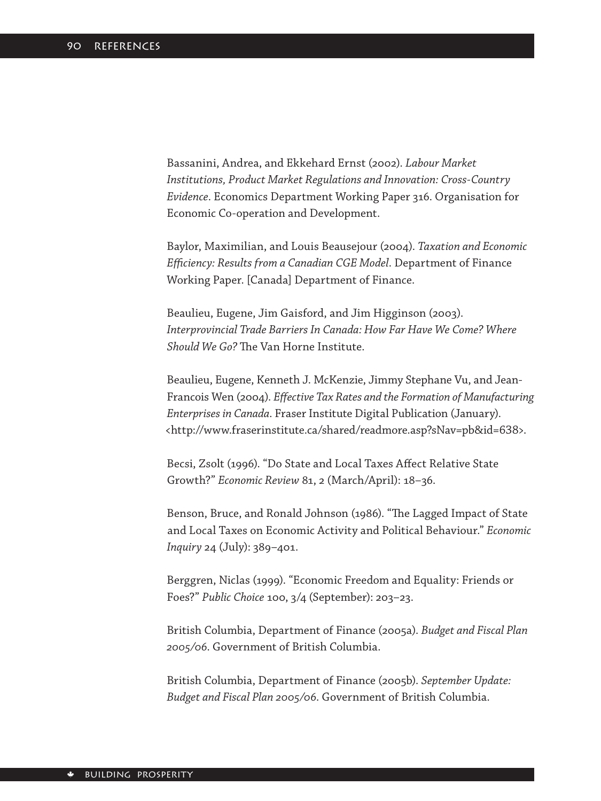Bassanini, Andrea, and Ekkehard Ernst (2002). *Labour Market Institutions, Product Market Regulations and Innovation: Cross-Country Evidence*. Economics Department Working Paper 316. Organisation for Economic Co-operation and Development.

Baylor, Maximilian, and Louis Beausejour (2004). *Taxation and Economic Efficiency: Results from a Canadian CGE Model*. Department of Finance Working Paper. [Canada] Department of Finance.

Beaulieu, Eugene, Jim Gaisford, and Jim Higginson (2003). *Interprovincial Trade Barriers In Canada: How Far Have We Come? Where Should We Go?* The Van Horne Institute.

Beaulieu, Eugene, Kenneth J. McKenzie, Jimmy Stephane Vu, and Jean-Francois Wen (2004). *Effective Tax Rates and the Formation of Manufacturing Enterprises in Canada*. Fraser Institute Digital Publication (January). <http://www.fraserinstitute.ca/shared/readmore.asp?sNav=pb&id=638>.

Becsi, Zsolt (1996). "Do State and Local Taxes Affect Relative State Growth?" *Economic Review* 81, 2 (March/April): 18–36.

Benson, Bruce, and Ronald Johnson (1986). "The Lagged Impact of State and Local Taxes on Economic Activity and Political Behaviour." *Economic Inquiry* 24 (July): 389–401.

Berggren, Niclas (1999). "Economic Freedom and Equality: Friends or Foes?" *Public Choice* 100, 3/4 (September): 203–23.

British Columbia, Department of Finance (2005a). *Budget and Fiscal Plan 2005/06*. Government of British Columbia.

British Columbia, Department of Finance (2005b). *September Update: Budget and Fiscal Plan 2005/06*. Government of British Columbia.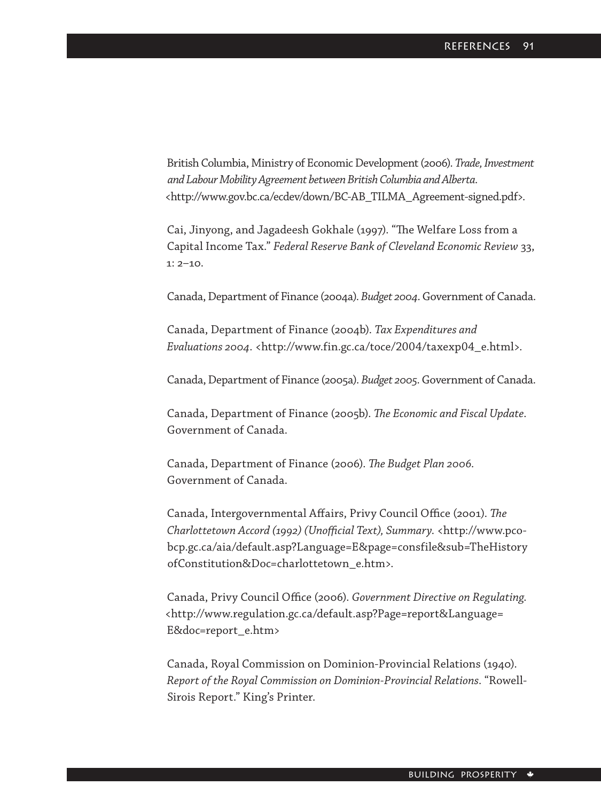British Columbia, Ministry of Economic Development (2006). *Trade, Investment and Labour Mobility Agreement between British Columbia and Alberta*. <http://www.gov.bc.ca/ecdev/down/BC-AB\_TILMA\_Agreement-signed.pdf>.

Cai, Jinyong, and Jagadeesh Gokhale (1997). "The Welfare Loss from a Capital Income Tax." *Federal Reserve Bank of Cleveland Economic Review* 33, 1: 2–10.

Canada, Department of Finance (2004a). *Budget 2004*. Government of Canada.

Canada, Department of Finance (2004b). *Tax Expenditures and Evaluations 2004*. <http://www.fin.gc.ca/toce/2004/taxexp04\_e.html>.

Canada, Department of Finance (2005a). *Budget 2005*. Government of Canada.

Canada, Department of Finance (2005b). *The Economic and Fiscal Update*. Government of Canada.

Canada, Department of Finance (2006). *The Budget Plan 2006*. Government of Canada.

Canada, Intergovernmental Affairs, Privy Council Office (2001). *The Charlottetown Accord (1992) (Unofficial Text), Summary*. <http://www.pcobcp.gc.ca/aia/default.asp?Language=E&page=consfile&sub=TheHistory ofConstitution&Doc=charlottetown\_e.htm>.

Canada, Privy Council Office (2006). *Government Directive on Regulating*. <http://www.regulation.gc.ca/default.asp?Page=report&Language= E&doc=report\_e.htm>

Canada, Royal Commission on Dominion-Provincial Relations (1940). *Report of the Royal Commission on Dominion-Provincial Relations*. "Rowell-Sirois Report." King's Printer.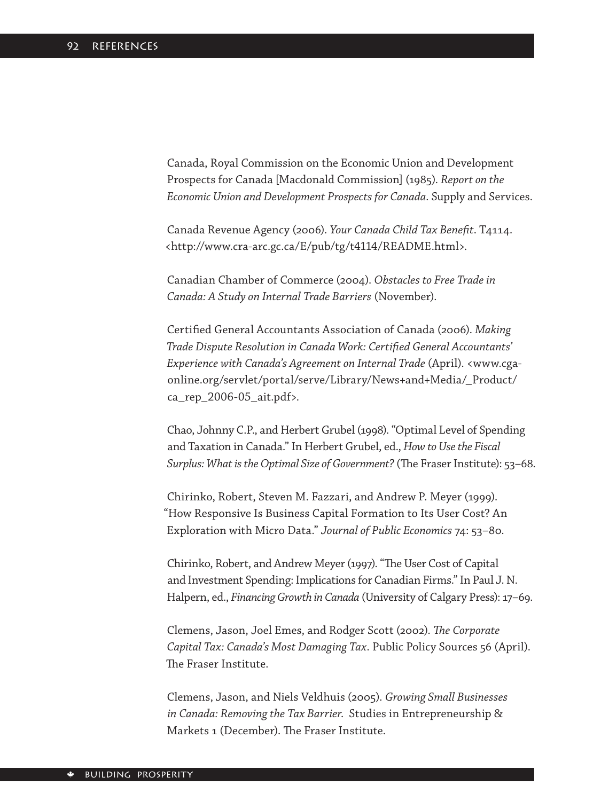Canada, Royal Commission on the Economic Union and Development Prospects for Canada [Macdonald Commission] (1985). *Report on the Economic Union and Development Prospects for Canada*. Supply and Services.

Canada Revenue Agency (2006). *Your Canada Child Tax Benefit*. T4114. <http://www.cra-arc.gc.ca/E/pub/tg/t4114/README.html>.

Canadian Chamber of Commerce (2004). *Obstacles to Free Trade in Canada: A Study on Internal Trade Barriers* (November).

Certified General Accountants Association of Canada (2006). *Making Trade Dispute Resolution in Canada Work: Certified General Accountants' Experience with Canada's Agreement on Internal Trade* (April). <www.cgaonline.org/servlet/portal/serve/Library/News+and+Media/\_Product/ ca\_rep\_2006-05\_ait.pdf>.

Chao, Johnny C.P., and Herbert Grubel (1998). "Optimal Level of Spending and Taxation in Canada." In Herbert Grubel, ed., *How to Use the Fiscal Surplus: What is the Optimal Size of Government?* (The Fraser Institute): 53–68.

Chirinko, Robert, Steven M. Fazzari, and Andrew P. Meyer (1999). "How Responsive Is Business Capital Formation to Its User Cost? An Exploration with Micro Data." *Journal of Public Economics* 74: 53–80.

Chirinko, Robert, and Andrew Meyer (1997). "The User Cost of Capital and Investment Spending: Implications for Canadian Firms." In Paul J. N. Halpern, ed., *Financing Growth in Canada* (University of Calgary Press): 17–69.

Clemens, Jason, Joel Emes, and Rodger Scott (2002). *The Corporate Capital Tax: Canada's Most Damaging Tax*. Public Policy Sources 56 (April). The Fraser Institute.

Clemens, Jason, and Niels Veldhuis (2005). *Growing Small Businesses in Canada: Removing the Tax Barrier*. Studies in Entrepreneurship & Markets 1 (December). The Fraser Institute.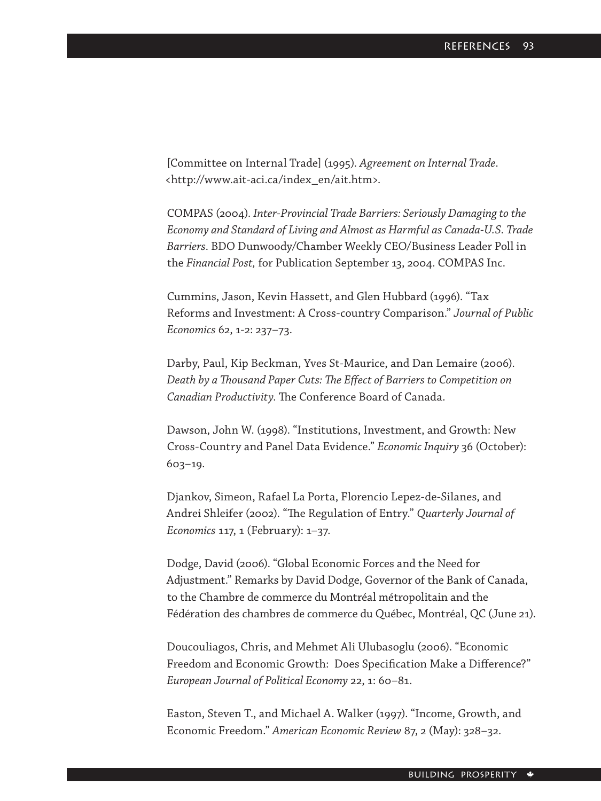[Committee on Internal Trade] (1995). *Agreement on Internal Trade*. <http://www.ait-aci.ca/index\_en/ait.htm>.

COMPAS (2004). *Inter-Provincial Trade Barriers: Seriously Damaging to the Economy and Standard of Living and Almost as Harmful as Canada-U.S. Trade Barriers*. BDO Dunwoody/Chamber Weekly CEO/Business Leader Poll in the *Financial Post,* for Publication September 13, 2004. COMPAS Inc.

Cummins, Jason, Kevin Hassett, and Glen Hubbard (1996). "Tax Reforms and Investment: A Cross-country Comparison." *Journal of Public Economics* 62, 1-2: 237–73.

Darby, Paul, Kip Beckman, Yves St-Maurice, and Dan Lemaire (2006). *Death by a Thousand Paper Cuts: The Effect of Barriers to Competition on Canadian Productivity*. The Conference Board of Canada.

Dawson, John W. (1998). "Institutions, Investment, and Growth: New Cross-Country and Panel Data Evidence." *Economic Inquiry* 36 (October): 603–19.

Djankov, Simeon, Rafael La Porta, Florencio Lepez-de-Silanes, and Andrei Shleifer (2002). "The Regulation of Entry." *Quarterly Journal of Economics* 117, 1 (February): 1–37.

Dodge, David (2006). "Global Economic Forces and the Need for Adjustment." Remarks by David Dodge, Governor of the Bank of Canada, to the Chambre de commerce du Montréal métropolitain and the Fédération des chambres de commerce du Québec, Montréal, QC (June 21).

Doucouliagos, Chris, and Mehmet Ali Ulubasoglu (2006). "Economic Freedom and Economic Growth: Does Specification Make a Difference?" *European Journal of Political Economy* 22, 1: 60–81.

Easton, Steven T., and Michael A. Walker (1997). "Income, Growth, and Economic Freedom." *American Economic Review* 87, 2 (May): 328–32.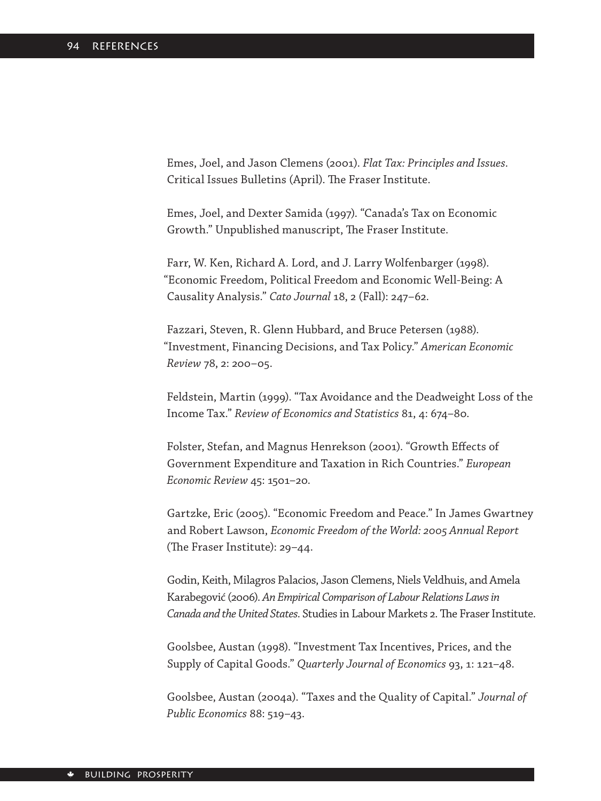Emes, Joel, and Jason Clemens (2001). *Flat Tax: Principles and Issues*. Critical Issues Bulletins (April). The Fraser Institute.

Emes, Joel, and Dexter Samida (1997). "Canada's Tax on Economic Growth." Unpublished manuscript, The Fraser Institute.

Farr, W. Ken, Richard A. Lord, and J. Larry Wolfenbarger (1998). "Economic Freedom, Political Freedom and Economic Well-Being: A Causality Analysis." *Cato Journal* 18, 2 (Fall): 247–62.

Fazzari, Steven, R. Glenn Hubbard, and Bruce Petersen (1988). "Investment, Financing Decisions, and Tax Policy." *American Economic Review* 78, 2: 200–05.

Feldstein, Martin (1999). "Tax Avoidance and the Deadweight Loss of the Income Tax." *Review of Economics and Statistics* 81, 4: 674–80.

Folster, Stefan, and Magnus Henrekson (2001). "Growth Effects of Government Expenditure and Taxation in Rich Countries." *European Economic Review* 45: 1501–20.

Gartzke, Eric (2005). "Economic Freedom and Peace." In James Gwartney and Robert Lawson, *Economic Freedom of the World: 2005 Annual Report* (The Fraser Institute): 29–44.

Godin, Keith, Milagros Palacios, Jason Clemens, Niels Veldhuis, and Amela Karabegović (2006). *An Empirical Comparison of Labour Relations Laws in Canada and the United States*. Studies in Labour Markets 2. The Fraser Institute.

Goolsbee, Austan (1998). "Investment Tax Incentives, Prices, and the Supply of Capital Goods." *Quarterly Journal of Economics* 93, 1: 121–48.

Goolsbee, Austan (2004a). "Taxes and the Quality of Capital." *Journal of Public Economics* 88: 519–43.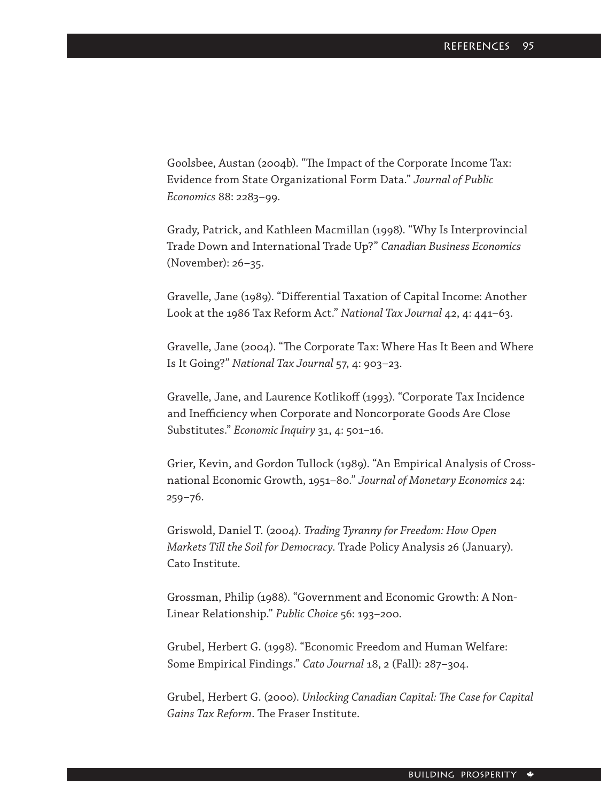Goolsbee, Austan (2004b). "The Impact of the Corporate Income Tax: Evidence from State Organizational Form Data." *Journal of Public Economics* 88: 2283–99.

Grady, Patrick, and Kathleen Macmillan (1998). "Why Is Interprovincial Trade Down and International Trade Up?" *Canadian Business Economics* (November): 26–35.

Gravelle, Jane (1989). "Differential Taxation of Capital Income: Another Look at the 1986 Tax Reform Act." *National Tax Journal* 42, 4: 441–63.

Gravelle, Jane (2004). "The Corporate Tax: Where Has It Been and Where Is It Going?" *National Tax Journal* 57, 4: 903–23.

Gravelle, Jane, and Laurence Kotlikoff (1993). "Corporate Tax Incidence and Inefficiency when Corporate and Noncorporate Goods Are Close Substitutes." *Economic Inquiry* 31, 4: 501–16.

Grier, Kevin, and Gordon Tullock (1989). "An Empirical Analysis of Crossnational Economic Growth, 1951–80." *Journal of Monetary Economics* 24: 259–76.

Griswold, Daniel T. (2004). *Trading Tyranny for Freedom: How Open Markets Till the Soil for Democracy*. Trade Policy Analysis 26 (January). Cato Institute.

Grossman, Philip (1988). "Government and Economic Growth: A Non-Linear Relationship." *Public Choice* 56: 193–200.

Grubel, Herbert G. (1998). "Economic Freedom and Human Welfare: Some Empirical Findings." *Cato Journal* 18, 2 (Fall): 287–304.

Grubel, Herbert G. (2000). *Unlocking Canadian Capital: The Case for Capital Gains Tax Reform*. The Fraser Institute.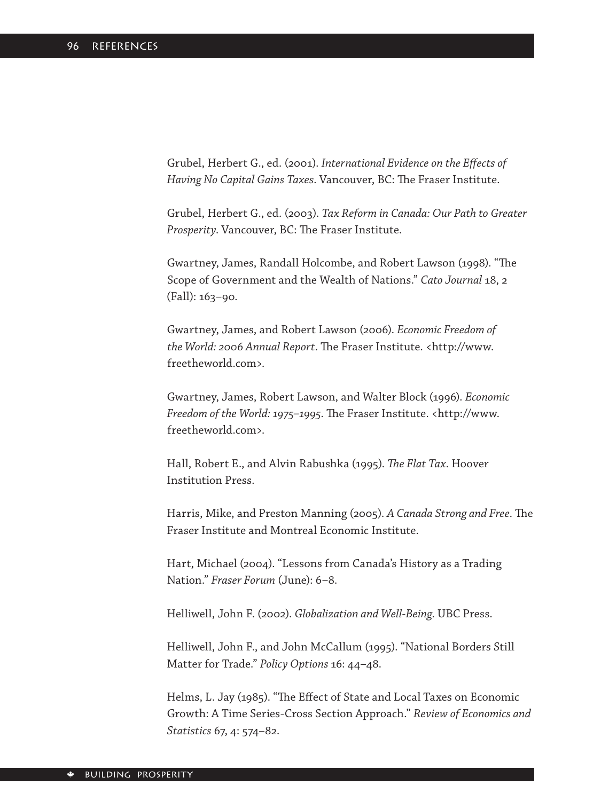Grubel, Herbert G., ed. (2001). *International Evidence on the Effects of Having No Capital Gains Taxes*. Vancouver, BC: The Fraser Institute.

Grubel, Herbert G., ed. (2003). *Tax Reform in Canada: Our Path to Greater Prosperity*. Vancouver, BC: The Fraser Institute.

Gwartney, James, Randall Holcombe, and Robert Lawson (1998). "The Scope of Government and the Wealth of Nations." *Cato Journal* 18, 2 (Fall): 163–90.

Gwartney, James, and Robert Lawson (2006). *Economic Freedom of the World: 2006 Annual Report*. The Fraser Institute. <http://www. freetheworld.com>.

Gwartney, James, Robert Lawson, and Walter Block (1996). *Economic Freedom of the World: 1975–1995*. The Fraser Institute. <http://www. freetheworld.com>.

Hall, Robert E., and Alvin Rabushka (1995). *The Flat Tax*. Hoover Institution Press.

Harris, Mike, and Preston Manning (2005). *A Canada Strong and Free*. The Fraser Institute and Montreal Economic Institute.

Hart, Michael (2004). "Lessons from Canada's History as a Trading Nation." *Fraser Forum* (June): 6–8.

Helliwell, John F. (2002). *Globalization and Well-Being*. UBC Press.

Helliwell, John F., and John McCallum (1995). "National Borders Still Matter for Trade." *Policy Options* 16: 44–48.

Helms, L. Jay (1985). "The Effect of State and Local Taxes on Economic Growth: A Time Series-Cross Section Approach." *Review of Economics and Statistics* 67, 4: 574–82.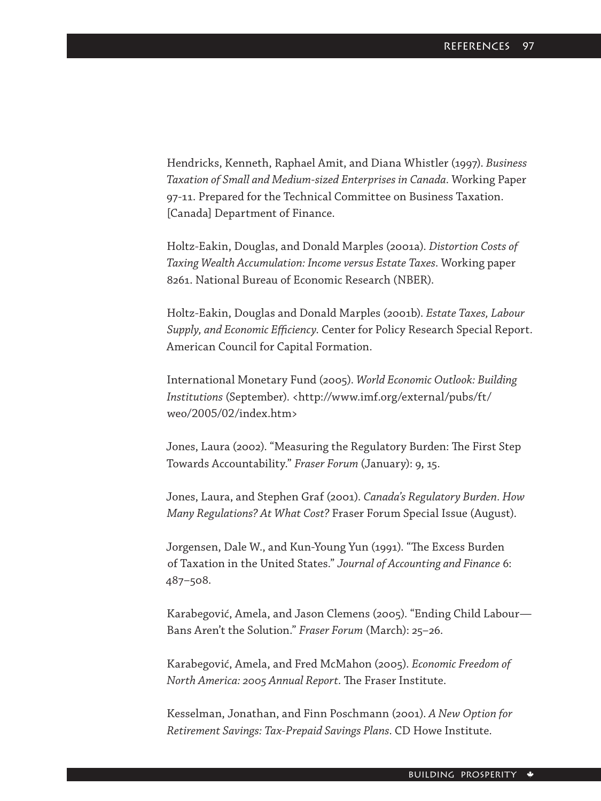Hendricks, Kenneth, Raphael Amit, and Diana Whistler (1997). *Business Taxation of Small and Medium-sized Enterprises in Canada*. Working Paper 97-11. Prepared for the Technical Committee on Business Taxation. [Canada] Department of Finance.

Holtz-Eakin, Douglas, and Donald Marples (2001a). *Distortion Costs of Taxing Wealth Accumulation: Income versus Estate Taxes*. Working paper 8261. National Bureau of Economic Research (NBER).

Holtz-Eakin, Douglas and Donald Marples (2001b). *Estate Taxes, Labour Supply, and Economic Efficiency*. Center for Policy Research Special Report. American Council for Capital Formation.

International Monetary Fund (2005). *World Economic Outlook: Building Institutions* (September). <http://www.imf.org/external/pubs/ft/ weo/2005/02/index.htm>

Jones, Laura (2002). "Measuring the Regulatory Burden: The First Step Towards Accountability." *Fraser Forum* (January): 9, 15.

Jones, Laura, and Stephen Graf (2001). *Canada's Regulatory Burden. How Many Regulations? At What Cost?* Fraser Forum Special Issue (August).

Jorgensen, Dale W., and Kun-Young Yun (1991). "The Excess Burden of Taxation in the United States." *Journal of Accounting and Finance* 6: 487–508.

Karabegović, Amela, and Jason Clemens (2005). "Ending Child Labour— Bans Aren't the Solution." *Fraser Forum* (March): 25–26.

Karabegović, Amela, and Fred McMahon (2005). *Economic Freedom of North America: 2005 Annual Report*. The Fraser Institute.

Kesselman, Jonathan, and Finn Poschmann (2001). *A New Option for Retirement Savings: Tax-Prepaid Savings Plans*. CD Howe Institute.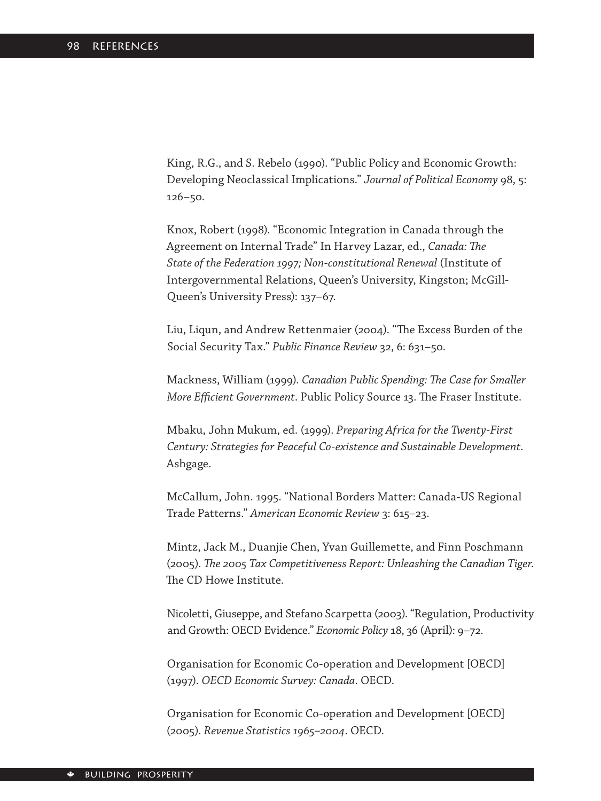King, R.G., and S. Rebelo (1990). "Public Policy and Economic Growth: Developing Neoclassical Implications." *Journal of Political Economy* 98, 5: 126–50.

Knox, Robert (1998). "Economic Integration in Canada through the Agreement on Internal Trade" In Harvey Lazar, ed., *Canada: The State of the Federation 1997; Non-constitutional Renewal* (Institute of Intergovernmental Relations, Queen's University, Kingston; McGill-Queen's University Press): 137–67.

Liu, Liqun, and Andrew Rettenmaier (2004). "The Excess Burden of the Social Security Tax." *Public Finance Review* 32, 6: 631–50.

Mackness, William (1999). *Canadian Public Spending: The Case for Smaller More Efficient Government*. Public Policy Source 13. The Fraser Institute.

Mbaku, John Mukum, ed. (1999). *Preparing Africa for the Twenty-First Century: Strategies for Peaceful Co-existence and Sustainable Development*. Ashgage.

McCallum, John. 1995. "National Borders Matter: Canada-US Regional Trade Patterns." *American Economic Review* 3: 615–23.

Mintz, Jack M., Duanjie Chen, Yvan Guillemette, and Finn Poschmann (2005). *The 2005 Tax Competitiveness Report: Unleashing the Canadian Tiger*. The CD Howe Institute.

Nicoletti, Giuseppe, and Stefano Scarpetta (2003). "Regulation, Productivity and Growth: OECD Evidence." *Economic Policy* 18, 36 (April): 9–72.

Organisation for Economic Co-operation and Development [OECD] (1997). *OECD Economic Survey: Canada*. OECD.

Organisation for Economic Co-operation and Development [OECD] (2005). *Revenue Statistics 1965–2004*. OECD.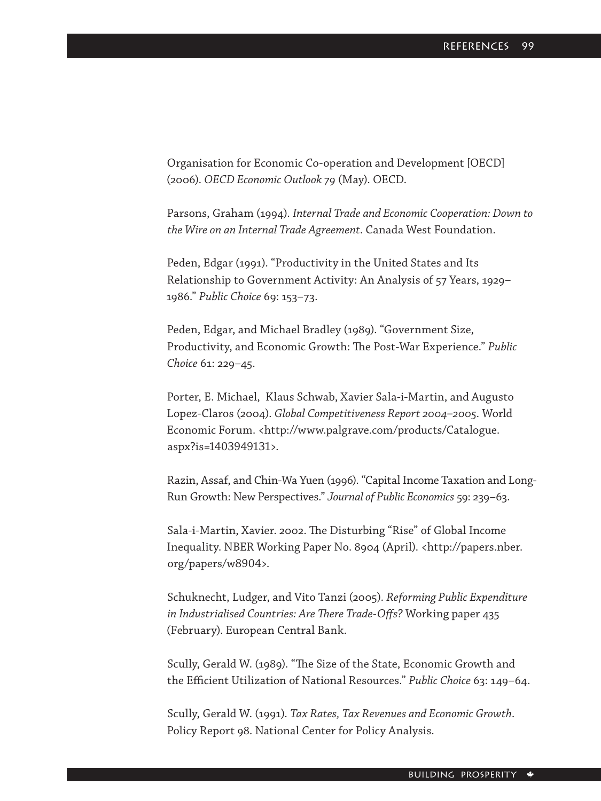Organisation for Economic Co-operation and Development [OECD] (2006). *OECD Economic Outlook 79* (May). OECD.

Parsons, Graham (1994). *Internal Trade and Economic Cooperation: Down to the Wire on an Internal Trade Agreement*. Canada West Foundation.

Peden, Edgar (1991). "Productivity in the United States and Its Relationship to Government Activity: An Analysis of 57 Years, 1929– 1986." *Public Choice* 69: 153–73.

Peden, Edgar, and Michael Bradley (1989). "Government Size, Productivity, and Economic Growth: The Post-War Experience." *Public Choice* 61: 229–45.

Porter, E. Michael, Klaus Schwab, Xavier Sala-i-Martin, and Augusto Lopez-Claros (2004). *Global Competitiveness Report 2004–2005*. World Economic Forum. <http://www.palgrave.com/products/Catalogue. aspx?is=1403949131>.

Razin, Assaf, and Chin-Wa Yuen (1996). "Capital Income Taxation and Long-Run Growth: New Perspectives." *Journal of Public Economics* 59: 239–63.

Sala-i-Martin, Xavier. 2002. The Disturbing "Rise" of Global Income Inequality. NBER Working Paper No. 8904 (April). <http://papers.nber. org/papers/w8904>.

Schuknecht, Ludger, and Vito Tanzi (2005). *Reforming Public Expenditure in Industrialised Countries: Are There Trade-Offs?* Working paper 435 (February). European Central Bank.

Scully, Gerald W. (1989). "The Size of the State, Economic Growth and the Efficient Utilization of National Resources." *Public Choice* 63: 149–64.

Scully, Gerald W. (1991). *Tax Rates, Tax Revenues and Economic Growth*. Policy Report 98. National Center for Policy Analysis.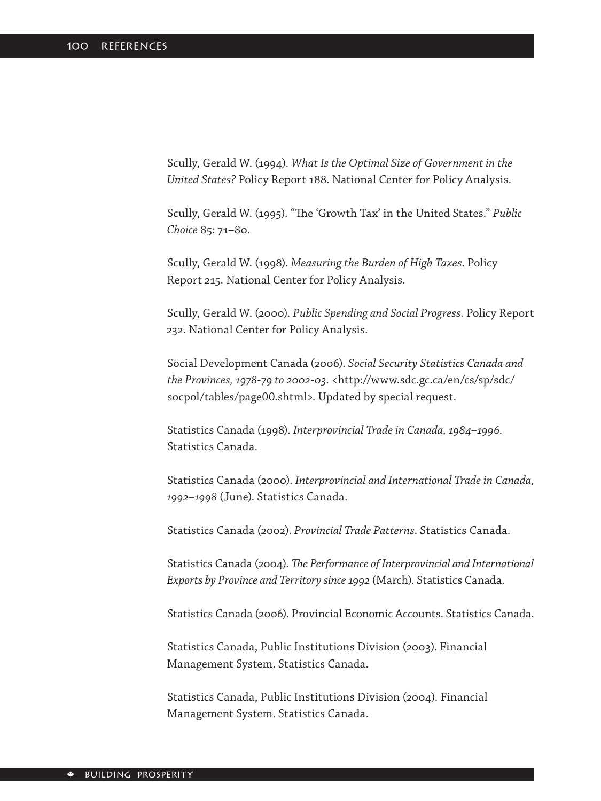Scully, Gerald W. (1994). *What Is the Optimal Size of Government in the United States?* Policy Report 188. National Center for Policy Analysis.

Scully, Gerald W. (1995). "The 'Growth Tax' in the United States." *Public Choice* 85: 71–80.

Scully, Gerald W. (1998). *Measuring the Burden of High Taxes*. Policy Report 215. National Center for Policy Analysis.

Scully, Gerald W. (2000). *Public Spending and Social Progress*. Policy Report 232. National Center for Policy Analysis.

Social Development Canada (2006). *Social Security Statistics Canada and the Provinces, 1978-79 to 2002-03*. <http://www.sdc.gc.ca/en/cs/sp/sdc/ socpol/tables/page00.shtml>. Updated by special request.

Statistics Canada (1998). *Interprovincial Trade in Canada, 1984–1996*. Statistics Canada.

Statistics Canada (2000). *Interprovincial and International Trade in Canada, 1992–1998* (June). Statistics Canada.

Statistics Canada (2002). *Provincial Trade Patterns*. Statistics Canada.

Statistics Canada (2004). *The Performance of Interprovincial and International Exports by Province and Territory since 1992* (March). Statistics Canada.

Statistics Canada (2006). Provincial Economic Accounts. Statistics Canada.

Statistics Canada, Public Institutions Division (2003). Financial Management System. Statistics Canada.

Statistics Canada, Public Institutions Division (2004). Financial Management System. Statistics Canada.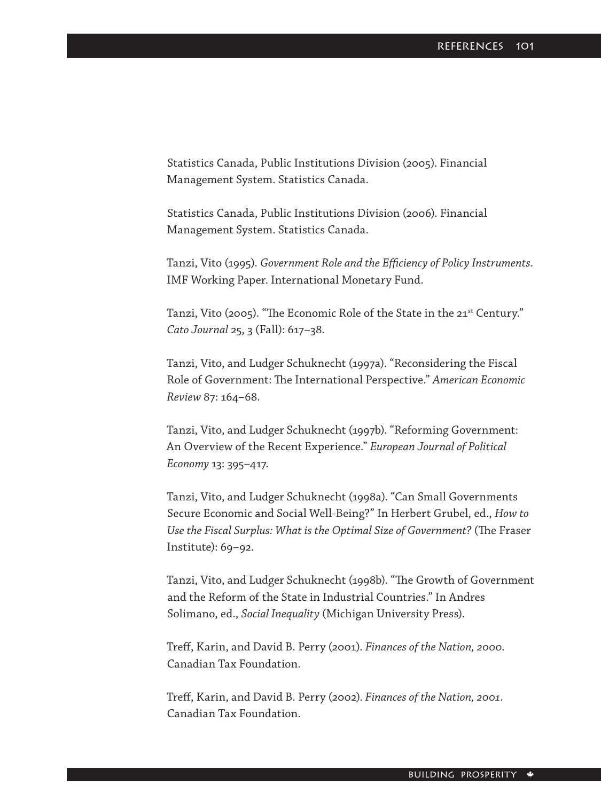Statistics Canada, Public Institutions Division (2005). Financial Management System. Statistics Canada.

Statistics Canada, Public Institutions Division (2006). Financial Management System. Statistics Canada.

Tanzi, Vito (1995). *Government Role and the Efficiency of Policy Instruments*. IMF Working Paper. International Monetary Fund.

Tanzi, Vito (2005). "The Economic Role of the State in the 21<sup>st</sup> Century." *Cato Journal* 25, 3 (Fall): 617–38.

Tanzi, Vito, and Ludger Schuknecht (1997a). "Reconsidering the Fiscal Role of Government: The International Perspective." *American Economic Review* 87: 164–68.

Tanzi, Vito, and Ludger Schuknecht (1997b). "Reforming Government: An Overview of the Recent Experience." *European Journal of Political Economy* 13: 395–417.

Tanzi, Vito, and Ludger Schuknecht (1998a). "Can Small Governments Secure Economic and Social Well-Being?" In Herbert Grubel, ed., *How to Use the Fiscal Surplus: What is the Optimal Size of Government?* (The Fraser Institute): 69–92.

Tanzi, Vito, and Ludger Schuknecht (1998b). "The Growth of Government and the Reform of the State in Industrial Countries." In Andres Solimano, ed., *Social Inequality* (Michigan University Press).

Treff, Karin, and David B. Perry (2001). *Finances of the Nation, 2000*. Canadian Tax Foundation.

Treff, Karin, and David B. Perry (2002). *Finances of the Nation, 2001*. Canadian Tax Foundation.